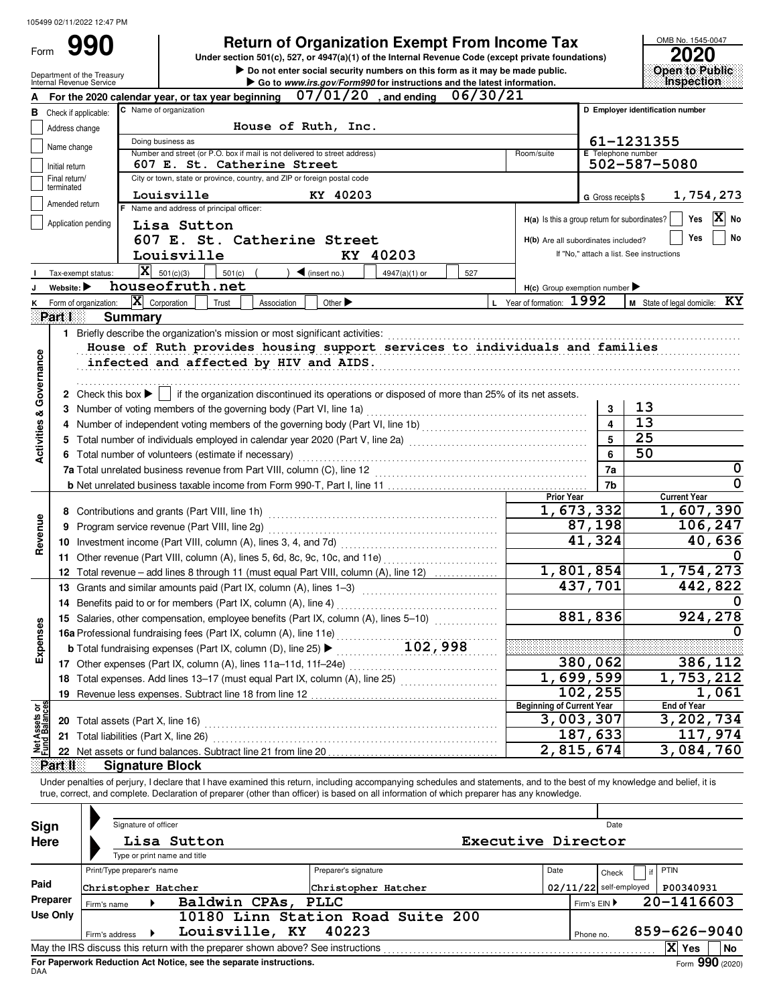Department of the Treasury

Form 990

 $\blacktriangleright$  Do not enter social security numbers on this form as it may be made public. **990 2020**<br>
Under section 501(c), 527, or 4947(a)(1) of the Internal Revenue Code (except private foundations) 2020

OMB No. 1545-0047

| ZUZU             |  |
|------------------|--|
| pen to Public    |  |
|                  |  |
| <b>ispection</b> |  |
|                  |  |

|                                    |                      | טמונוווטווג טו נווט ווטמסטו<br>Internal Revenue Service |                                                                                                                                                                                                                                |                                   |                             | Go to www.irs.gov/Form990 for instructions and the latest information. |          |                           |                                                 | <b>Inspection</b>                                                                                                                                                          |
|------------------------------------|----------------------|---------------------------------------------------------|--------------------------------------------------------------------------------------------------------------------------------------------------------------------------------------------------------------------------------|-----------------------------------|-----------------------------|------------------------------------------------------------------------|----------|---------------------------|-------------------------------------------------|----------------------------------------------------------------------------------------------------------------------------------------------------------------------------|
|                                    |                      |                                                         | For the 2020 calendar year, or tax year beginning                                                                                                                                                                              |                                   |                             | $\overline{07/01/20}$ , and ending                                     | 06/30/21 |                           |                                                 |                                                                                                                                                                            |
| в                                  | Check if applicable: |                                                         | C Name of organization                                                                                                                                                                                                         |                                   |                             |                                                                        |          |                           |                                                 | D Employer identification number                                                                                                                                           |
|                                    | Address change       |                                                         |                                                                                                                                                                                                                                | House of Ruth, Inc.               |                             |                                                                        |          |                           |                                                 |                                                                                                                                                                            |
|                                    |                      |                                                         | Doing business as                                                                                                                                                                                                              |                                   |                             |                                                                        |          |                           |                                                 | 61-1231355                                                                                                                                                                 |
|                                    | Name change          |                                                         | Number and street (or P.O. box if mail is not delivered to street address)                                                                                                                                                     |                                   |                             |                                                                        |          | Room/suite                | E Telephone number                              |                                                                                                                                                                            |
|                                    | Initial return       |                                                         | 607 E. St. Catherine Street                                                                                                                                                                                                    |                                   |                             |                                                                        |          |                           |                                                 | 502-587-5080                                                                                                                                                               |
|                                    | Final return/        |                                                         | City or town, state or province, country, and ZIP or foreign postal code                                                                                                                                                       |                                   |                             |                                                                        |          |                           |                                                 |                                                                                                                                                                            |
|                                    | terminated           |                                                         | Louisville                                                                                                                                                                                                                     |                                   | KY 40203                    |                                                                        |          |                           | G Gross receipts \$                             | 1,754,273                                                                                                                                                                  |
|                                    | Amended return       |                                                         | F Name and address of principal officer:                                                                                                                                                                                       |                                   |                             |                                                                        |          |                           |                                                 |                                                                                                                                                                            |
|                                    |                      | Application pending                                     | Lisa Sutton                                                                                                                                                                                                                    |                                   |                             |                                                                        |          |                           | $H(a)$ Is this a group return for subordinates? | Yes<br>No                                                                                                                                                                  |
|                                    |                      |                                                         | 607 E. St. Catherine Street                                                                                                                                                                                                    |                                   |                             |                                                                        |          |                           | H(b) Are all subordinates included?             | Yes<br>No                                                                                                                                                                  |
|                                    |                      |                                                         | Louisville                                                                                                                                                                                                                     |                                   |                             | KY 40203                                                               |          |                           |                                                 | If "No," attach a list. See instructions                                                                                                                                   |
|                                    |                      |                                                         | $ \mathbf{X} $ 501(c)(3)                                                                                                                                                                                                       |                                   |                             |                                                                        |          |                           |                                                 |                                                                                                                                                                            |
|                                    |                      | Tax-exempt status:                                      | houseofruth.net                                                                                                                                                                                                                | 501(c)                            | $\bigcup$ (insert no.)      | 4947(a)(1) or                                                          | 527      |                           |                                                 |                                                                                                                                                                            |
|                                    | Website:             |                                                         |                                                                                                                                                                                                                                |                                   |                             |                                                                        |          |                           | $H(c)$ Group exemption number                   |                                                                                                                                                                            |
|                                    |                      | Form of organization:                                   | $ \mathbf{X} $ Corporation<br>Trust                                                                                                                                                                                            | Association                       | Other $\blacktriangleright$ |                                                                        |          | L Year of formation: 1992 |                                                 | M State of legal domicile: KY                                                                                                                                              |
|                                    | Part I               | <b>Summary</b>                                          |                                                                                                                                                                                                                                |                                   |                             |                                                                        |          |                           |                                                 |                                                                                                                                                                            |
|                                    |                      |                                                         | 1 Briefly describe the organization's mission or most significant activities: [11] Briefly describe the organization's mission or most significant activities:                                                                 |                                   |                             |                                                                        |          |                           |                                                 |                                                                                                                                                                            |
|                                    |                      |                                                         | House of Ruth provides housing support services to individuals and families                                                                                                                                                    |                                   |                             |                                                                        |          |                           |                                                 |                                                                                                                                                                            |
|                                    |                      |                                                         | infected and affected by HIV and AIDS.                                                                                                                                                                                         |                                   |                             |                                                                        |          |                           |                                                 |                                                                                                                                                                            |
|                                    |                      |                                                         |                                                                                                                                                                                                                                |                                   |                             |                                                                        |          |                           |                                                 |                                                                                                                                                                            |
|                                    |                      |                                                         | 2 Check this box ▶   if the organization discontinued its operations or disposed of more than 25% of its net assets.                                                                                                           |                                   |                             |                                                                        |          |                           |                                                 |                                                                                                                                                                            |
|                                    |                      |                                                         | 3 Number of voting members of the governing body (Part VI, line 1a)                                                                                                                                                            |                                   |                             |                                                                        |          |                           | 3                                               | 13                                                                                                                                                                         |
|                                    |                      |                                                         |                                                                                                                                                                                                                                |                                   |                             |                                                                        |          |                           | $\overline{\mathbf{4}}$                         | $\overline{13}$                                                                                                                                                            |
| <b>Activities &amp; Governance</b> |                      |                                                         | 5 Total number of individuals employed in calendar year 2020 (Part V, line 2a) [10] concurred content content content of the Solid Carl Content Content Content Content Content Content Content Content Content Content Conten |                                   |                             |                                                                        |          |                           | 5                                               | 25                                                                                                                                                                         |
|                                    |                      |                                                         | 6 Total number of volunteers (estimate if necessary)                                                                                                                                                                           |                                   |                             |                                                                        |          |                           | 6                                               | 50                                                                                                                                                                         |
|                                    |                      |                                                         |                                                                                                                                                                                                                                |                                   |                             |                                                                        |          |                           |                                                 | 0                                                                                                                                                                          |
|                                    |                      |                                                         | 7a Total unrelated business revenue from Part VIII, column (C), line 12                                                                                                                                                        |                                   |                             |                                                                        |          |                           | 7a                                              | $\mathbf 0$                                                                                                                                                                |
|                                    |                      |                                                         |                                                                                                                                                                                                                                |                                   |                             |                                                                        |          | <b>Prior Year</b>         | 7b                                              | <b>Current Year</b>                                                                                                                                                        |
|                                    |                      |                                                         |                                                                                                                                                                                                                                |                                   |                             |                                                                        |          |                           | 1,673,332                                       | 1,607,390                                                                                                                                                                  |
|                                    |                      |                                                         |                                                                                                                                                                                                                                |                                   |                             |                                                                        |          |                           |                                                 | 106,247                                                                                                                                                                    |
| Revenue                            |                      |                                                         |                                                                                                                                                                                                                                |                                   |                             |                                                                        |          |                           | 87,198                                          |                                                                                                                                                                            |
|                                    |                      |                                                         |                                                                                                                                                                                                                                |                                   |                             |                                                                        |          |                           | 41,324                                          | 40,636                                                                                                                                                                     |
|                                    |                      |                                                         | 11 Other revenue (Part VIII, column (A), lines 5, 6d, 8c, 9c, 10c, and 11e)                                                                                                                                                    |                                   |                             |                                                                        |          |                           |                                                 |                                                                                                                                                                            |
|                                    |                      |                                                         | 12 Total revenue - add lines 8 through 11 (must equal Part VIII, column (A), line 12)                                                                                                                                          |                                   |                             |                                                                        |          |                           | 1,801,854                                       | 1,754,273                                                                                                                                                                  |
|                                    |                      |                                                         |                                                                                                                                                                                                                                |                                   |                             |                                                                        |          |                           | 437,701                                         | 442,822                                                                                                                                                                    |
|                                    |                      |                                                         | 14 Benefits paid to or for members (Part IX, column (A), line 4)                                                                                                                                                               |                                   |                             |                                                                        |          |                           |                                                 |                                                                                                                                                                            |
|                                    |                      |                                                         | 15 Salaries, other compensation, employee benefits (Part IX, column (A), lines 5-10)                                                                                                                                           |                                   |                             |                                                                        |          |                           | 881,836                                         | 924, 278                                                                                                                                                                   |
| enses                              |                      |                                                         | 15 Salaries, other compensation, comparison, column (A), line 11e)<br>16a Professional fundraising fees (Part IX, column (A), line 25)<br>$\blacktriangleright$ 102, 998                                                       |                                   |                             |                                                                        |          |                           |                                                 |                                                                                                                                                                            |
|                                    |                      |                                                         |                                                                                                                                                                                                                                |                                   |                             |                                                                        |          |                           |                                                 |                                                                                                                                                                            |
| Εχp                                |                      |                                                         | 17 Other expenses (Part IX, column (A), lines 11a-11d, 11f-24e)                                                                                                                                                                |                                   |                             |                                                                        |          |                           | 380,062                                         | 386, 112                                                                                                                                                                   |
|                                    |                      |                                                         | 18 Total expenses. Add lines 13-17 (must equal Part IX, column (A), line 25)                                                                                                                                                   |                                   |                             |                                                                        |          |                           | 1,699,599                                       | 1,753,212                                                                                                                                                                  |
|                                    |                      |                                                         | 19 Revenue less expenses. Subtract line 18 from line 12                                                                                                                                                                        |                                   |                             |                                                                        |          |                           | 102,255                                         | $\overline{1}$ , 061                                                                                                                                                       |
|                                    |                      |                                                         |                                                                                                                                                                                                                                |                                   |                             |                                                                        |          |                           | <b>Beginning of Current Year</b>                | <b>End of Year</b>                                                                                                                                                         |
| Net Assets or<br>Fund Balances     |                      |                                                         | 20 Total assets (Part X, line 16)                                                                                                                                                                                              |                                   |                             |                                                                        |          |                           | 3,003,307                                       | 3,202,734                                                                                                                                                                  |
|                                    |                      |                                                         | 21 Total liabilities (Part X, line 26)                                                                                                                                                                                         |                                   |                             |                                                                        |          |                           | 187,633                                         | 117,974                                                                                                                                                                    |
|                                    |                      |                                                         |                                                                                                                                                                                                                                |                                   |                             |                                                                        |          |                           | 2,815,674                                       | 3,084,760                                                                                                                                                                  |
|                                    | Part II              |                                                         | <b>Signature Block</b>                                                                                                                                                                                                         |                                   |                             |                                                                        |          |                           |                                                 |                                                                                                                                                                            |
|                                    |                      |                                                         |                                                                                                                                                                                                                                |                                   |                             |                                                                        |          |                           |                                                 | Under penalties of perjury, I declare that I have examined this return, including accompanying schedules and statements, and to the best of my knowledge and belief, it is |
|                                    |                      |                                                         | true, correct, and complete. Declaration of preparer (other than officer) is based on all information of which preparer has any knowledge.                                                                                     |                                   |                             |                                                                        |          |                           |                                                 |                                                                                                                                                                            |
|                                    |                      |                                                         |                                                                                                                                                                                                                                |                                   |                             |                                                                        |          |                           |                                                 |                                                                                                                                                                            |
|                                    |                      |                                                         | Signature of officer                                                                                                                                                                                                           |                                   |                             |                                                                        |          |                           | Date                                            |                                                                                                                                                                            |
| Sign                               |                      |                                                         |                                                                                                                                                                                                                                |                                   |                             |                                                                        |          |                           |                                                 |                                                                                                                                                                            |
| <b>Here</b>                        |                      |                                                         | Lisa Sutton                                                                                                                                                                                                                    |                                   |                             |                                                                        |          |                           | Executive Director                              |                                                                                                                                                                            |
|                                    |                      |                                                         | Type or print name and title                                                                                                                                                                                                   |                                   |                             |                                                                        |          |                           |                                                 |                                                                                                                                                                            |
|                                    |                      | Print/Type preparer's name                              |                                                                                                                                                                                                                                |                                   | Preparer's signature        |                                                                        |          | Date                      | Check                                           | PTIN                                                                                                                                                                       |
| Paid                               |                      |                                                         | Christopher Hatcher                                                                                                                                                                                                            |                                   | Christopher Hatcher         |                                                                        |          |                           | $02/11/22$ self-employed                        | P00340931                                                                                                                                                                  |
|                                    | Preparer             | Firm's name                                             |                                                                                                                                                                                                                                | Baldwin CPAs,                     | <b>PLLC</b>                 |                                                                        |          |                           | Firm's EIN ▶                                    | 20-1416603                                                                                                                                                                 |
|                                    | Use Only             |                                                         |                                                                                                                                                                                                                                | 10180 Linn Station Road Suite 200 |                             |                                                                        |          |                           |                                                 |                                                                                                                                                                            |
|                                    |                      | Firm's address                                          |                                                                                                                                                                                                                                | Louisville, KY                    | 40223                       |                                                                        |          |                           | Phone no.                                       | 859-626-9040                                                                                                                                                               |
|                                    |                      |                                                         |                                                                                                                                                                                                                                |                                   |                             |                                                                        |          |                           |                                                 | $ X $ Yes<br>No                                                                                                                                                            |

| Sign            |                | Signature of officer         |                                                                                 |                                   |              |           | Date                     |              |                 |
|-----------------|----------------|------------------------------|---------------------------------------------------------------------------------|-----------------------------------|--------------|-----------|--------------------------|--------------|-----------------|
| <b>Here</b>     |                | Type or print name and title | Lisa Sutton                                                                     | Executive Director                |              |           |                          |              |                 |
|                 |                | Print/Type preparer's name   |                                                                                 | Preparer's signature              | Date         |           | Check                    | PTIN         |                 |
| Paid            |                | Christopher Hatcher          |                                                                                 | Christopher Hatcher               |              |           | $02/11/22$ self-employed | P00340931    |                 |
| Preparer        | Firm's name    |                              | Baldwin CPAs,                                                                   | <b>PLLC</b>                       | Firm's EIN ▶ |           | 20-1416603               |              |                 |
| <b>Use Only</b> |                |                              |                                                                                 | 10180 Linn Station Road Suite 200 |              |           |                          |              |                 |
|                 | Firm's address |                              | Louisville, KY                                                                  | 40223                             |              | Phone no. |                          | 859-626-9040 |                 |
|                 |                |                              | May the IRS discuss this return with the preparer shown above? See instructions |                                   |              |           |                          | X<br>Yes     | No              |
|                 |                |                              | For Paperwork Reduction Act Notice, see the separate instructions.              |                                   |              |           |                          |              | Form 990 (2020) |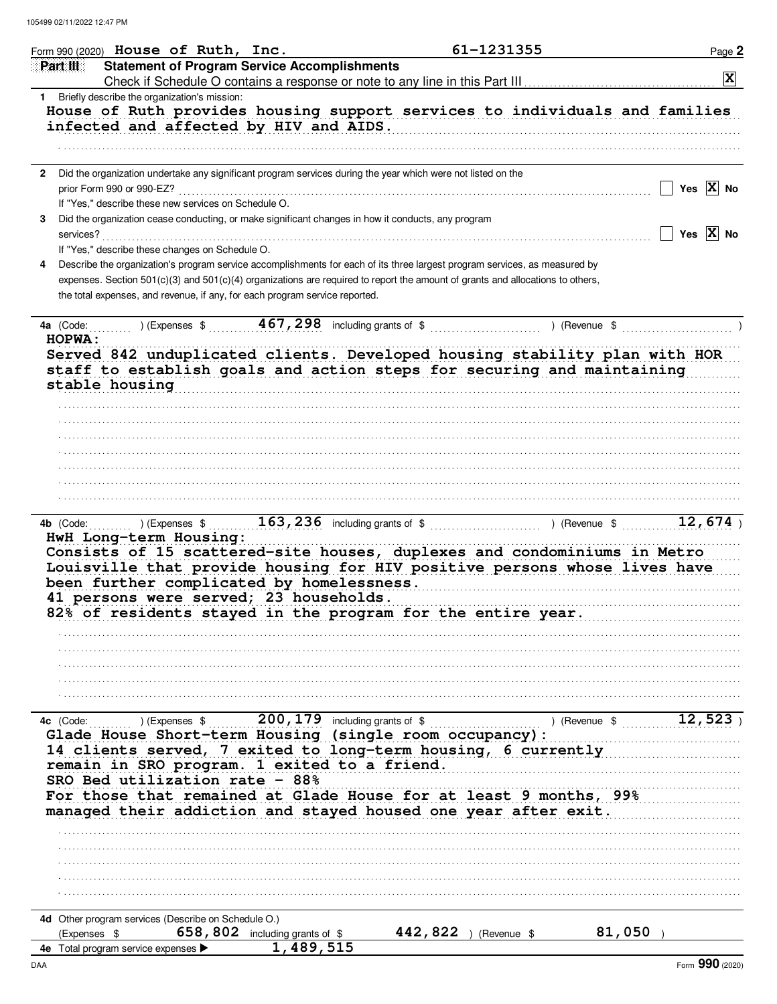|                | Form 990 (2020) House of Ruth, Inc.                                                                                                                                                                                                                                                                                 |                                              | 61-1231355              |                                                                                                                   | Page 2                |
|----------------|---------------------------------------------------------------------------------------------------------------------------------------------------------------------------------------------------------------------------------------------------------------------------------------------------------------------|----------------------------------------------|-------------------------|-------------------------------------------------------------------------------------------------------------------|-----------------------|
| Part III       | <b>Statement of Program Service Accomplishments</b>                                                                                                                                                                                                                                                                 |                                              |                         | Check if Schedule O contains a response or note to any line in this Part III [11] [11] [11] [11] [11] [11] [1     | $ \mathbf{X} $        |
|                | 1 Briefly describe the organization's mission:                                                                                                                                                                                                                                                                      |                                              |                         |                                                                                                                   |                       |
|                | House of Ruth provides housing support services to individuals and families<br>infected and affected by HIV and AIDS.                                                                                                                                                                                               |                                              |                         |                                                                                                                   |                       |
|                |                                                                                                                                                                                                                                                                                                                     |                                              |                         |                                                                                                                   |                       |
|                | 2 Did the organization undertake any significant program services during the year which were not listed on the<br>prior Form 990 or 990-EZ?                                                                                                                                                                         |                                              |                         |                                                                                                                   | Yes $ \mathbf{X} $ No |
| 3<br>services? | If "Yes," describe these new services on Schedule O.<br>Did the organization cease conducting, or make significant changes in how it conducts, any program                                                                                                                                                          |                                              |                         |                                                                                                                   | Yes $\overline{X}$ No |
|                | If "Yes," describe these changes on Schedule O.<br>Describe the organization's program service accomplishments for each of its three largest program services, as measured by<br>expenses. Section $501(c)(3)$ and $501(c)(4)$ organizations are required to report the amount of grants and allocations to others, |                                              |                         |                                                                                                                   |                       |
|                | the total expenses, and revenue, if any, for each program service reported.                                                                                                                                                                                                                                         |                                              |                         |                                                                                                                   |                       |
| <b>HOPWA:</b>  |                                                                                                                                                                                                                                                                                                                     |                                              |                         |                                                                                                                   |                       |
|                | Served 842 unduplicated clients. Developed housing stability plan with HOR<br>staff to establish goals and action steps for securing and maintaining<br>stable housing                                                                                                                                              |                                              |                         |                                                                                                                   |                       |
|                |                                                                                                                                                                                                                                                                                                                     |                                              |                         |                                                                                                                   |                       |
|                |                                                                                                                                                                                                                                                                                                                     |                                              |                         |                                                                                                                   |                       |
|                |                                                                                                                                                                                                                                                                                                                     |                                              |                         |                                                                                                                   |                       |
|                |                                                                                                                                                                                                                                                                                                                     |                                              |                         |                                                                                                                   |                       |
|                |                                                                                                                                                                                                                                                                                                                     |                                              |                         |                                                                                                                   |                       |
| 4b (Code:      | (Expenses \$<br>HwH Long-term Housing:<br>Consists of 15 scattered-site houses, duplexes and condominiums in Metro                                                                                                                                                                                                  |                                              |                         | 163, 236 including grants of $\sqrt[6]{\frac{163}{236}}$ (Revenue $\sqrt[6]{\frac{12}{674}}$ )                    |                       |
|                | Louisville that provide housing for HIV positive persons whose lives have<br>been further complicated by homelessness.<br>41 persons were served; 23 households.                                                                                                                                                    |                                              | .                       |                                                                                                                   |                       |
|                | 82% of residents stayed in the program for the entire year.                                                                                                                                                                                                                                                         |                                              |                         |                                                                                                                   |                       |
|                |                                                                                                                                                                                                                                                                                                                     |                                              |                         |                                                                                                                   |                       |
|                |                                                                                                                                                                                                                                                                                                                     |                                              |                         |                                                                                                                   |                       |
|                |                                                                                                                                                                                                                                                                                                                     |                                              |                         |                                                                                                                   |                       |
|                |                                                                                                                                                                                                                                                                                                                     |                                              |                         |                                                                                                                   |                       |
| 4c (Code:      | Glade House Short-term Housing (single room occupancy) :<br>14 clients served, 7 exited to long-term housing, 6 currently                                                                                                                                                                                           |                                              |                         | $\ldots$ ) (Expenses \$200, 179 including grants of \$200, 179 including grants of \$1, the venue \$1, 12, 523 is |                       |
|                | remain in SRO program. 1 exited to a friend.<br>SRO Bed utilization rate - 88%                                                                                                                                                                                                                                      |                                              |                         |                                                                                                                   |                       |
|                | For those that remained at Glade House for at least 9 months, 99%<br>managed their addiction and stayed housed one year after exit.                                                                                                                                                                                 |                                              |                         |                                                                                                                   |                       |
|                |                                                                                                                                                                                                                                                                                                                     |                                              |                         |                                                                                                                   |                       |
|                |                                                                                                                                                                                                                                                                                                                     |                                              |                         |                                                                                                                   |                       |
|                |                                                                                                                                                                                                                                                                                                                     |                                              |                         |                                                                                                                   |                       |
|                |                                                                                                                                                                                                                                                                                                                     |                                              |                         |                                                                                                                   |                       |
|                | 4d Other program services (Describe on Schedule O.)                                                                                                                                                                                                                                                                 |                                              |                         |                                                                                                                   |                       |
| (Expenses \$   | 4e Total program service expenses $\blacktriangleright$                                                                                                                                                                                                                                                             | 658, 802 including grants of \$<br>1,489,515 | 442, 822 ) (Revenue $$$ | 81,050                                                                                                            |                       |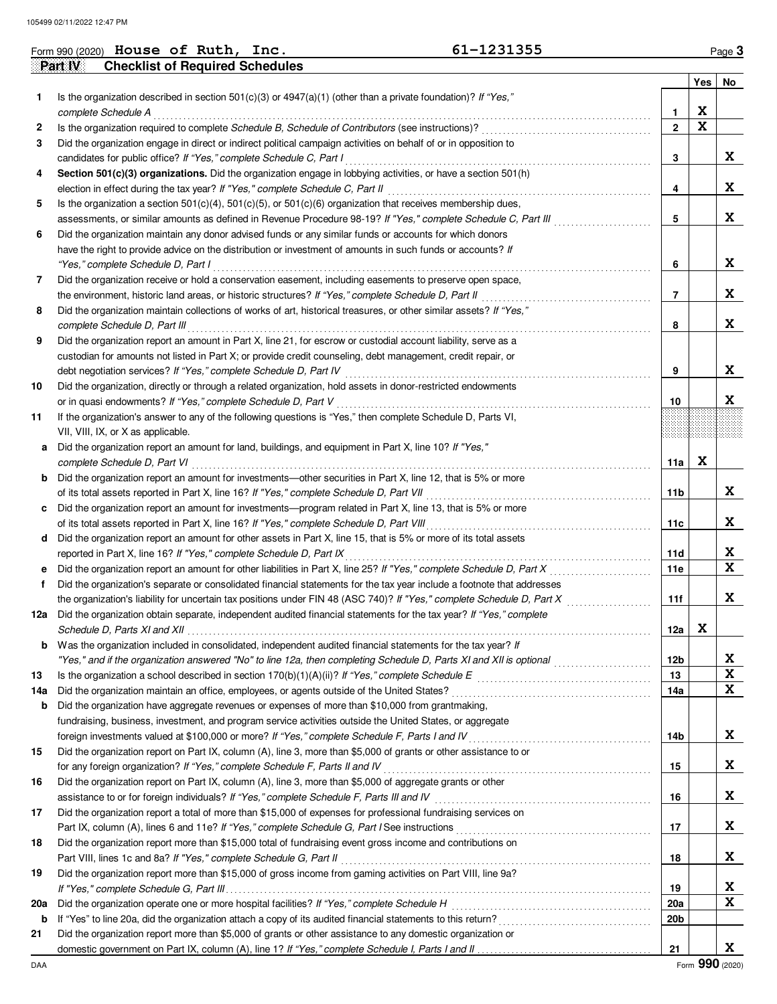|     | <b>Checklist of Required Schedules</b><br>Part IV                                                                                                                                                                      |                 |             |                         |
|-----|------------------------------------------------------------------------------------------------------------------------------------------------------------------------------------------------------------------------|-----------------|-------------|-------------------------|
|     |                                                                                                                                                                                                                        |                 | Yes         | No                      |
| 1   | Is the organization described in section $501(c)(3)$ or $4947(a)(1)$ (other than a private foundation)? If "Yes,"                                                                                                      |                 |             |                         |
|     | complete Schedule A                                                                                                                                                                                                    | 1               | X           |                         |
| 2   |                                                                                                                                                                                                                        | $\mathbf{2}$    | $\mathbf x$ |                         |
| 3   | Did the organization engage in direct or indirect political campaign activities on behalf of or in opposition to                                                                                                       |                 |             |                         |
|     | candidates for public office? If "Yes," complete Schedule C, Part I                                                                                                                                                    | 3               |             | X                       |
| 4   | Section 501(c)(3) organizations. Did the organization engage in lobbying activities, or have a section 501(h)                                                                                                          |                 |             |                         |
|     | election in effect during the tax year? If "Yes," complete Schedule C, Part II                                                                                                                                         | 4               |             | X                       |
| 5   | Is the organization a section $501(c)(4)$ , $501(c)(5)$ , or $501(c)(6)$ organization that receives membership dues,                                                                                                   |                 |             | X                       |
|     | assessments, or similar amounts as defined in Revenue Procedure 98-19? If "Yes," complete Schedule C, Part III                                                                                                         | 5               |             |                         |
| 6   | Did the organization maintain any donor advised funds or any similar funds or accounts for which donors<br>have the right to provide advice on the distribution or investment of amounts in such funds or accounts? If |                 |             |                         |
|     | "Yes," complete Schedule D, Part I                                                                                                                                                                                     | 6               |             | X                       |
| 7   | Did the organization receive or hold a conservation easement, including easements to preserve open space,                                                                                                              |                 |             |                         |
|     | the environment, historic land areas, or historic structures? If "Yes," complete Schedule D, Part II                                                                                                                   | 7               |             | X                       |
| 8   | Did the organization maintain collections of works of art, historical treasures, or other similar assets? If "Yes,"                                                                                                    |                 |             |                         |
|     | complete Schedule D, Part III                                                                                                                                                                                          | 8               |             | X                       |
| 9   | Did the organization report an amount in Part X, line 21, for escrow or custodial account liability, serve as a                                                                                                        |                 |             |                         |
|     | custodian for amounts not listed in Part X; or provide credit counseling, debt management, credit repair, or                                                                                                           |                 |             |                         |
|     | debt negotiation services? If "Yes," complete Schedule D, Part IV                                                                                                                                                      | 9               |             | X                       |
| 10  | Did the organization, directly or through a related organization, hold assets in donor-restricted endowments                                                                                                           |                 |             |                         |
|     | or in quasi endowments? If "Yes," complete Schedule D, Part V                                                                                                                                                          | 10              |             | X                       |
| 11  | If the organization's answer to any of the following questions is "Yes," then complete Schedule D, Parts VI,                                                                                                           |                 |             |                         |
|     | VII, VIII, IX, or X as applicable.                                                                                                                                                                                     |                 |             |                         |
| a   | Did the organization report an amount for land, buildings, and equipment in Part X, line 10? If "Yes,"                                                                                                                 |                 |             |                         |
|     | complete Schedule D, Part VI                                                                                                                                                                                           | 11a             | X           |                         |
| b   | Did the organization report an amount for investments—other securities in Part X, line 12, that is 5% or more                                                                                                          |                 |             |                         |
|     | of its total assets reported in Part X, line 16? If "Yes," complete Schedule D, Part VII                                                                                                                               | 11b             |             | X                       |
| c   | Did the organization report an amount for investments-program related in Part X, line 13, that is 5% or more                                                                                                           |                 |             |                         |
|     | of its total assets reported in Part X, line 16? If "Yes," complete Schedule D, Part VIII                                                                                                                              | 11c             |             | X                       |
| d   | Did the organization report an amount for other assets in Part X, line 15, that is 5% or more of its total assets                                                                                                      |                 |             |                         |
|     | reported in Part X, line 16? If "Yes," complete Schedule D, Part IX                                                                                                                                                    | 11d             |             | X                       |
| е   | Did the organization report an amount for other liabilities in Part X, line 25? If "Yes," complete Schedule D, Part X                                                                                                  | 11e             |             | $\overline{\mathbf{x}}$ |
| f   | Did the organization's separate or consolidated financial statements for the tax year include a footnote that addresses                                                                                                |                 |             |                         |
|     | the organization's liability for uncertain tax positions under FIN 48 (ASC 740)? If "Yes," complete Schedule D, Part X                                                                                                 | 11f             |             | X                       |
| 12a | Did the organization obtain separate, independent audited financial statements for the tax year? If "Yes," complete                                                                                                    |                 |             |                         |
|     | Schedule D, Parts XI and XII                                                                                                                                                                                           | 12a             | $\mathbf x$ |                         |
| b   | Was the organization included in consolidated, independent audited financial statements for the tax year? If                                                                                                           |                 |             |                         |
|     |                                                                                                                                                                                                                        | 12 <sub>b</sub> |             | X<br>X                  |
| 13  |                                                                                                                                                                                                                        | 13              |             | $\mathbf x$             |
| 14a | Did the organization maintain an office, employees, or agents outside of the United States?                                                                                                                            | 14a             |             |                         |
| b   | Did the organization have aggregate revenues or expenses of more than \$10,000 from grantmaking,                                                                                                                       |                 |             |                         |
|     | fundraising, business, investment, and program service activities outside the United States, or aggregate<br>foreign investments valued at \$100,000 or more? If "Yes," complete Schedule F, Parts I and IV            | 14b             |             | X                       |
| 15  | Did the organization report on Part IX, column (A), line 3, more than \$5,000 of grants or other assistance to or                                                                                                      |                 |             |                         |
|     | for any foreign organization? If "Yes," complete Schedule F, Parts II and IV                                                                                                                                           | 15              |             | X                       |
| 16  | Did the organization report on Part IX, column (A), line 3, more than \$5,000 of aggregate grants or other                                                                                                             |                 |             |                         |
|     |                                                                                                                                                                                                                        | 16              |             | X                       |
| 17  | Did the organization report a total of more than \$15,000 of expenses for professional fundraising services on                                                                                                         |                 |             |                         |
|     |                                                                                                                                                                                                                        | 17              |             | X                       |
| 18  | Did the organization report more than \$15,000 total of fundraising event gross income and contributions on                                                                                                            |                 |             |                         |
|     | Part VIII, lines 1c and 8a? If "Yes," complete Schedule G, Part II                                                                                                                                                     | 18              |             | X.                      |
| 19  | Did the organization report more than \$15,000 of gross income from gaming activities on Part VIII, line 9a?                                                                                                           |                 |             |                         |
|     |                                                                                                                                                                                                                        | 19              |             | X                       |
| 20a | Did the organization operate one or more hospital facilities? If "Yes," complete Schedule H                                                                                                                            | 20a             |             | X                       |
| b   |                                                                                                                                                                                                                        | 20 <sub>b</sub> |             |                         |
| 21  | Did the organization report more than \$5,000 of grants or other assistance to any domestic organization or                                                                                                            |                 |             |                         |
|     |                                                                                                                                                                                                                        | 21              |             | X                       |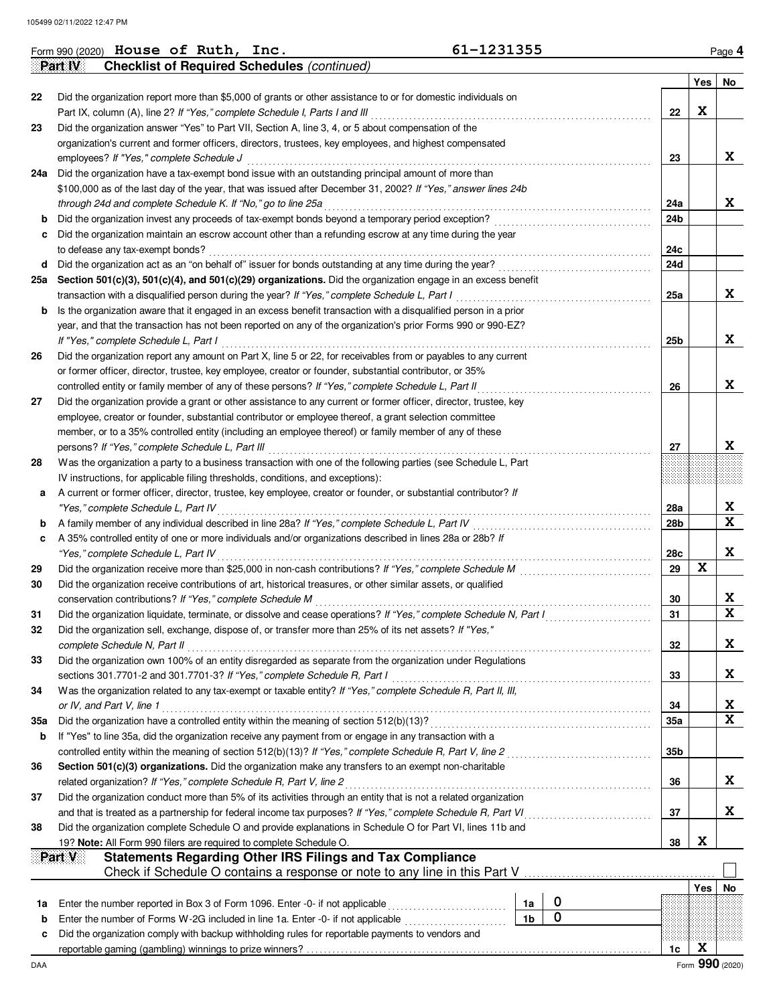|     | <b>Checklist of Required Schedules (continued)</b><br>Part IV                                                                               |                |                  |                 |     |                         |
|-----|---------------------------------------------------------------------------------------------------------------------------------------------|----------------|------------------|-----------------|-----|-------------------------|
|     |                                                                                                                                             |                |                  |                 | Yes | No                      |
| 22  | Did the organization report more than \$5,000 of grants or other assistance to or for domestic individuals on                               |                |                  |                 |     |                         |
|     | Part IX, column (A), line 2? If "Yes," complete Schedule I, Parts I and III                                                                 |                |                  | 22              | X   |                         |
| 23  | Did the organization answer "Yes" to Part VII, Section A, line 3, 4, or 5 about compensation of the                                         |                |                  |                 |     |                         |
|     | organization's current and former officers, directors, trustees, key employees, and highest compensated                                     |                |                  |                 |     |                         |
|     | employees? If "Yes," complete Schedule J                                                                                                    |                |                  | 23              |     | X                       |
| 24a | Did the organization have a tax-exempt bond issue with an outstanding principal amount of more than                                         |                |                  |                 |     |                         |
|     | \$100,000 as of the last day of the year, that was issued after December 31, 2002? If "Yes," answer lines 24b                               |                |                  |                 |     |                         |
|     | through 24d and complete Schedule K. If "No," go to line 25a                                                                                |                |                  | 24a             |     | X.                      |
| b   | Did the organization invest any proceeds of tax-exempt bonds beyond a temporary period exception?                                           |                |                  | 24b             |     |                         |
| c   | Did the organization maintain an escrow account other than a refunding escrow at any time during the year                                   |                |                  |                 |     |                         |
|     | to defease any tax-exempt bonds?<br>Did the organization act as an "on behalf of" issuer for bonds outstanding at any time during the year? |                |                  | 24c<br>24d      |     |                         |
| d   | Section 501(c)(3), 501(c)(4), and 501(c)(29) organizations. Did the organization engage in an excess benefit                                |                |                  |                 |     |                         |
| 25a | transaction with a disqualified person during the year? If "Yes," complete Schedule L, Part I                                               |                |                  | 25a             |     | X.                      |
|     | Is the organization aware that it engaged in an excess benefit transaction with a disqualified person in a prior                            |                |                  |                 |     |                         |
| b   | year, and that the transaction has not been reported on any of the organization's prior Forms 990 or 990-EZ?                                |                |                  |                 |     |                         |
|     | If "Yes," complete Schedule L, Part I                                                                                                       |                |                  | 25 <sub>b</sub> |     | X                       |
| 26  | Did the organization report any amount on Part X, line 5 or 22, for receivables from or payables to any current                             |                |                  |                 |     |                         |
|     | or former officer, director, trustee, key employee, creator or founder, substantial contributor, or 35%                                     |                |                  |                 |     |                         |
|     | controlled entity or family member of any of these persons? If "Yes," complete Schedule L, Part II                                          |                |                  | 26              |     | X                       |
| 27  | Did the organization provide a grant or other assistance to any current or former officer, director, trustee, key                           |                |                  |                 |     |                         |
|     | employee, creator or founder, substantial contributor or employee thereof, a grant selection committee                                      |                |                  |                 |     |                         |
|     | member, or to a 35% controlled entity (including an employee thereof) or family member of any of these                                      |                |                  |                 |     |                         |
|     | persons? If "Yes," complete Schedule L, Part III                                                                                            |                |                  | 27              |     | X                       |
| 28  | Was the organization a party to a business transaction with one of the following parties (see Schedule L, Part                              |                |                  |                 |     |                         |
|     | IV instructions, for applicable filing thresholds, conditions, and exceptions):                                                             |                |                  |                 |     |                         |
| a   | A current or former officer, director, trustee, key employee, creator or founder, or substantial contributor? If                            |                |                  |                 |     |                         |
|     | "Yes," complete Schedule L, Part IV                                                                                                         |                |                  | 28a             |     | X                       |
| b   | A family member of any individual described in line 28a? If "Yes," complete Schedule L, Part IV                                             |                |                  | 28b             |     | $\overline{\mathbf{x}}$ |
| c   | A 35% controlled entity of one or more individuals and/or organizations described in lines 28a or 28b? If                                   |                |                  |                 |     |                         |
|     | "Yes," complete Schedule L, Part IV                                                                                                         |                |                  | 28c             |     | X.                      |
| 29  |                                                                                                                                             |                |                  | 29              | X   |                         |
| 30  | Did the organization receive contributions of art, historical treasures, or other similar assets, or qualified                              |                |                  |                 |     |                         |
|     | conservation contributions? If "Yes," complete Schedule M                                                                                   |                |                  | 30              |     | X                       |
| 31  | Did the organization liquidate, terminate, or dissolve and cease operations? If "Yes," complete Schedule N, Part I                          |                |                  | 31              |     | $\overline{\mathbf{x}}$ |
| 32  | Did the organization sell, exchange, dispose of, or transfer more than 25% of its net assets? If "Yes,"                                     |                |                  |                 |     |                         |
|     | complete Schedule N, Part II                                                                                                                |                |                  | 32              |     | X                       |
| 33  | Did the organization own 100% of an entity disregarded as separate from the organization under Regulations                                  |                |                  |                 |     |                         |
|     | sections 301.7701-2 and 301.7701-3? If "Yes," complete Schedule R, Part I                                                                   |                |                  | 33              |     | X                       |
| 34  | Was the organization related to any tax-exempt or taxable entity? If "Yes," complete Schedule R, Part II, III,                              |                |                  |                 |     |                         |
|     | or IV, and Part V, line 1                                                                                                                   |                |                  | 34              |     | X                       |
| 35a | Did the organization have a controlled entity within the meaning of section 512(b)(13)?                                                     |                |                  | 35a             |     | $\overline{\mathbf{x}}$ |
| b   | If "Yes" to line 35a, did the organization receive any payment from or engage in any transaction with a                                     |                |                  |                 |     |                         |
|     | controlled entity within the meaning of section 512(b)(13)? If "Yes," complete Schedule R, Part V, line 2                                   |                |                  | 35b             |     |                         |
| 36  | Section 501(c)(3) organizations. Did the organization make any transfers to an exempt non-charitable                                        |                |                  |                 |     |                         |
|     | related organization? If "Yes," complete Schedule R, Part V, line 2                                                                         |                |                  | 36              |     | X.                      |
| 37  | Did the organization conduct more than 5% of its activities through an entity that is not a related organization                            |                |                  |                 |     |                         |
|     | and that is treated as a partnership for federal income tax purposes? If "Yes," complete Schedule R, Part VI                                |                |                  | 37              |     | X.                      |
| 38  | Did the organization complete Schedule O and provide explanations in Schedule O for Part VI, lines 11b and                                  |                |                  |                 |     |                         |
|     | 19? Note: All Form 990 filers are required to complete Schedule O.                                                                          |                |                  | 38              | X   |                         |
|     | <b>Statements Regarding Other IRS Filings and Tax Compliance</b><br>Part V                                                                  |                |                  |                 |     |                         |
|     | Check if Schedule O contains a response or note to any line in this Part V                                                                  |                |                  |                 |     |                         |
|     |                                                                                                                                             |                |                  |                 | Yes | No                      |
| 1a  | Enter the number reported in Box 3 of Form 1096. Enter -0- if not applicable                                                                | 1a             | $\boldsymbol{0}$ |                 |     |                         |
| b   | Enter the number of Forms W-2G included in line 1a. Enter -0- if not applicable                                                             | 1 <sub>b</sub> | $\mathbf 0$      |                 |     |                         |
| c   | Did the organization comply with backup withholding rules for reportable payments to vendors and                                            |                |                  |                 |     |                         |
|     |                                                                                                                                             |                |                  | 1c              | X   |                         |
| DAA |                                                                                                                                             |                |                  |                 |     | Form 990 (2020)         |

Form 990 (2020) Page **4 House of Ruth, Inc. 61-1231355**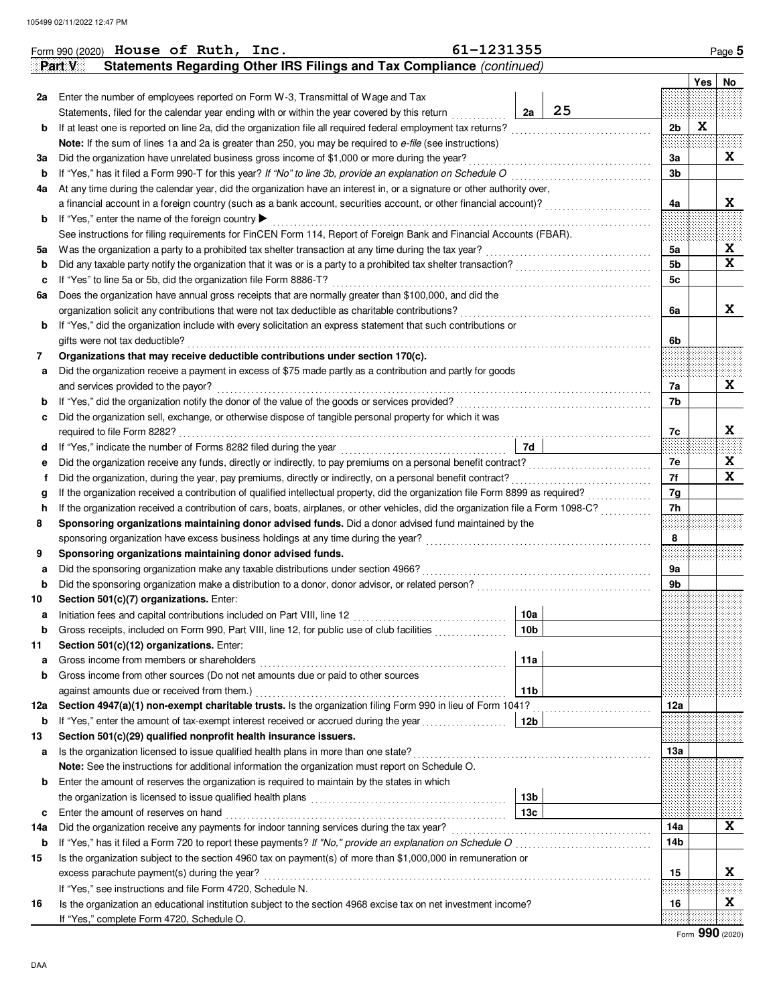|     | Form 990 (2020) House of Ruth, Inc.                                                                                                | 61-1231355      |          |     | Page 5      |
|-----|------------------------------------------------------------------------------------------------------------------------------------|-----------------|----------|-----|-------------|
|     | Statements Regarding Other IRS Filings and Tax Compliance (continued)<br>Part V                                                    |                 |          |     |             |
|     |                                                                                                                                    |                 |          | Yes | No          |
| 2a  | Enter the number of employees reported on Form W-3, Transmittal of Wage and Tax                                                    |                 |          |     |             |
|     | Statements, filed for the calendar year ending with or within the year covered by this return                                      | 25<br>2a        |          |     |             |
| b   | If at least one is reported on line 2a, did the organization file all required federal employment tax returns?                     |                 | 2b       | X   |             |
|     | Note: If the sum of lines 1a and 2a is greater than 250, you may be required to e-file (see instructions)                          |                 |          |     |             |
| За  | Did the organization have unrelated business gross income of \$1,000 or more during the year?                                      |                 | За       |     | X.          |
| b   | If "Yes," has it filed a Form 990-T for this year? If "No" to line 3b, provide an explanation on Schedule O                        |                 | 3b       |     |             |
| 4a  | At any time during the calendar year, did the organization have an interest in, or a signature or other authority over,            |                 |          |     |             |
|     | a financial account in a foreign country (such as a bank account, securities account, or other financial account)?                 |                 | 4a       |     | X           |
| b   | If "Yes," enter the name of the foreign country ▶                                                                                  |                 |          |     |             |
|     | See instructions for filing requirements for FinCEN Form 114, Report of Foreign Bank and Financial Accounts (FBAR).                |                 |          |     |             |
| 5a  | Was the organization a party to a prohibited tax shelter transaction at any time during the tax year?                              |                 | 5a       |     | X           |
| b   |                                                                                                                                    |                 | 5b       |     | X           |
| c   | If "Yes" to line 5a or 5b, did the organization file Form 8886-T?                                                                  |                 | 5c       |     |             |
| 6а  | Does the organization have annual gross receipts that are normally greater than \$100,000, and did the                             |                 |          |     |             |
|     | organization solicit any contributions that were not tax deductible as charitable contributions?                                   |                 | 6a       |     | X           |
| b   | If "Yes," did the organization include with every solicitation an express statement that such contributions or                     |                 |          |     |             |
|     | gifts were not tax deductible?                                                                                                     |                 | 6b       |     |             |
| 7   | Organizations that may receive deductible contributions under section 170(c).                                                      |                 |          |     |             |
| а   | Did the organization receive a payment in excess of \$75 made partly as a contribution and partly for goods                        |                 |          |     | X           |
|     | and services provided to the payor?                                                                                                |                 | 7a<br>7b |     |             |
| b   |                                                                                                                                    |                 |          |     |             |
| с   | Did the organization sell, exchange, or otherwise dispose of tangible personal property for which it was                           |                 | 7c       |     | X           |
| d   |                                                                                                                                    | 7d              |          |     |             |
| е   | Did the organization receive any funds, directly or indirectly, to pay premiums on a personal benefit contract?                    |                 | 7e       |     | X           |
| f   | Did the organization, during the year, pay premiums, directly or indirectly, on a personal benefit contract?                       |                 | 7f       |     | $\mathbf x$ |
| g   | If the organization received a contribution of qualified intellectual property, did the organization file Form 8899 as required?   |                 | 7g       |     |             |
| h   | If the organization received a contribution of cars, boats, airplanes, or other vehicles, did the organization file a Form 1098-C? |                 | 7h       |     |             |
| 8   | Sponsoring organizations maintaining donor advised funds. Did a donor advised fund maintained by the                               |                 |          |     |             |
|     | sponsoring organization have excess business holdings at any time during the year?                                                 |                 | 8        |     |             |
| 9   | Sponsoring organizations maintaining donor advised funds.                                                                          |                 |          |     |             |
| а   | Did the sponsoring organization make any taxable distributions under section 4966?                                                 |                 | 9a       |     |             |
| b   | Did the sponsoring organization make a distribution to a donor, donor advisor, or related person?                                  |                 | 9b       |     |             |
| 10  | Section 501(c)(7) organizations. Enter:                                                                                            |                 |          |     |             |
| а   | Initiation fees and capital contributions included on Part VIII, line 12                                                           | 10a             |          |     |             |
| b   | Gross receipts, included on Form 990, Part VIII, line 12, for public use of club facilities                                        | 10 <sub>b</sub> |          |     |             |
| 11  | Section 501(c)(12) organizations. Enter:                                                                                           |                 |          |     |             |
| а   | Gross income from members or shareholders                                                                                          | 11a             |          |     |             |
| b   | Gross income from other sources (Do not net amounts due or paid to other sources                                                   |                 |          |     |             |
|     | against amounts due or received from them.)                                                                                        | 11b             |          |     |             |
| 12a | Section 4947(a)(1) non-exempt charitable trusts. Is the organization filing Form 990 in lieu of Form 1041?                         |                 | 12a      |     |             |
| b   | If "Yes," enter the amount of tax-exempt interest received or accrued during the year                                              | 12b             |          |     |             |
| 13  | Section 501(c)(29) qualified nonprofit health insurance issuers.                                                                   |                 |          |     |             |
| а   | Is the organization licensed to issue qualified health plans in more than one state?                                               |                 | 13a      |     |             |
|     | Note: See the instructions for additional information the organization must report on Schedule O.                                  |                 |          |     |             |
| b   | Enter the amount of reserves the organization is required to maintain by the states in which                                       |                 |          |     |             |
|     |                                                                                                                                    | 13b             |          |     |             |
| c   | Enter the amount of reserves on hand                                                                                               | 13c             |          |     |             |
| 14a | Did the organization receive any payments for indoor tanning services during the tax year?                                         |                 | 14a      |     | X           |
| b   |                                                                                                                                    |                 | 14b      |     |             |
| 15  | Is the organization subject to the section 4960 tax on payment(s) of more than \$1,000,000 in remuneration or                      |                 |          |     |             |
|     | excess parachute payment(s) during the year?                                                                                       |                 | 15       |     | X           |
|     | If "Yes," see instructions and file Form 4720, Schedule N.                                                                         |                 |          |     |             |
| 16  | Is the organization an educational institution subject to the section 4968 excise tax on net investment income?                    |                 | 16       |     | X           |
|     | If "Yes," complete Form 4720, Schedule O.                                                                                          |                 |          |     |             |

Form **990** (2020)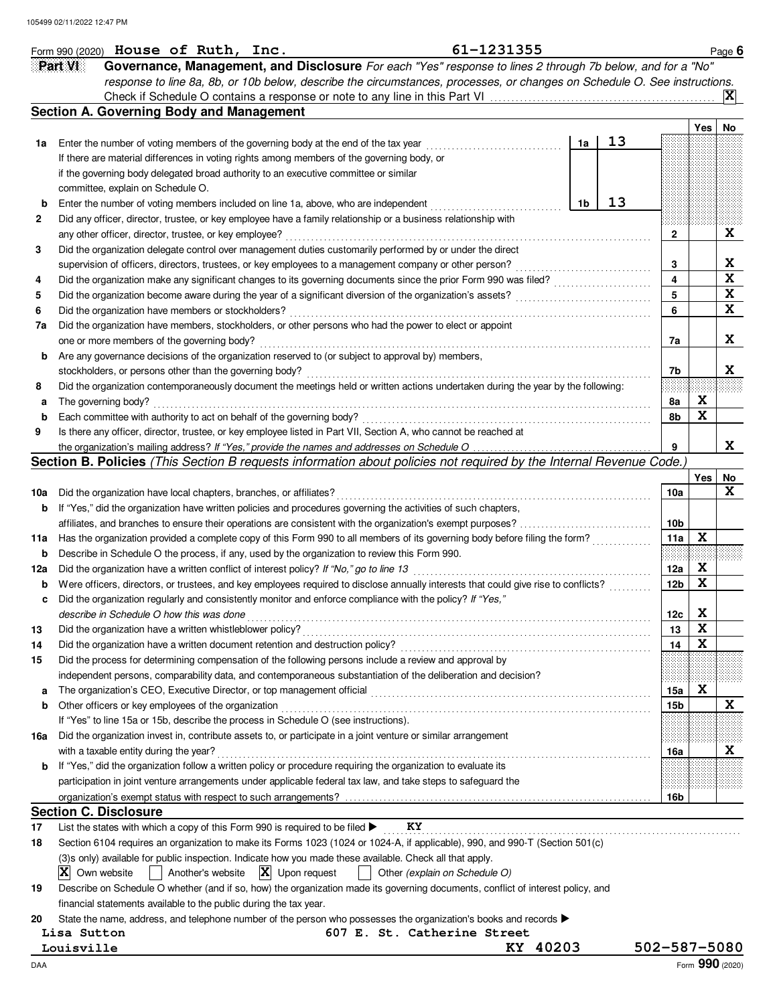|        | 61-1231355<br>Form 990 $(2020)$ House of Ruth, Inc.                                                                                 |          |    |                         |     | Page $6$        |
|--------|-------------------------------------------------------------------------------------------------------------------------------------|----------|----|-------------------------|-----|-----------------|
|        | Part VI<br>Governance, Management, and Disclosure For each "Yes" response to lines 2 through 7b below, and for a "No"               |          |    |                         |     |                 |
|        | response to line 8a, 8b, or 10b below, describe the circumstances, processes, or changes on Schedule O. See instructions.           |          |    |                         |     |                 |
|        | Check if Schedule O contains a response or note to any line in this Part VI                                                         |          |    |                         |     | IХ              |
|        | Section A. Governing Body and Management                                                                                            |          |    |                         |     |                 |
|        |                                                                                                                                     |          |    |                         | Yes | No              |
| 1a     | Enter the number of voting members of the governing body at the end of the tax year                                                 | 1a       | 13 |                         |     |                 |
|        | If there are material differences in voting rights among members of the governing body, or                                          |          |    |                         |     |                 |
|        | if the governing body delegated broad authority to an executive committee or similar                                                |          |    |                         |     |                 |
|        | committee, explain on Schedule O.                                                                                                   |          |    |                         |     |                 |
| b      | Enter the number of voting members included on line 1a, above, who are independent                                                  | 1b       | 13 |                         |     |                 |
| 2      | Did any officer, director, trustee, or key employee have a family relationship or a business relationship with                      |          |    |                         |     |                 |
|        | any other officer, director, trustee, or key employee?                                                                              |          |    | $\mathbf{2}$            |     | X               |
| 3      | Did the organization delegate control over management duties customarily performed by or under the direct                           |          |    |                         |     |                 |
|        | supervision of officers, directors, trustees, or key employees to a management company or other person?                             |          |    | 3                       |     | X               |
| 4      | Did the organization make any significant changes to its governing documents since the prior Form 990 was filed?                    |          |    | $\overline{\mathbf{4}}$ |     | X               |
| 5      | Did the organization become aware during the year of a significant diversion of the organization's assets?                          |          |    | 5                       |     | X               |
| 6      | Did the organization have members or stockholders?                                                                                  |          |    | 6                       |     | X               |
| 7a     | Did the organization have members, stockholders, or other persons who had the power to elect or appoint                             |          |    |                         |     |                 |
|        | one or more members of the governing body?                                                                                          |          |    | 7a                      |     | X               |
| b      | Are any governance decisions of the organization reserved to (or subject to approval by) members,                                   |          |    |                         |     |                 |
|        | stockholders, or persons other than the governing body?                                                                             |          |    | 7b                      |     | X               |
| 8      | Did the organization contemporaneously document the meetings held or written actions undertaken during the year by the following:   |          |    |                         |     |                 |
| а      | The governing body?                                                                                                                 |          |    | 8a                      | X   |                 |
|        | Each committee with authority to act on behalf of the governing body?                                                               |          |    | 8b                      | X   |                 |
| b<br>9 | Is there any officer, director, trustee, or key employee listed in Part VII, Section A, who cannot be reached at                    |          |    |                         |     |                 |
|        | the organization's mailing address? If "Yes," provide the names and addresses on Schedule O                                         |          |    | 9                       |     | X               |
|        | Section B. Policies (This Section B requests information about policies not required by the Internal Revenue Code.)                 |          |    |                         |     |                 |
|        |                                                                                                                                     |          |    |                         | Yes | No              |
|        |                                                                                                                                     |          |    | 10a                     |     | X               |
| 10a    | Did the organization have local chapters, branches, or affiliates?                                                                  |          |    |                         |     |                 |
| b      | If "Yes," did the organization have written policies and procedures governing the activities of such chapters,                      |          |    |                         |     |                 |
|        | affiliates, and branches to ensure their operations are consistent with the organization's exempt purposes?                         |          |    | 10b                     | X   |                 |
| 11a    | Has the organization provided a complete copy of this Form 990 to all members of its governing body before filing the form?         |          |    | 11a                     |     |                 |
| b      | Describe in Schedule O the process, if any, used by the organization to review this Form 990.                                       |          |    |                         |     |                 |
| 12a    | Did the organization have a written conflict of interest policy? If "No," go to line 13                                             |          |    | 12a                     | X   |                 |
| b      | Were officers, directors, or trustees, and key employees required to disclose annually interests that could give rise to conflicts? |          |    | 12b                     | X   |                 |
|        | Did the organization regularly and consistently monitor and enforce compliance with the policy? If "Yes,"                           |          |    |                         |     |                 |
|        | describe in Schedule O how this was done                                                                                            |          |    | 12C                     | X   |                 |
| 13     | Did the organization have a written whistleblower policy?                                                                           |          |    | 13                      | X   |                 |
| 14     | Did the organization have a written document retention and destruction policy?                                                      |          |    | 14                      | X   |                 |
| 15     | Did the process for determining compensation of the following persons include a review and approval by                              |          |    |                         |     |                 |
|        | independent persons, comparability data, and contemporaneous substantiation of the deliberation and decision?                       |          |    |                         |     |                 |
| а      | The organization's CEO, Executive Director, or top management official                                                              |          |    | 15a                     | X   |                 |
| b      | Other officers or key employees of the organization                                                                                 |          |    | 15b                     |     | X               |
|        | If "Yes" to line 15a or 15b, describe the process in Schedule O (see instructions).                                                 |          |    |                         |     |                 |
| 16a    | Did the organization invest in, contribute assets to, or participate in a joint venture or similar arrangement                      |          |    |                         |     |                 |
|        | with a taxable entity during the year?                                                                                              |          |    | 16a                     |     | X.              |
| b      | If "Yes," did the organization follow a written policy or procedure requiring the organization to evaluate its                      |          |    |                         |     |                 |
|        | participation in joint venture arrangements under applicable federal tax law, and take steps to safeguard the                       |          |    |                         |     |                 |
|        |                                                                                                                                     |          |    | 16b                     |     |                 |
|        | <b>Section C. Disclosure</b>                                                                                                        |          |    |                         |     |                 |
| 17     | List the states with which a copy of this Form 990 is required to be filed ><br>KY                                                  |          |    |                         |     |                 |
| 18     | Section 6104 requires an organization to make its Forms 1023 (1024 or 1024-A, if applicable), 990, and 990-T (Section 501(c)        |          |    |                         |     |                 |
|        | (3)s only) available for public inspection. Indicate how you made these available. Check all that apply.                            |          |    |                         |     |                 |
|        | $ \mathbf{X} $<br>$ \mathbf{X} $ Upon request<br>Another's website<br>Own website<br>Other (explain on Schedule O)                  |          |    |                         |     |                 |
| 19     | Describe on Schedule O whether (and if so, how) the organization made its governing documents, conflict of interest policy, and     |          |    |                         |     |                 |
|        | financial statements available to the public during the tax year.                                                                   |          |    |                         |     |                 |
| 20     | State the name, address, and telephone number of the person who possesses the organization's books and records                      |          |    |                         |     |                 |
|        | Lisa Sutton<br>607 E. St. Catherine Street                                                                                          |          |    |                         |     |                 |
|        | Louisville                                                                                                                          | KY 40203 |    | 502-587-5080            |     |                 |
| DAA    |                                                                                                                                     |          |    |                         |     | Form 990 (2020) |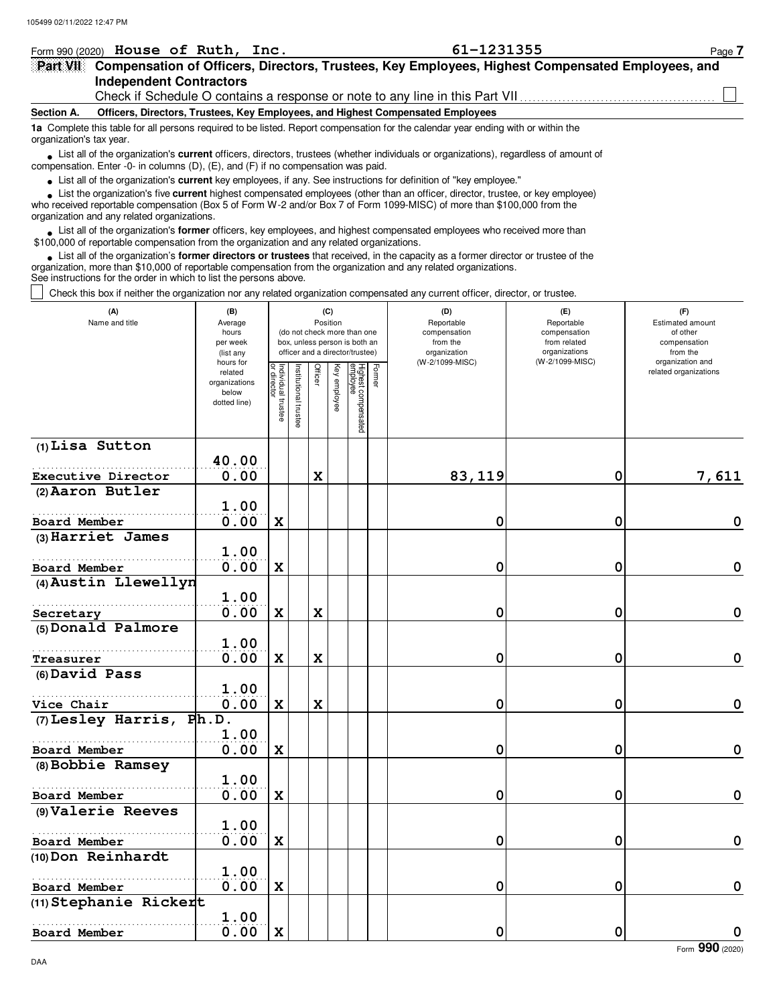| Form 990 (2020) House of Ruth, Inc.                                                                                                                                                                                                                                                                                         |                                                                |                                   |                       |         |              |                                                                                                 |        | 61-1231355                                                                                       |                                                                    |                                                                 |
|-----------------------------------------------------------------------------------------------------------------------------------------------------------------------------------------------------------------------------------------------------------------------------------------------------------------------------|----------------------------------------------------------------|-----------------------------------|-----------------------|---------|--------------|-------------------------------------------------------------------------------------------------|--------|--------------------------------------------------------------------------------------------------|--------------------------------------------------------------------|-----------------------------------------------------------------|
| Part VII                                                                                                                                                                                                                                                                                                                    |                                                                |                                   |                       |         |              |                                                                                                 |        | Compensation of Officers, Directors, Trustees, Key Employees, Highest Compensated Employees, and |                                                                    | Page 7                                                          |
| <b>Independent Contractors</b>                                                                                                                                                                                                                                                                                              |                                                                |                                   |                       |         |              |                                                                                                 |        |                                                                                                  |                                                                    |                                                                 |
|                                                                                                                                                                                                                                                                                                                             |                                                                |                                   |                       |         |              |                                                                                                 |        |                                                                                                  |                                                                    |                                                                 |
| Section A.                                                                                                                                                                                                                                                                                                                  |                                                                |                                   |                       |         |              |                                                                                                 |        | Officers, Directors, Trustees, Key Employees, and Highest Compensated Employees                  |                                                                    |                                                                 |
| 1a Complete this table for all persons required to be listed. Report compensation for the calendar year ending with or within the<br>organization's tax year.                                                                                                                                                               |                                                                |                                   |                       |         |              |                                                                                                 |        |                                                                                                  |                                                                    |                                                                 |
| List all of the organization's current officers, directors, trustees (whether individuals or organizations), regardless of amount of<br>compensation. Enter -0- in columns (D), (E), and (F) if no compensation was paid.                                                                                                   |                                                                |                                   |                       |         |              |                                                                                                 |        |                                                                                                  |                                                                    |                                                                 |
| List all of the organization's current key employees, if any. See instructions for definition of "key employee."                                                                                                                                                                                                            |                                                                |                                   |                       |         |              |                                                                                                 |        |                                                                                                  |                                                                    |                                                                 |
| List the organization's five current highest compensated employees (other than an officer, director, trustee, or key employee)<br>who received reportable compensation (Box 5 of Form W-2 and/or Box 7 of Form 1099-MISC) of more than \$100,000 from the<br>organization and any related organizations.                    |                                                                |                                   |                       |         |              |                                                                                                 |        |                                                                                                  |                                                                    |                                                                 |
| List all of the organization's former officers, key employees, and highest compensated employees who received more than<br>\$100,000 of reportable compensation from the organization and any related organizations.                                                                                                        |                                                                |                                   |                       |         |              |                                                                                                 |        |                                                                                                  |                                                                    |                                                                 |
| List all of the organization's former directors or trustees that received, in the capacity as a former director or trustee of the<br>organization, more than \$10,000 of reportable compensation from the organization and any related organizations.<br>See instructions for the order in which to list the persons above. |                                                                |                                   |                       |         |              |                                                                                                 |        |                                                                                                  |                                                                    |                                                                 |
| Check this box if neither the organization nor any related organization compensated any current officer, director, or trustee.                                                                                                                                                                                              |                                                                |                                   |                       |         |              |                                                                                                 |        |                                                                                                  |                                                                    |                                                                 |
| (A)<br>Name and title                                                                                                                                                                                                                                                                                                       | (B)<br>Average<br>hours<br>per week<br>(list any               |                                   |                       | (C)     | Position     | (do not check more than one<br>box, unless person is both an<br>officer and a director/trustee) |        | (D)<br>Reportable<br>compensation<br>from the<br>organization                                    | (E)<br>Reportable<br>compensation<br>from related<br>organizations | (F)<br>Estimated amount<br>of other<br>compensation<br>from the |
|                                                                                                                                                                                                                                                                                                                             | hours for<br>related<br>organizations<br>below<br>dotted line) | or director<br>Individual trustee | Institutional trustee | Officer | Key employee | Highest compensated<br>employee                                                                 | Former | (W-2/1099-MISC)                                                                                  | (W-2/1099-MISC)                                                    | organization and<br>related organizations                       |
| $(1)$ Lisa Sutton                                                                                                                                                                                                                                                                                                           | 40.00                                                          |                                   |                       |         |              |                                                                                                 |        |                                                                                                  |                                                                    |                                                                 |
| Executive Director                                                                                                                                                                                                                                                                                                          | 0.00                                                           |                                   |                       | X       |              |                                                                                                 |        | 83,119                                                                                           |                                                                    | 0<br>7.611                                                      |

|                          | 40.00 |              |             |        |             |                 |
|--------------------------|-------|--------------|-------------|--------|-------------|-----------------|
| Executive Director       | 0.00  |              | $\mathbf x$ | 83,119 | 0           | 7,611           |
| (2) Aaron Butler         |       |              |             |        |             |                 |
|                          | 1.00  |              |             |        |             |                 |
| Board Member             | 0.00  | $\mathbf x$  |             | 0      | 0           | 0               |
| (3) Harriet James        |       |              |             |        |             |                 |
|                          | 1.00  |              |             |        |             |                 |
| <b>Board Member</b>      | 0.00  | X            |             | 0      | 0           | 0               |
| (4) Austin Llewellyn     |       |              |             |        |             |                 |
|                          | 1.00  |              |             |        |             |                 |
| Secretary                | 0.00  | $\mathbf x$  | $\mathbf x$ | 0      | $\mathbf 0$ | 0               |
| (5) Donald Palmore       |       |              |             |        |             |                 |
|                          | 1.00  |              |             |        |             |                 |
| Treasurer                | 0.00  | $\mathbf{x}$ | $\mathbf x$ | 0      | 0           | 0               |
| (6) David Pass           |       |              |             |        |             |                 |
|                          | 1.00  |              |             |        |             |                 |
| Vice Chair               | 0.00  | $\mathbf x$  | X           | 0      | 0           | 0               |
| (7) Lesley Harris, Ph.D. |       |              |             |        |             |                 |
|                          | 1.00  |              |             |        |             |                 |
| Board Member             | 0.00  | X            |             | 0      | 0           | 0               |
| (8) Bobbie Ramsey        |       |              |             |        |             |                 |
|                          | 1.00  |              |             |        |             |                 |
| Board Member             | 0.00  | $\mathbf x$  |             | 0      | 0           | 0               |
| (9) Valerie Reeves       |       |              |             |        |             |                 |
|                          | 1.00  |              |             |        |             |                 |
| Board Member             | 0.00  | $\mathbf x$  |             | 0      | 0           | 0               |
| (10) Don Reinhardt       |       |              |             |        |             |                 |
|                          | 1.00  |              |             |        |             |                 |
| Board Member             | 0.00  | $\mathbf x$  |             | 0      | 0           | 0               |
| (11) Stephanie Rickert   |       |              |             |        |             |                 |
|                          | 1.00  |              |             |        |             |                 |
| Board Member             | 0.00  | $\mathbf x$  |             | 0      | 0           | 0               |
|                          |       |              |             |        |             | Form 990 (2020) |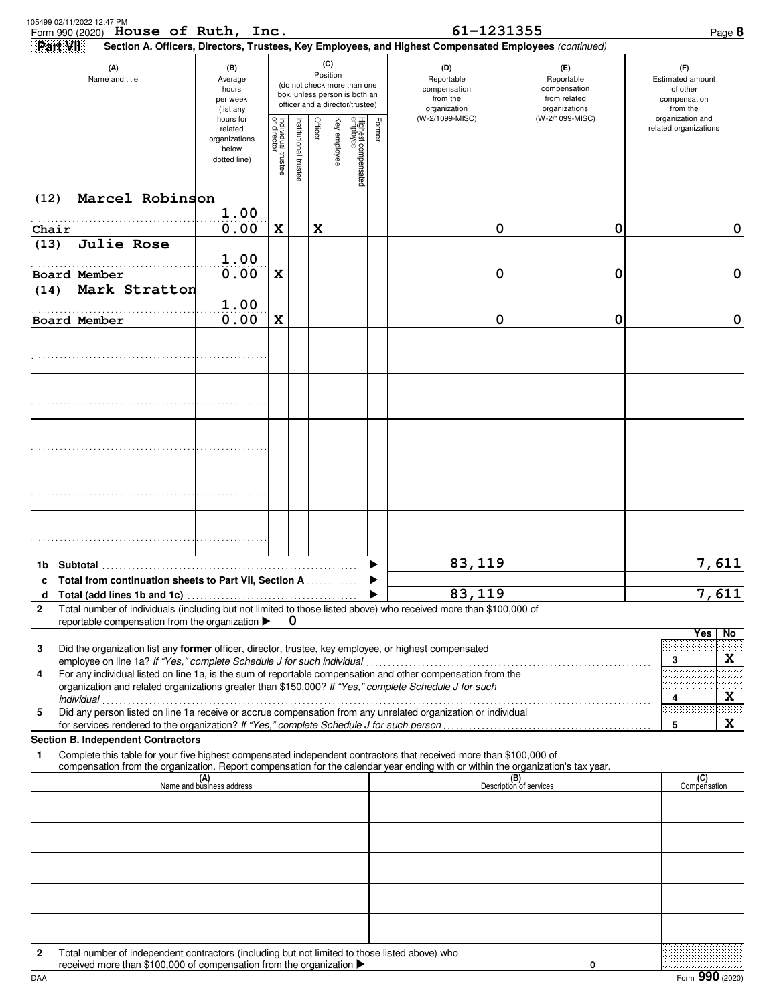|             | 105499 02/11/2022 12:47 PM<br>Form 990 (2020) House of Ruth, Inc.<br>Part VII                                                                                                                                                                          |                                                                |                                        |                      |         |                 |                                                                                                 |        | 61-1231355<br>Section A. Officers, Directors, Trustees, Key Employees, and Highest Compensated Employees (continued) |                                                                    | Page 8                                                                 |
|-------------|--------------------------------------------------------------------------------------------------------------------------------------------------------------------------------------------------------------------------------------------------------|----------------------------------------------------------------|----------------------------------------|----------------------|---------|-----------------|-------------------------------------------------------------------------------------------------|--------|----------------------------------------------------------------------------------------------------------------------|--------------------------------------------------------------------|------------------------------------------------------------------------|
|             | (A)<br>Name and title                                                                                                                                                                                                                                  | (B)<br>Average<br>hours<br>per week<br>(list any               |                                        |                      |         | (C)<br>Position | (do not check more than one<br>box, unless person is both an<br>officer and a director/trustee) |        | (D)<br>Reportable<br>compensation<br>from the<br>organization                                                        | (E)<br>Reportable<br>compensation<br>from related<br>organizations | (F)<br><b>Estimated amount</b><br>of other<br>compensation<br>from the |
|             |                                                                                                                                                                                                                                                        | hours for<br>related<br>organizations<br>below<br>dotted line) | Individual 1<br>or director<br>trustee | nstitutional trustee | Officer | Key employee    | Highest compensated<br>employee                                                                 | Former | (W-2/1099-MISC)                                                                                                      | (W-2/1099-MISC)                                                    | organization and<br>related organizations                              |
| (12)        | Marcel Robinson                                                                                                                                                                                                                                        |                                                                |                                        |                      |         |                 |                                                                                                 |        |                                                                                                                      |                                                                    |                                                                        |
| $chair$     |                                                                                                                                                                                                                                                        | 1.00<br>0.00                                                   | $\mathbf x$                            |                      | X       |                 |                                                                                                 |        | 0                                                                                                                    | 0                                                                  | 0                                                                      |
| (13)        | Julie Rose                                                                                                                                                                                                                                             |                                                                |                                        |                      |         |                 |                                                                                                 |        |                                                                                                                      |                                                                    |                                                                        |
|             | Board Member                                                                                                                                                                                                                                           | 1.00<br>0.00                                                   | $\mathbf x$                            |                      |         |                 |                                                                                                 |        | 0                                                                                                                    | 0                                                                  | 0                                                                      |
| (14)        | Mark Stratton                                                                                                                                                                                                                                          |                                                                |                                        |                      |         |                 |                                                                                                 |        |                                                                                                                      |                                                                    |                                                                        |
|             | <b>Board Member</b>                                                                                                                                                                                                                                    | 1.00<br>0.00                                                   | $\mathbf x$                            |                      |         |                 |                                                                                                 |        | 0                                                                                                                    | 0                                                                  | $\mathbf 0$                                                            |
|             |                                                                                                                                                                                                                                                        |                                                                |                                        |                      |         |                 |                                                                                                 |        |                                                                                                                      |                                                                    |                                                                        |
|             |                                                                                                                                                                                                                                                        |                                                                |                                        |                      |         |                 |                                                                                                 |        |                                                                                                                      |                                                                    |                                                                        |
|             |                                                                                                                                                                                                                                                        |                                                                |                                        |                      |         |                 |                                                                                                 |        |                                                                                                                      |                                                                    |                                                                        |
|             |                                                                                                                                                                                                                                                        |                                                                |                                        |                      |         |                 |                                                                                                 |        |                                                                                                                      |                                                                    |                                                                        |
|             |                                                                                                                                                                                                                                                        |                                                                |                                        |                      |         |                 |                                                                                                 |        |                                                                                                                      |                                                                    |                                                                        |
|             |                                                                                                                                                                                                                                                        |                                                                |                                        |                      |         |                 |                                                                                                 |        |                                                                                                                      |                                                                    |                                                                        |
| 1b          | Subtotal                                                                                                                                                                                                                                               |                                                                |                                        |                      |         |                 |                                                                                                 |        | 83,119                                                                                                               |                                                                    | 7,611                                                                  |
| d           | c Total from continuation sheets to Part VII, Section A                                                                                                                                                                                                |                                                                |                                        |                      |         |                 |                                                                                                 |        | 83,119                                                                                                               |                                                                    | 7,611                                                                  |
| 2           | Total number of individuals (including but not limited to those listed above) who received more than \$100,000 of                                                                                                                                      |                                                                |                                        | O                    |         |                 |                                                                                                 |        |                                                                                                                      |                                                                    |                                                                        |
|             | reportable compensation from the organization ▶                                                                                                                                                                                                        |                                                                |                                        |                      |         |                 |                                                                                                 |        |                                                                                                                      |                                                                    | Yes<br>No                                                              |
| 3<br>4      | Did the organization list any former officer, director, trustee, key employee, or highest compensated<br>For any individual listed on line 1a, is the sum of reportable compensation and other compensation from the                                   |                                                                |                                        |                      |         |                 |                                                                                                 |        |                                                                                                                      |                                                                    | X<br>3                                                                 |
|             | organization and related organizations greater than \$150,000? If "Yes," complete Schedule J for such<br>individual                                                                                                                                    |                                                                |                                        |                      |         |                 |                                                                                                 |        |                                                                                                                      |                                                                    | X<br>4                                                                 |
| 5           | Did any person listed on line 1a receive or accrue compensation from any unrelated organization or individual                                                                                                                                          |                                                                |                                        |                      |         |                 |                                                                                                 |        |                                                                                                                      |                                                                    | X<br>5                                                                 |
|             | <b>Section B. Independent Contractors</b>                                                                                                                                                                                                              |                                                                |                                        |                      |         |                 |                                                                                                 |        |                                                                                                                      |                                                                    |                                                                        |
| $\mathbf 1$ | Complete this table for your five highest compensated independent contractors that received more than \$100,000 of<br>compensation from the organization. Report compensation for the calendar year ending with or within the organization's tax year. |                                                                |                                        |                      |         |                 |                                                                                                 |        |                                                                                                                      |                                                                    |                                                                        |
|             |                                                                                                                                                                                                                                                        | (A)<br>Name and business address                               |                                        |                      |         |                 |                                                                                                 |        |                                                                                                                      | (B)<br>Description of services                                     | (C)<br>Compensation                                                    |
|             |                                                                                                                                                                                                                                                        |                                                                |                                        |                      |         |                 |                                                                                                 |        |                                                                                                                      |                                                                    |                                                                        |
|             |                                                                                                                                                                                                                                                        |                                                                |                                        |                      |         |                 |                                                                                                 |        |                                                                                                                      |                                                                    |                                                                        |
|             |                                                                                                                                                                                                                                                        |                                                                |                                        |                      |         |                 |                                                                                                 |        |                                                                                                                      |                                                                    |                                                                        |
|             |                                                                                                                                                                                                                                                        |                                                                |                                        |                      |         |                 |                                                                                                 |        |                                                                                                                      |                                                                    |                                                                        |
|             |                                                                                                                                                                                                                                                        |                                                                |                                        |                      |         |                 |                                                                                                 |        |                                                                                                                      |                                                                    |                                                                        |
|             |                                                                                                                                                                                                                                                        |                                                                |                                        |                      |         |                 |                                                                                                 |        |                                                                                                                      |                                                                    |                                                                        |
| 2           | Total number of independent contractors (including but not limited to those listed above) who<br>received more than \$100,000 of compensation from the organization ▶                                                                                  |                                                                |                                        |                      |         |                 |                                                                                                 |        |                                                                                                                      | 0                                                                  |                                                                        |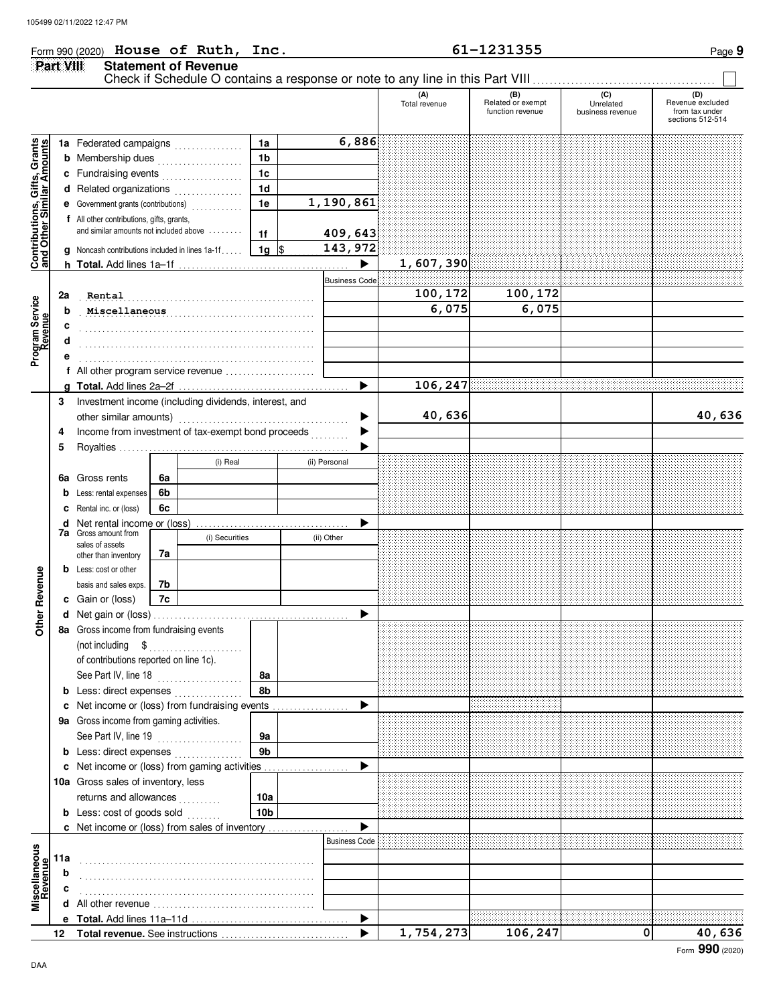#### Form 990 (2020) Page **9 House of Ruth, Inc. 61-1231355**

|                                                | Part VIII |                                                        |    | <b>Statement of Revenue</b> |                 |  |                      | Check if Schedule O contains a response or note to any line in this Part VIII |                                              |                                      |                                                               |
|------------------------------------------------|-----------|--------------------------------------------------------|----|-----------------------------|-----------------|--|----------------------|-------------------------------------------------------------------------------|----------------------------------------------|--------------------------------------|---------------------------------------------------------------|
|                                                |           |                                                        |    |                             |                 |  |                      | (A)<br>Total revenue                                                          | (B)<br>Related or exempt<br>function revenue | (C)<br>Unrelated<br>business revenue | (D)<br>Revenue excluded<br>from tax under<br>sections 512-514 |
|                                                |           | 1a Federated campaigns                                 |    |                             | 1a              |  | 6,886                |                                                                               |                                              |                                      |                                                               |
| Grants<br>mounts                               |           | <b>b</b> Membership dues <i></i>                       |    |                             | 1 <sub>b</sub>  |  |                      |                                                                               |                                              |                                      |                                                               |
|                                                |           | c Fundraising events                                   |    |                             | 1 <sub>c</sub>  |  |                      |                                                                               |                                              |                                      |                                                               |
| Gifts,                                         |           | d Related organizations                                |    |                             | 1 <sub>d</sub>  |  |                      |                                                                               |                                              |                                      |                                                               |
| <b>Contributions, Gif</b><br>and Other Similar |           | e Government grants (contributions)<br>                |    |                             | 1e              |  | 1,190,861            |                                                                               |                                              |                                      |                                                               |
|                                                |           | f All other contributions, gifts, grants,              |    |                             |                 |  |                      |                                                                               |                                              |                                      |                                                               |
|                                                |           | and similar amounts not included above                 |    |                             | 1f              |  | 409,643              |                                                                               |                                              |                                      |                                                               |
|                                                |           | <b>g</b> Noncash contributions included in lines 1a-1f |    |                             | $1g$ \$         |  | 143,972              |                                                                               |                                              |                                      |                                                               |
|                                                |           |                                                        |    |                             |                 |  | ▶                    | 1,607,390                                                                     |                                              |                                      |                                                               |
|                                                |           |                                                        |    |                             |                 |  | <b>Business Code</b> |                                                                               |                                              |                                      |                                                               |
|                                                | 2a        | Rental                                                 |    |                             |                 |  |                      | 100,172                                                                       | 100,172                                      |                                      |                                                               |
|                                                | b         | Miscellaneous                                          |    |                             |                 |  |                      | 6,075                                                                         | 6,075                                        |                                      |                                                               |
| Program Service<br>Revenue                     | c         |                                                        |    |                             |                 |  |                      |                                                                               |                                              |                                      |                                                               |
|                                                | d         |                                                        |    |                             |                 |  |                      |                                                                               |                                              |                                      |                                                               |
|                                                | е         |                                                        |    |                             |                 |  |                      |                                                                               |                                              |                                      |                                                               |
|                                                |           |                                                        |    |                             |                 |  | ▶                    | 106,247                                                                       |                                              |                                      |                                                               |
|                                                | 3         | Investment income (including dividends, interest, and  |    |                             |                 |  |                      |                                                                               |                                              |                                      |                                                               |
|                                                |           |                                                        |    |                             |                 |  | ▶                    | 40,636                                                                        |                                              |                                      | 40,636                                                        |
|                                                | 4         | Income from investment of tax-exempt bond proceeds     |    |                             |                 |  |                      |                                                                               |                                              |                                      |                                                               |
|                                                | 5         |                                                        |    |                             |                 |  |                      |                                                                               |                                              |                                      |                                                               |
|                                                |           |                                                        |    | (i) Real                    |                 |  | (ii) Personal        |                                                                               |                                              |                                      |                                                               |
|                                                |           | 6a Gross rents                                         | 6a |                             |                 |  |                      |                                                                               |                                              |                                      |                                                               |
|                                                | b         | Less: rental expenses                                  | 6b |                             |                 |  |                      |                                                                               |                                              |                                      |                                                               |
|                                                | c         | Rental inc. or (loss)                                  | 6c |                             |                 |  |                      |                                                                               |                                              |                                      |                                                               |
|                                                | d         | <b>7a</b> Gross amount from                            |    |                             |                 |  |                      |                                                                               |                                              |                                      |                                                               |
|                                                |           | sales of assets                                        |    | (i) Securities              |                 |  | (ii) Other           |                                                                               |                                              |                                      |                                                               |
|                                                |           | other than inventory                                   | 7a |                             |                 |  |                      |                                                                               |                                              |                                      |                                                               |
|                                                |           | <b>b</b> Less: cost or other                           |    |                             |                 |  |                      |                                                                               |                                              |                                      |                                                               |
|                                                |           | basis and sales exps.                                  | 7b |                             |                 |  |                      |                                                                               |                                              |                                      |                                                               |
| ther Revenue                                   |           | c Gain or (loss)                                       | 7c |                             |                 |  |                      |                                                                               |                                              |                                      |                                                               |
|                                                |           | 8a Gross income from fundraising events                |    |                             |                 |  |                      |                                                                               |                                              |                                      |                                                               |
|                                                |           | (not including \$                                      |    |                             |                 |  |                      |                                                                               |                                              |                                      |                                                               |
|                                                |           | of contributions reported on line 1c).                 |    | .                           |                 |  |                      |                                                                               |                                              |                                      |                                                               |
|                                                |           | See Part IV, line 18                                   |    |                             | 8а              |  |                      |                                                                               |                                              |                                      |                                                               |
|                                                |           | <b>b</b> Less: direct expenses                         |    |                             | 8 <sub>b</sub>  |  |                      |                                                                               |                                              |                                      |                                                               |
|                                                |           | c Net income or (loss) from fundraising events         |    |                             |                 |  |                      |                                                                               |                                              |                                      |                                                               |
|                                                |           | 9a Gross income from gaming activities.                |    |                             |                 |  |                      |                                                                               |                                              |                                      |                                                               |
|                                                |           | See Part IV, line 19                                   |    | .                           | 9а              |  |                      |                                                                               |                                              |                                      |                                                               |
|                                                |           | <b>b</b> Less: direct expenses                         |    |                             | 9 <sub>b</sub>  |  |                      |                                                                               |                                              |                                      |                                                               |
|                                                |           | c Net income or (loss) from gaming activities          |    |                             |                 |  |                      |                                                                               |                                              |                                      |                                                               |
|                                                |           | 10a Gross sales of inventory, less                     |    |                             |                 |  |                      |                                                                               |                                              |                                      |                                                               |
|                                                |           | returns and allowances                                 |    | .                           | 10a             |  |                      |                                                                               |                                              |                                      |                                                               |
|                                                |           | <b>b</b> Less: cost of goods sold                      |    |                             | 10 <sub>b</sub> |  |                      |                                                                               |                                              |                                      |                                                               |
|                                                |           | <b>c</b> Net income or (loss) from sales of inventory  |    |                             |                 |  | <b>Business Code</b> |                                                                               |                                              |                                      |                                                               |
|                                                | 11a       |                                                        |    |                             |                 |  |                      |                                                                               |                                              |                                      |                                                               |
| evenue                                         | b         |                                                        |    |                             |                 |  |                      |                                                                               |                                              |                                      |                                                               |
|                                                |           |                                                        |    |                             |                 |  |                      |                                                                               |                                              |                                      |                                                               |
| Miscellaneous                                  | d         |                                                        |    |                             |                 |  |                      |                                                                               |                                              |                                      |                                                               |
|                                                |           |                                                        |    |                             |                 |  | ▶                    |                                                                               |                                              |                                      |                                                               |
|                                                | 12        |                                                        |    |                             |                 |  |                      | 1,754,273                                                                     | 106,247                                      | $\mathbf 0$                          | 40,636                                                        |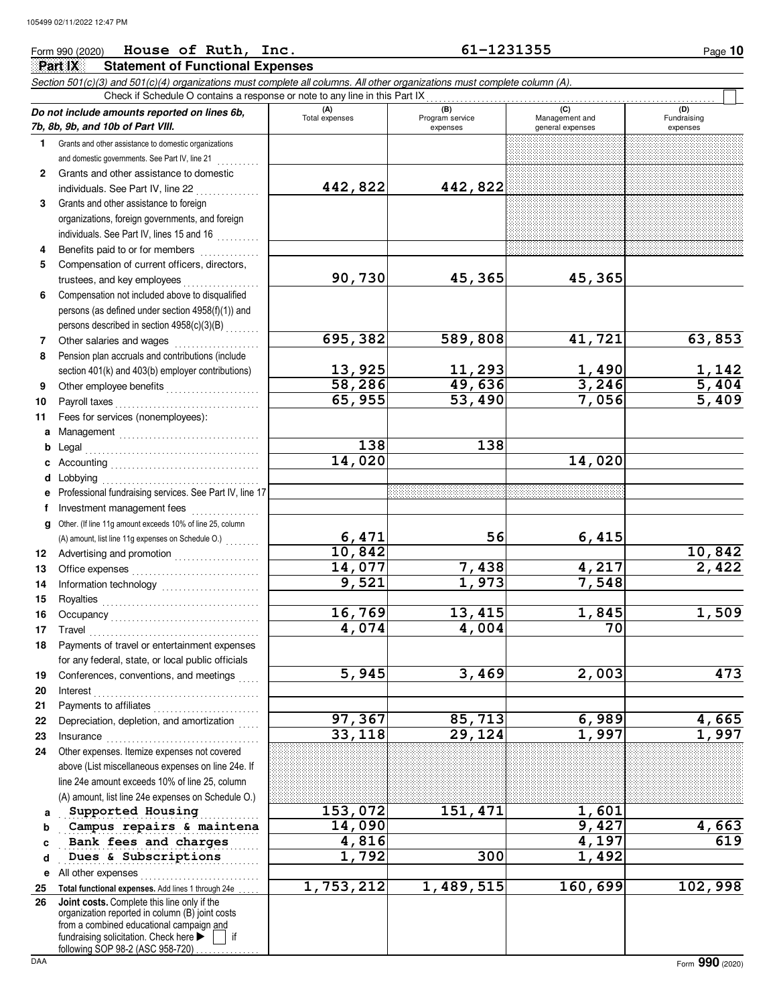#### **Part IX Statement of Functional Expenses** Form 990 (2020) **House of Ruth, Inc.** 61-1231355 Page 10 Section 501(c)(3) and 501(c)(4) organizations must complete all columns. All other organizations must complete column (A). **Do not include amounts reported on lines 6b, 7b, 8b, 9b, and 10b of Part VIII. 1 2 3 4 5 6 7 8 9 10 11 a** Management . . . . . . . . . . . . . . . . . . . . . . . . . . . . . . . . . **b** Legal . . . . . . . . . . . . . . . . . . . . . . . . . . . . . . . . . . . . . . . . . **c** Accounting . . . . . . . . . . . . . . . . . . . . . . . . . . . . . . . . . . . **d** Lobbying . . . . . . . . . . . . . . . . . . . . . . . . . . . . . . . . . . . . . **e f g** Other. (If line 11g amount exceeds 10% of line 25, column **12** Advertising and promotion . . . . . . . . . . . . . . . . . . **13** Grants and other assistance to domestic organizations and domestic governments. See Part IV, line 21 **.** . . . . . . . . . Grants and other assistance to domestic individuals. See Part IV, line 22 Grants and other assistance to foreign organizations, foreign governments, and foreign individuals. See Part IV, lines 15 and 16 Benefits paid to or for members . . . . . . . . . . . . . . . . Compensation of current officers, directors, trustees, and key employees . . . . . . . . . . . . . . . . . . Compensation not included above to disqualified persons (as defined under section 4958(f)(1)) and persons described in section  $4958(c)(3)(B)$   $\ldots$ Other salaries and wages .................... Pension plan accruals and contributions (include section 401(k) and 403(b) employer contributions) Other employee benefits . . . . . . . . . . . . . . . . . . . . . . Payroll taxes . . . . . . . . . . . . . . . . . . . . . . . . . . . . . . . . . . Fees for services (nonemployees): Professional fundraising services. See Part IV, line 17 Investment management fees ................ Office expenses **(A) (B) (C) (D)** (A) (B) (C)<br>Total expenses Program service Management and<br>expenses expenses are denoted expenses general expenses Fundraising expenses Check if Schedule O contains a response or note to any line in this Part IX (A) amount, list line 11g expenses on Schedule O.)  $\ldots \ldots$ **442,822 442,822 90,730 45,365 45,365 695,382 589,808 41,721 63,853 13,925 11,293 1,490 1,142 58,286 49,636 3,246 5,404 65,955 53,490 7,056 5,409 138 138 14,020 14,020 6,471 56 6,415 10,842 10,842 14,077** 105499 02/11/2022 12:47 PM

|    |                                                                                                                                                                                                            | --, v <i>, ,</i> | $, - - -$ | -7 - - 7 |         |
|----|------------------------------------------------------------------------------------------------------------------------------------------------------------------------------------------------------------|------------------|-----------|----------|---------|
| 14 |                                                                                                                                                                                                            | 9,521            | 1,973     | 7,548    |         |
| 15 |                                                                                                                                                                                                            |                  |           |          |         |
| 16 |                                                                                                                                                                                                            | 16,769           | 13,415    | 1,845    | 1,509   |
| 17 |                                                                                                                                                                                                            | 4,074            | 4,004     | 70       |         |
| 18 | Payments of travel or entertainment expenses<br>for any federal, state, or local public officials                                                                                                          |                  |           |          |         |
| 19 | Conferences, conventions, and meetings                                                                                                                                                                     | 5,945            | 3,469     | 2,003    | 473     |
| 20 | Interest                                                                                                                                                                                                   |                  |           |          |         |
| 21 | Payments to affiliates                                                                                                                                                                                     |                  |           |          |         |
| 22 | Depreciation, depletion, and amortization                                                                                                                                                                  | 97,367           | 85,713    | 6,989    | 4,665   |
| 23 | Insurance                                                                                                                                                                                                  | 33,118           | 29, 124   | 1,997    | 1,997   |
| 24 | Other expenses. Itemize expenses not covered<br>above (List miscellaneous expenses on line 24e. If<br>line 24e amount exceeds 10% of line 25, column<br>(A) amount, list line 24e expenses on Schedule O.) |                  |           |          |         |
| a  | Supported Housing                                                                                                                                                                                          | 153,072          | 151,471   | 1,601    |         |
| b  | Campus repairs & maintena                                                                                                                                                                                  | 14,090           |           | 9,427    | 4,663   |
| c  | Bank fees and charges                                                                                                                                                                                      | 4,816            |           | 4,197    | 619     |
| d  | Dues & Subscriptions                                                                                                                                                                                       | 1,792            | 300       | 1,492    |         |
| е  |                                                                                                                                                                                                            |                  |           |          |         |
| 25 | Total functional expenses. Add lines 1 through 24e                                                                                                                                                         | 1,753,212        | 1,489,515 | 160,699  | 102,998 |
| 26 | Joint costs. Complete this line only if the<br>organization reported in column (B) joint costs<br>from a combined educational campaign and<br>fundraising solicitation. Check here                         |                  |           |          |         |

following SOP 98-2 (ASC 958-720) . . . . . . . . . . . . .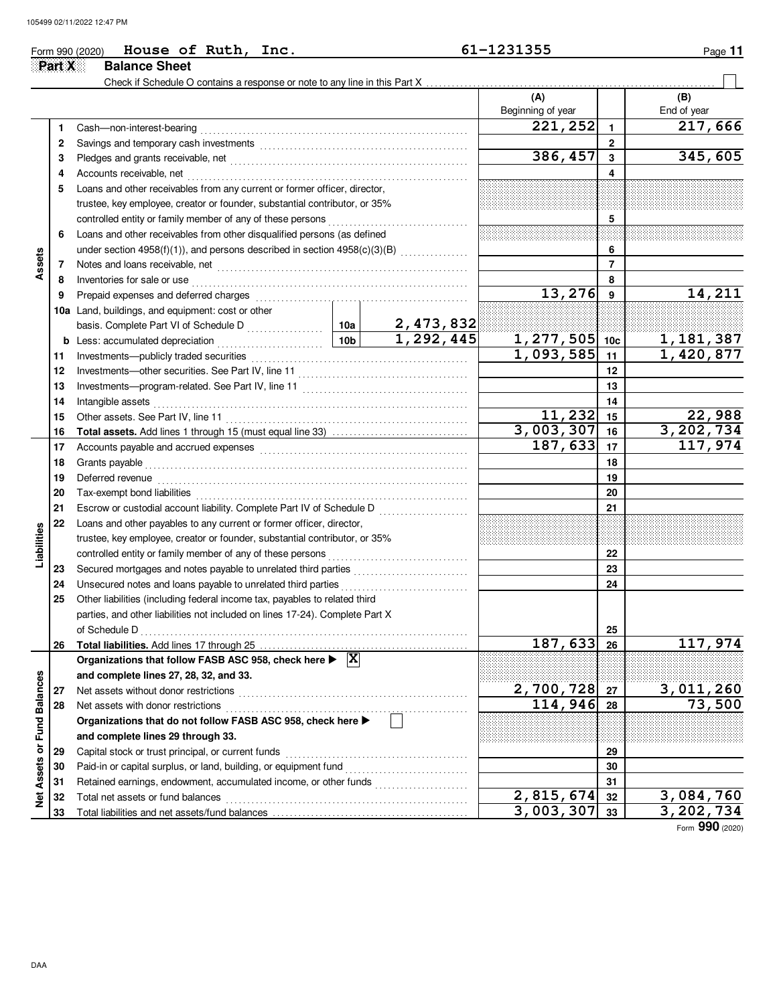|                             |        | House of Ruth, Inc.<br>Form 990 (2020)                                       |                         |                | 61-1231355               |                | Page 11            |
|-----------------------------|--------|------------------------------------------------------------------------------|-------------------------|----------------|--------------------------|----------------|--------------------|
|                             | Part X | <b>Balance Sheet</b>                                                         |                         |                |                          |                |                    |
|                             |        |                                                                              |                         |                |                          |                |                    |
|                             |        |                                                                              |                         |                | (A)<br>Beginning of year |                | (B)<br>End of year |
|                             | 1      | Cash-non-interest-bearing                                                    |                         |                | 221,252                  | $\mathbf{1}$   | 217,666            |
|                             | 2      |                                                                              |                         |                |                          | $\overline{2}$ |                    |
|                             | 3      |                                                                              |                         |                | 386,457                  | $\mathbf{3}$   | 345,605            |
|                             | 4      | Accounts receivable, net                                                     |                         |                |                          | 4              |                    |
|                             | 5      | Loans and other receivables from any current or former officer, director,    |                         |                |                          |                |                    |
|                             |        | trustee, key employee, creator or founder, substantial contributor, or 35%   |                         |                |                          |                |                    |
|                             |        | controlled entity or family member of any of these persons                   |                         | 5              |                          |                |                    |
| Assets                      | 6      | Loans and other receivables from other disqualified persons (as defined      |                         |                |                          |                |                    |
|                             |        | under section 4958(f)(1)), and persons described in section 4958(c)(3)(B)    |                         |                |                          | 6              |                    |
|                             | 7      |                                                                              |                         | $\overline{7}$ |                          |                |                    |
|                             | 8      | Inventories for sale or use                                                  |                         |                |                          | 8              |                    |
|                             | 9      | Prepaid expenses and deferred charges                                        |                         |                | 13,276                   | 9              | 14,211             |
|                             |        | 10a Land, buildings, and equipment: cost or other                            |                         |                |                          |                |                    |
|                             |        |                                                                              |                         | 2, 473, 832    |                          |                |                    |
|                             | b      | Less: accumulated depreciation                                               | 10 <sub>b</sub>         | 1, 292, 445    | 1, 277, 505              | 10c            | 1, 181, 387        |
|                             | 11     | Investments-publicly traded securities                                       |                         |                | 1,093,585                | 11             | 1,420,877          |
|                             | 12     |                                                                              |                         |                |                          | 12             |                    |
|                             | 13     |                                                                              |                         | 13             |                          |                |                    |
|                             | 14     | Intangible assets                                                            |                         | 14             |                          |                |                    |
|                             | 15     | Other assets. See Part IV, line 11                                           | 11,232                  | 15             | 22,988                   |                |                    |
|                             | 16     |                                                                              |                         |                | 3,003,307                | 16             | 3,202,734          |
|                             | 17     |                                                                              |                         |                | 187,633                  | 17             | 117,974            |
|                             | 18     | Grants payable                                                               |                         | 18             |                          |                |                    |
|                             | 19     | Deferred revenue                                                             |                         |                |                          | 19             |                    |
|                             | 20     | Tax-exempt bond liabilities                                                  |                         |                |                          | 20             |                    |
|                             | 21     |                                                                              |                         |                |                          | 21             |                    |
|                             | 22     | Loans and other payables to any current or former officer, director,         |                         |                |                          |                |                    |
| Liabilities                 |        | trustee, key employee, creator or founder, substantial contributor, or 35%   |                         |                |                          |                |                    |
|                             |        | controlled entity or family member of any of these persons                   |                         |                |                          | 22             |                    |
|                             | 23     |                                                                              |                         |                |                          | 23             |                    |
|                             | 24     | Unsecured notes and loans payable to unrelated third parties                 |                         |                |                          | 24             |                    |
|                             | 25     | Other liabilities (including federal income tax, payables to related third   |                         |                |                          |                |                    |
|                             |        | parties, and other liabilities not included on lines 17-24). Complete Part X |                         |                |                          |                |                    |
|                             |        | of Schedule D                                                                |                         |                |                          | 25             |                    |
|                             | 26     |                                                                              |                         |                | 187, 633                 | 26             | 117,974            |
|                             |        | Organizations that follow FASB ASC 958, check here >                         | $\overline{\mathbf{X}}$ |                |                          |                |                    |
|                             |        | and complete lines 27, 28, 32, and 33.                                       |                         |                |                          |                |                    |
|                             | 27     | Net assets without donor restrictions                                        |                         |                | 2,700,728                | 27             | 3,011,260          |
|                             | 28     | Net assets with donor restrictions                                           |                         |                | 114,946                  | 28             | 73,500             |
|                             |        | Organizations that do not follow FASB ASC 958, check here >                  |                         |                |                          |                |                    |
|                             |        | and complete lines 29 through 33.                                            |                         |                |                          |                |                    |
|                             | 29     | Capital stock or trust principal, or current funds                           |                         |                |                          | 29             |                    |
|                             | 30     | Paid-in or capital surplus, or land, building, or equipment fund             |                         |                |                          | 30             |                    |
|                             | 31     | Retained earnings, endowment, accumulated income, or other funds             |                         |                |                          | 31             |                    |
| Net Assets or Fund Balances | 32     | Total net assets or fund balances                                            |                         |                | 2,815,674                | 32             | 3,084,760          |
|                             | 33     |                                                                              | 3,003,307               | 33             | 3,202,734                |                |                    |

Form **990** (2020)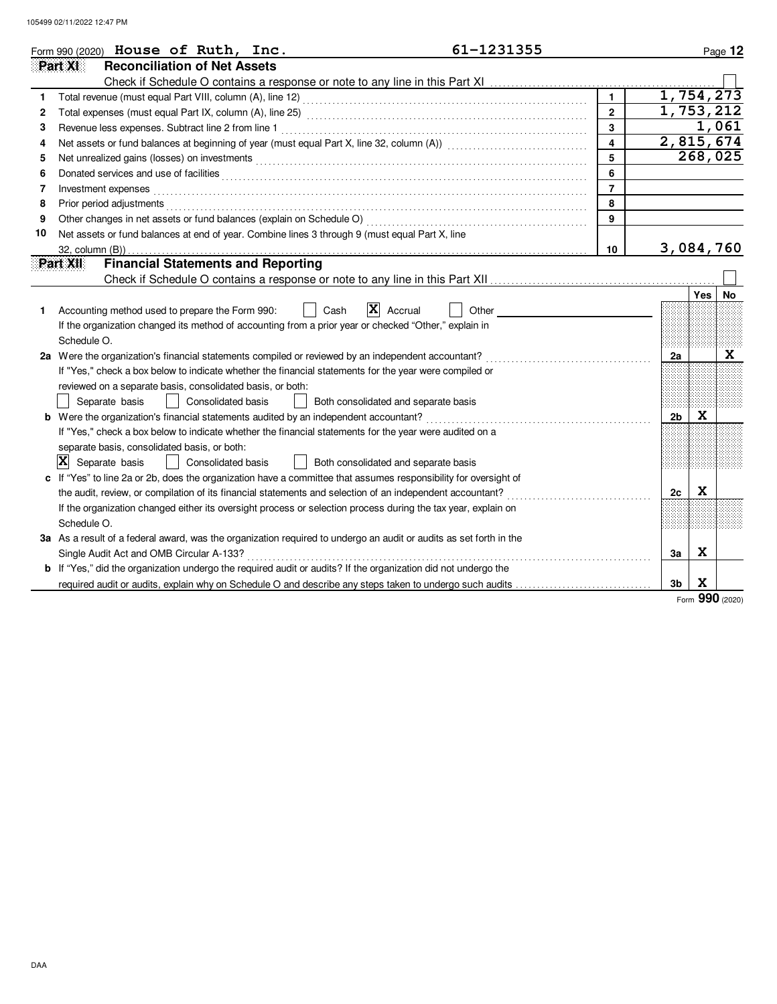|    | 61-1231355<br>Form 990 (2020) House of Ruth, Inc.                                                                                                                                                                              |                |    |     | Page 12                |
|----|--------------------------------------------------------------------------------------------------------------------------------------------------------------------------------------------------------------------------------|----------------|----|-----|------------------------|
|    | Part XI<br><b>Reconciliation of Net Assets</b>                                                                                                                                                                                 |                |    |     |                        |
|    |                                                                                                                                                                                                                                |                |    |     |                        |
| 1  |                                                                                                                                                                                                                                |                |    |     | 1,754,273              |
| 2  |                                                                                                                                                                                                                                | $\overline{2}$ |    |     | $\overline{1,753},212$ |
| 3  | Revenue less expenses. Subtract line 2 from line 1                                                                                                                                                                             | 3              |    |     | 1,061                  |
| 4  |                                                                                                                                                                                                                                | 4              |    |     | 2,815,674              |
| 5  | Net unrealized gains (losses) on investments [11] with the contract of the contract of the contract of the contract of the contract of the contract of the contract of the contract of the contract of the contract of the con | 5              |    |     | $\overline{268}$ , 025 |
| 6  | Donated services and use of facilities <b>constants and interview of the service of facilities</b>                                                                                                                             | 6              |    |     |                        |
| 7  | Investment expenses                                                                                                                                                                                                            | $\overline{7}$ |    |     |                        |
| 8  | Prior period adjustments                                                                                                                                                                                                       | 8              |    |     |                        |
| 9  |                                                                                                                                                                                                                                | 9              |    |     |                        |
| 10 | Net assets or fund balances at end of year. Combine lines 3 through 9 (must equal Part X, line                                                                                                                                 |                |    |     |                        |
|    |                                                                                                                                                                                                                                | 10             |    |     | 3,084,760              |
|    | <b>Financial Statements and Reporting</b><br>Part XII                                                                                                                                                                          |                |    |     |                        |
|    |                                                                                                                                                                                                                                |                |    |     |                        |
|    |                                                                                                                                                                                                                                |                |    | Yes | No                     |
| 1  | Accounting method used to prepare the Form 990:<br>Cash<br>IХ<br>Accrual<br>Other                                                                                                                                              |                |    |     |                        |
|    | If the organization changed its method of accounting from a prior year or checked "Other," explain in                                                                                                                          |                |    |     |                        |
|    | Schedule O.                                                                                                                                                                                                                    |                |    |     |                        |
|    | 2a Were the organization's financial statements compiled or reviewed by an independent accountant?                                                                                                                             |                | 2a |     | X                      |
|    | If "Yes," check a box below to indicate whether the financial statements for the year were compiled or                                                                                                                         |                |    |     |                        |
|    | reviewed on a separate basis, consolidated basis, or both:                                                                                                                                                                     |                |    |     |                        |
|    | Separate basis<br>Consolidated basis<br>Both consolidated and separate basis                                                                                                                                                   |                |    |     |                        |
|    | <b>b</b> Were the organization's financial statements audited by an independent accountant?                                                                                                                                    |                | 2b | X   |                        |
|    | If "Yes," check a box below to indicate whether the financial statements for the year were audited on a                                                                                                                        |                |    |     |                        |
|    | separate basis, consolidated basis, or both:                                                                                                                                                                                   |                |    |     |                        |
|    | $ \mathbf{X} $ Separate basis<br>Consolidated basis<br>Both consolidated and separate basis                                                                                                                                    |                |    |     |                        |
|    | c If "Yes" to line 2a or 2b, does the organization have a committee that assumes responsibility for oversight of                                                                                                               |                |    |     |                        |
|    | the audit, review, or compilation of its financial statements and selection of an independent accountant?                                                                                                                      |                | 2c | X   |                        |
|    | If the organization changed either its oversight process or selection process during the tax year, explain on                                                                                                                  |                |    |     |                        |
|    | Schedule O.                                                                                                                                                                                                                    |                |    |     |                        |
|    | 3a As a result of a federal award, was the organization required to undergo an audit or audits as set forth in the                                                                                                             |                |    |     |                        |
|    | Single Audit Act and OMB Circular A-133?                                                                                                                                                                                       |                | 3a | X   |                        |
|    | <b>b</b> If "Yes," did the organization undergo the required audit or audits? If the organization did not undergo the                                                                                                          |                |    |     |                        |
|    | required audit or audits, explain why on Schedule O and describe any steps taken to undergo such audits                                                                                                                        |                | 3b | X   |                        |
|    |                                                                                                                                                                                                                                |                |    |     | Form 990 (2020)        |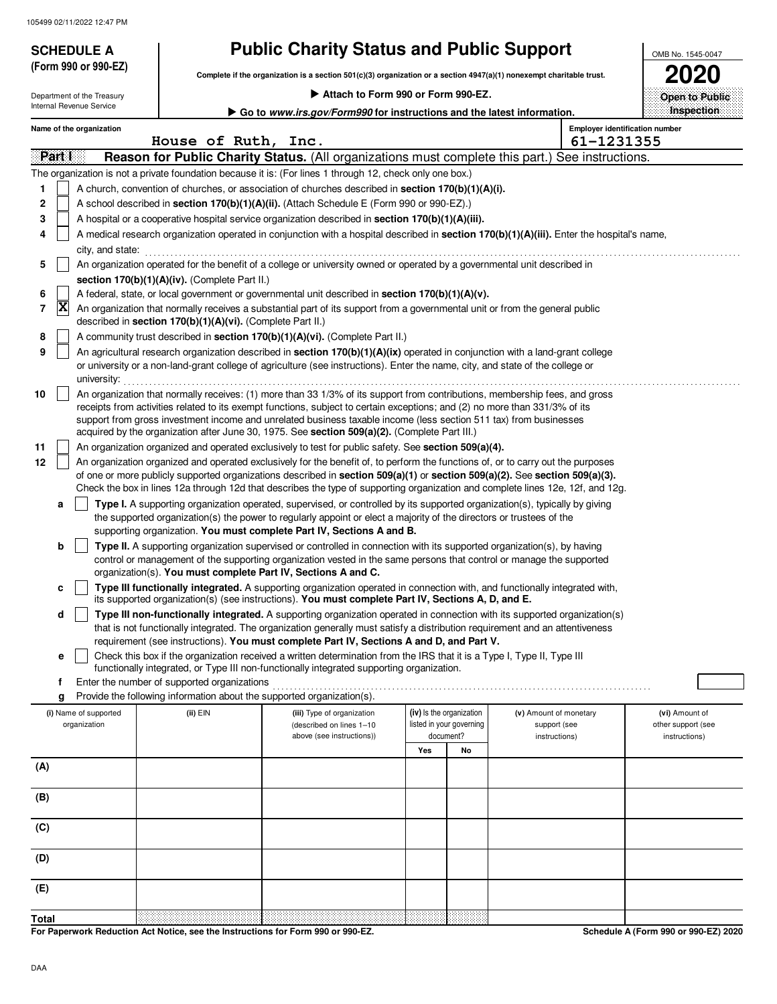Department of the Treasury

**(Form 990 or 990-EZ)**

## **SCHEDULE A Public Charity Status and Public Support**

**Complete if the organization is a section 501(c)(3) organization or a section 4947(a)(1) nonexempt charitable trust.**

 **Attach to Form 990 or Form 990-EZ.**

OMB No. 1545-0047 **2020 Open to Public**

| Internal Revenue Service<br>Inspection<br>Go to www.irs.gov/Form990 for instructions and the latest information. |        |                                       |                                                                        |                                                                                                                                                                                                                                                                                                                              |                          |                          |                                        |                                      |
|------------------------------------------------------------------------------------------------------------------|--------|---------------------------------------|------------------------------------------------------------------------|------------------------------------------------------------------------------------------------------------------------------------------------------------------------------------------------------------------------------------------------------------------------------------------------------------------------------|--------------------------|--------------------------|----------------------------------------|--------------------------------------|
|                                                                                                                  |        | Name of the organization              | House of Ruth, Inc.                                                    |                                                                                                                                                                                                                                                                                                                              |                          |                          | 61-1231355                             | Employer identification number       |
|                                                                                                                  | Part I |                                       |                                                                        | Reason for Public Charity Status. (All organizations must complete this part.) See instructions.                                                                                                                                                                                                                             |                          |                          |                                        |                                      |
|                                                                                                                  |        |                                       |                                                                        | The organization is not a private foundation because it is: (For lines 1 through 12, check only one box.)                                                                                                                                                                                                                    |                          |                          |                                        |                                      |
| 1                                                                                                                |        |                                       |                                                                        | A church, convention of churches, or association of churches described in section 170(b)(1)(A)(i).                                                                                                                                                                                                                           |                          |                          |                                        |                                      |
| 2                                                                                                                |        |                                       |                                                                        | A school described in section 170(b)(1)(A)(ii). (Attach Schedule E (Form 990 or 990-EZ).)                                                                                                                                                                                                                                    |                          |                          |                                        |                                      |
| 3                                                                                                                |        |                                       |                                                                        | A hospital or a cooperative hospital service organization described in section 170(b)(1)(A)(iii).                                                                                                                                                                                                                            |                          |                          |                                        |                                      |
| 4                                                                                                                |        |                                       |                                                                        | A medical research organization operated in conjunction with a hospital described in section 170(b)(1)(A)(iii). Enter the hospital's name,                                                                                                                                                                                   |                          |                          |                                        |                                      |
|                                                                                                                  |        | city, and state:                      |                                                                        |                                                                                                                                                                                                                                                                                                                              |                          |                          |                                        |                                      |
| 5                                                                                                                |        |                                       |                                                                        | An organization operated for the benefit of a college or university owned or operated by a governmental unit described in                                                                                                                                                                                                    |                          |                          |                                        |                                      |
|                                                                                                                  |        |                                       | section 170(b)(1)(A)(iv). (Complete Part II.)                          |                                                                                                                                                                                                                                                                                                                              |                          |                          |                                        |                                      |
| 6                                                                                                                |        |                                       |                                                                        | A federal, state, or local government or governmental unit described in section $170(b)(1)(A)(v)$ .                                                                                                                                                                                                                          |                          |                          |                                        |                                      |
| 7                                                                                                                | X      |                                       | described in section 170(b)(1)(A)(vi). (Complete Part II.)             | An organization that normally receives a substantial part of its support from a governmental unit or from the general public                                                                                                                                                                                                 |                          |                          |                                        |                                      |
| 8                                                                                                                |        |                                       |                                                                        | A community trust described in section 170(b)(1)(A)(vi). (Complete Part II.)                                                                                                                                                                                                                                                 |                          |                          |                                        |                                      |
| 9                                                                                                                |        |                                       |                                                                        | An agricultural research organization described in section 170(b)(1)(A)(ix) operated in conjunction with a land-grant college<br>or university or a non-land-grant college of agriculture (see instructions). Enter the name, city, and state of the college or                                                              |                          |                          |                                        |                                      |
|                                                                                                                  |        | university:                           |                                                                        |                                                                                                                                                                                                                                                                                                                              |                          |                          |                                        |                                      |
| 10                                                                                                               |        |                                       |                                                                        | An organization that normally receives: (1) more than 33 1/3% of its support from contributions, membership fees, and gross<br>receipts from activities related to its exempt functions, subject to certain exceptions; and (2) no more than 331/3% of its                                                                   |                          |                          |                                        |                                      |
|                                                                                                                  |        |                                       |                                                                        | support from gross investment income and unrelated business taxable income (less section 511 tax) from businesses                                                                                                                                                                                                            |                          |                          |                                        |                                      |
|                                                                                                                  |        |                                       |                                                                        | acquired by the organization after June 30, 1975. See section 509(a)(2). (Complete Part III.)                                                                                                                                                                                                                                |                          |                          |                                        |                                      |
| 11                                                                                                               |        |                                       |                                                                        | An organization organized and operated exclusively to test for public safety. See section 509(a)(4).                                                                                                                                                                                                                         |                          |                          |                                        |                                      |
| 12                                                                                                               |        |                                       |                                                                        | An organization organized and operated exclusively for the benefit of, to perform the functions of, or to carry out the purposes<br>of one or more publicly supported organizations described in section $509(a)(1)$ or section $509(a)(2)$ . See section $509(a)(3)$ .                                                      |                          |                          |                                        |                                      |
|                                                                                                                  |        |                                       |                                                                        | Check the box in lines 12a through 12d that describes the type of supporting organization and complete lines 12e, 12f, and 12g.                                                                                                                                                                                              |                          |                          |                                        |                                      |
|                                                                                                                  | а      |                                       |                                                                        | Type I. A supporting organization operated, supervised, or controlled by its supported organization(s), typically by giving<br>the supported organization(s) the power to regularly appoint or elect a majority of the directors or trustees of the<br>supporting organization. You must complete Part IV, Sections A and B. |                          |                          |                                        |                                      |
|                                                                                                                  | b      |                                       |                                                                        | Type II. A supporting organization supervised or controlled in connection with its supported organization(s), by having                                                                                                                                                                                                      |                          |                          |                                        |                                      |
|                                                                                                                  |        |                                       |                                                                        | control or management of the supporting organization vested in the same persons that control or manage the supported                                                                                                                                                                                                         |                          |                          |                                        |                                      |
|                                                                                                                  |        |                                       | organization(s). You must complete Part IV, Sections A and C.          |                                                                                                                                                                                                                                                                                                                              |                          |                          |                                        |                                      |
|                                                                                                                  | c      |                                       |                                                                        | Type III functionally integrated. A supporting organization operated in connection with, and functionally integrated with,<br>its supported organization(s) (see instructions). You must complete Part IV, Sections A, D, and E.                                                                                             |                          |                          |                                        |                                      |
|                                                                                                                  | d      |                                       |                                                                        | Type III non-functionally integrated. A supporting organization operated in connection with its supported organization(s)                                                                                                                                                                                                    |                          |                          |                                        |                                      |
|                                                                                                                  |        |                                       |                                                                        | that is not functionally integrated. The organization generally must satisfy a distribution requirement and an attentiveness                                                                                                                                                                                                 |                          |                          |                                        |                                      |
|                                                                                                                  |        |                                       |                                                                        | requirement (see instructions). You must complete Part IV, Sections A and D, and Part V.                                                                                                                                                                                                                                     |                          |                          |                                        |                                      |
|                                                                                                                  | е      |                                       |                                                                        | Check this box if the organization received a written determination from the IRS that it is a Type I, Type II, Type III<br>functionally integrated, or Type III non-functionally integrated supporting organization.                                                                                                         |                          |                          |                                        |                                      |
|                                                                                                                  | f      |                                       | Enter the number of supported organizations                            |                                                                                                                                                                                                                                                                                                                              |                          |                          |                                        |                                      |
|                                                                                                                  | g      |                                       | Provide the following information about the supported organization(s). |                                                                                                                                                                                                                                                                                                                              |                          |                          |                                        |                                      |
|                                                                                                                  |        | (i) Name of supported<br>organization | (ii) EIN                                                               | (iii) Type of organization<br>(described on lines 1-10                                                                                                                                                                                                                                                                       | (iv) Is the organization | listed in your governing | (v) Amount of monetary<br>support (see | (vi) Amount of<br>other support (see |
|                                                                                                                  |        |                                       |                                                                        | above (see instructions))                                                                                                                                                                                                                                                                                                    |                          | document?<br>No          | instructions)                          | instructions)                        |
| (A)                                                                                                              |        |                                       |                                                                        |                                                                                                                                                                                                                                                                                                                              | Yes                      |                          |                                        |                                      |
|                                                                                                                  |        |                                       |                                                                        |                                                                                                                                                                                                                                                                                                                              |                          |                          |                                        |                                      |
| (B)                                                                                                              |        |                                       |                                                                        |                                                                                                                                                                                                                                                                                                                              |                          |                          |                                        |                                      |
| (C)                                                                                                              |        |                                       |                                                                        |                                                                                                                                                                                                                                                                                                                              |                          |                          |                                        |                                      |
| (D)                                                                                                              |        |                                       |                                                                        |                                                                                                                                                                                                                                                                                                                              |                          |                          |                                        |                                      |
| (E)                                                                                                              |        |                                       |                                                                        |                                                                                                                                                                                                                                                                                                                              |                          |                          |                                        |                                      |
|                                                                                                                  |        |                                       |                                                                        |                                                                                                                                                                                                                                                                                                                              |                          |                          |                                        |                                      |
| Total                                                                                                            |        |                                       |                                                                        |                                                                                                                                                                                                                                                                                                                              |                          |                          |                                        |                                      |

**For Paperwork Reduction Act Notice, see the Instructions for Form 990 or 990-EZ.**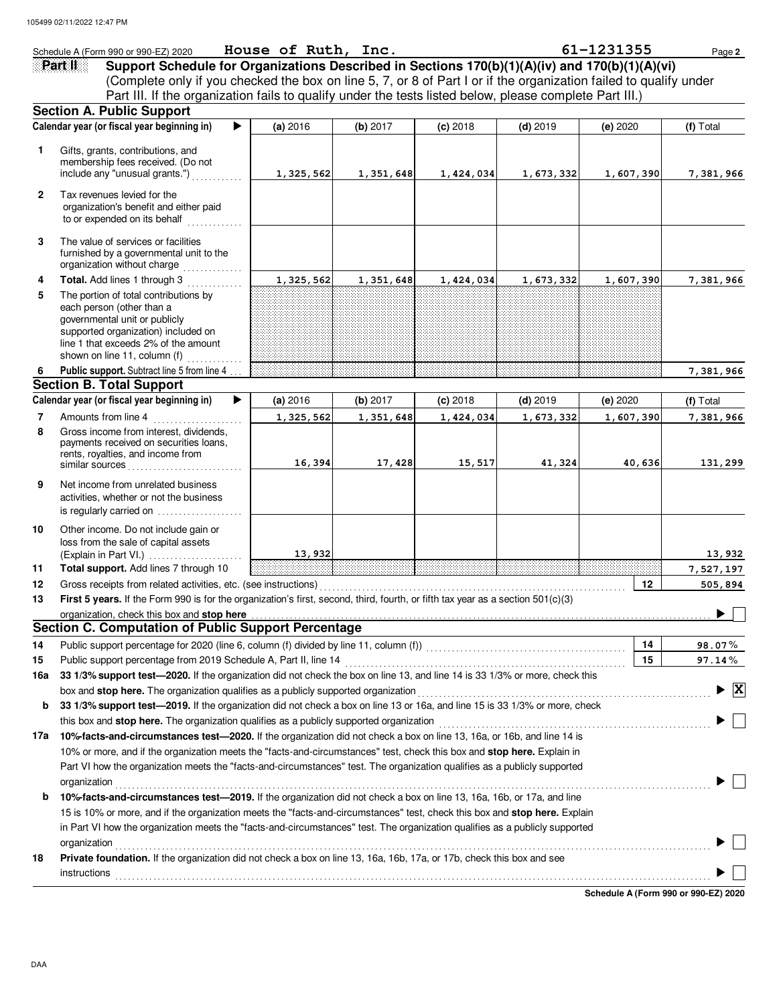|                | Schedule A (Form 990 or 990-EZ) 2020                                                                                            | House of Ruth, Inc. |           |            |            | 61-1231355 | Page 2                             |
|----------------|---------------------------------------------------------------------------------------------------------------------------------|---------------------|-----------|------------|------------|------------|------------------------------------|
|                | Support Schedule for Organizations Described in Sections 170(b)(1)(A)(iv) and 170(b)(1)(A)(vi)<br>Part II                       |                     |           |            |            |            |                                    |
|                | (Complete only if you checked the box on line 5, 7, or 8 of Part I or if the organization failed to qualify under               |                     |           |            |            |            |                                    |
|                | Part III. If the organization fails to qualify under the tests listed below, please complete Part III.)                         |                     |           |            |            |            |                                    |
|                | <b>Section A. Public Support</b>                                                                                                |                     |           |            |            |            |                                    |
|                | Calendar year (or fiscal year beginning in)<br>▶                                                                                | (a) 2016            | (b) 2017  | $(c)$ 2018 | $(d)$ 2019 | (e) 2020   | (f) Total                          |
| $\mathbf{1}$   | Gifts, grants, contributions, and                                                                                               |                     |           |            |            |            |                                    |
|                | membership fees received. (Do not                                                                                               |                     |           |            |            |            |                                    |
|                | include any "unusual grants.")                                                                                                  | 1,325,562           | 1,351,648 | 1,424,034  | 1,673,332  | 1,607,390  | 7,381,966                          |
| $\mathbf{2}$   | Tax revenues levied for the                                                                                                     |                     |           |            |            |            |                                    |
|                | organization's benefit and either paid                                                                                          |                     |           |            |            |            |                                    |
|                | to or expended on its behalf                                                                                                    |                     |           |            |            |            |                                    |
| 3              | The value of services or facilities                                                                                             |                     |           |            |            |            |                                    |
|                | furnished by a governmental unit to the<br>organization without charge                                                          |                     |           |            |            |            |                                    |
| 4              | Total. Add lines 1 through 3                                                                                                    | 1,325,562           | 1,351,648 | 1,424,034  | 1,673,332  | 1,607,390  | 7,381,966                          |
| 5              | The portion of total contributions by                                                                                           |                     |           |            |            |            |                                    |
|                | each person (other than a                                                                                                       |                     |           |            |            |            |                                    |
|                | governmental unit or publicly                                                                                                   |                     |           |            |            |            |                                    |
|                | supported organization) included on<br>line 1 that exceeds 2% of the amount                                                     |                     |           |            |            |            |                                    |
|                | shown on line 11, column (f)                                                                                                    |                     |           |            |            |            |                                    |
| 6              | Public support. Subtract line 5 from line 4                                                                                     |                     |           |            |            |            | 7,381,966                          |
|                | <b>Section B. Total Support</b>                                                                                                 |                     |           |            |            |            |                                    |
|                | Calendar year (or fiscal year beginning in)<br>▶                                                                                | (a) 2016            | (b) 2017  | $(c)$ 2018 | $(d)$ 2019 | (e) 2020   | (f) Total                          |
| $\overline{7}$ | Amounts from line 4                                                                                                             | 1,325,562           | 1,351,648 | 1,424,034  | 1,673,332  | 1,607,390  | 7,381,966                          |
| 8              | Gross income from interest, dividends,                                                                                          |                     |           |            |            |            |                                    |
|                | payments received on securities loans,<br>rents, royalties, and income from                                                     |                     |           |            |            |            |                                    |
|                |                                                                                                                                 | 16,394              | 17,428    | 15,517     | 41,324     | 40,636     | 131,299                            |
| 9              | Net income from unrelated business                                                                                              |                     |           |            |            |            |                                    |
|                | activities, whether or not the business                                                                                         |                     |           |            |            |            |                                    |
|                | is regularly carried on                                                                                                         |                     |           |            |            |            |                                    |
| 10             | Other income. Do not include gain or                                                                                            |                     |           |            |            |            |                                    |
|                | loss from the sale of capital assets                                                                                            |                     |           |            |            |            |                                    |
|                | Total support. Add lines 7 through 10                                                                                           | 13,932              |           |            |            |            | 13,932                             |
| 11<br>12       | Gross receipts from related activities, etc. (see instructions)                                                                 |                     |           |            |            | 12         | 7,527,197                          |
| 13             | First 5 years. If the Form 990 is for the organization's first, second, third, fourth, or fifth tax year as a section 501(c)(3) |                     |           |            |            |            | 505,894                            |
|                | organization, check this box and stop here                                                                                      |                     |           |            |            |            |                                    |
|                | <b>Section C. Computation of Public Support Percentage</b>                                                                      |                     |           |            |            |            |                                    |
| 14             | Public support percentage for 2020 (line 6, column (f) divided by line 11, column (f))<br>[[[COLUMBRER ST]                      |                     |           |            |            | 14         | 98.07%                             |
| 15             | Public support percentage from 2019 Schedule A, Part II, line 14                                                                |                     |           |            |            | 15         | 97.14%                             |
| 16a            | 33 1/3% support test—2020. If the organization did not check the box on line 13, and line 14 is 33 1/3% or more, check this     |                     |           |            |            |            |                                    |
|                | box and stop here. The organization qualifies as a publicly supported organization                                              |                     |           |            |            |            | $\blacktriangleright$ $\mathbf{X}$ |
| b              | 33 1/3% support test-2019. If the organization did not check a box on line 13 or 16a, and line 15 is 33 1/3% or more, check     |                     |           |            |            |            |                                    |
|                | this box and stop here. The organization qualifies as a publicly supported organization                                         |                     |           |            |            |            |                                    |
| 17a            | 10% facts-and-circumstances test-2020. If the organization did not check a box on line 13, 16a, or 16b, and line 14 is          |                     |           |            |            |            |                                    |
|                | 10% or more, and if the organization meets the "facts-and-circumstances" test, check this box and stop here. Explain in         |                     |           |            |            |            |                                    |
|                | Part VI how the organization meets the "facts-and-circumstances" test. The organization qualifies as a publicly supported       |                     |           |            |            |            |                                    |
|                | organization                                                                                                                    |                     |           |            |            |            |                                    |
| b              | 10%-facts-and-circumstances test-2019. If the organization did not check a box on line 13, 16a, 16b, or 17a, and line           |                     |           |            |            |            |                                    |
|                | 15 is 10% or more, and if the organization meets the "facts-and-circumstances" test, check this box and stop here. Explain      |                     |           |            |            |            |                                    |
|                | in Part VI how the organization meets the "facts-and-circumstances" test. The organization qualifies as a publicly supported    |                     |           |            |            |            |                                    |
|                | organization                                                                                                                    |                     |           |            |            |            |                                    |
| 18             | Private foundation. If the organization did not check a box on line 13, 16a, 16b, 17a, or 17b, check this box and see           |                     |           |            |            |            |                                    |
|                |                                                                                                                                 |                     |           |            |            |            |                                    |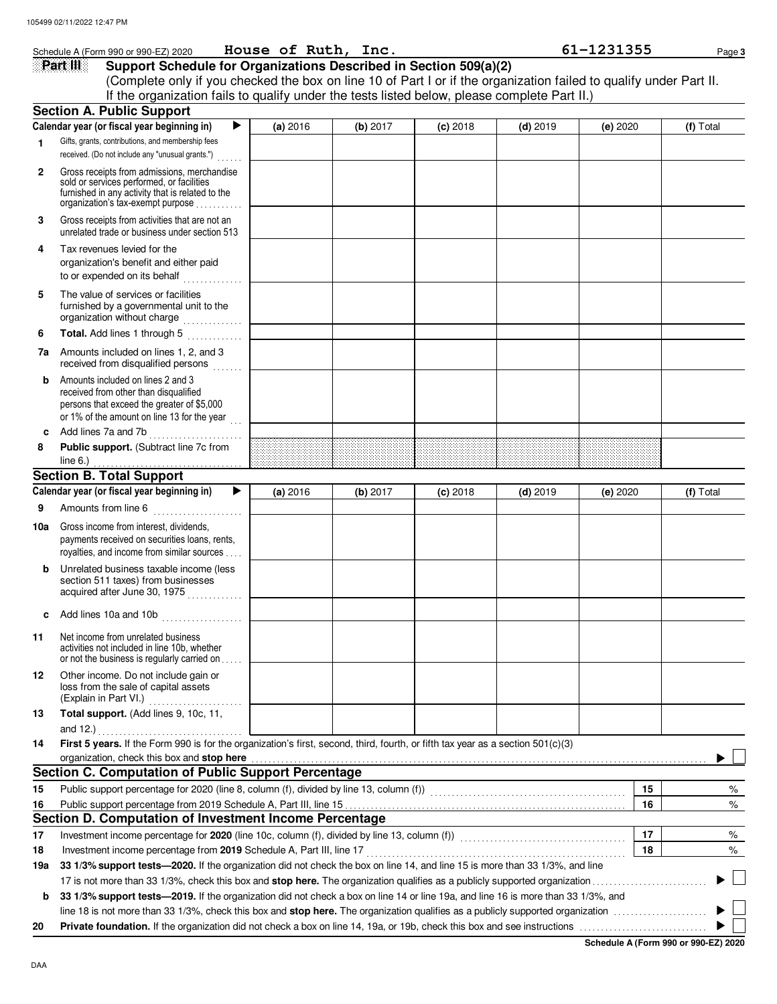|              | Support Schedule for Organizations Described in Section 509(a)(2)<br>Part III                                                                                                                                                                                   |          |          |            |            |          |           |
|--------------|-----------------------------------------------------------------------------------------------------------------------------------------------------------------------------------------------------------------------------------------------------------------|----------|----------|------------|------------|----------|-----------|
|              | (Complete only if you checked the box on line 10 of Part I or if the organization failed to qualify under Part II.                                                                                                                                              |          |          |            |            |          |           |
|              | If the organization fails to qualify under the tests listed below, please complete Part II.)                                                                                                                                                                    |          |          |            |            |          |           |
|              | <b>Section A. Public Support</b>                                                                                                                                                                                                                                |          |          |            |            |          |           |
|              | Calendar year (or fiscal year beginning in)<br>▶                                                                                                                                                                                                                | (a) 2016 | (b) 2017 | $(c)$ 2018 | $(d)$ 2019 | (e) 2020 | (f) Total |
| $\mathbf{1}$ | Gifts, grants, contributions, and membership fees<br>received. (Do not include any "unusual grants.")                                                                                                                                                           |          |          |            |            |          |           |
| $\mathbf{2}$ | Gross receipts from admissions, merchandise<br>sold or services performed, or facilities<br>furnished in any activity that is related to the<br>organization's tax-exempt purpose                                                                               |          |          |            |            |          |           |
| 3            | Gross receipts from activities that are not an<br>unrelated trade or business under section 513                                                                                                                                                                 |          |          |            |            |          |           |
| 4            | Tax revenues levied for the<br>organization's benefit and either paid<br>to or expended on its behalf                                                                                                                                                           |          |          |            |            |          |           |
| 5            | The value of services or facilities<br>furnished by a governmental unit to the<br>organization without charge                                                                                                                                                   |          |          |            |            |          |           |
| 6            | Total. Add lines 1 through 5<br>a na matalagan na kalendar a sa bandar a sa bandar a sa bandar a sa bandar a sa bandar a sa bandar a sa bandar<br>A sa bandar a sa bandar a sa bandar a sa bandar a sa bandar a sa bandar a sa bandar a sa bandar a sa bandar a |          |          |            |            |          |           |
| 7a           | Amounts included on lines 1, 2, and 3<br>received from disqualified persons                                                                                                                                                                                     |          |          |            |            |          |           |
| b            | Amounts included on lines 2 and 3<br>received from other than disqualified<br>persons that exceed the greater of \$5,000<br>or 1% of the amount on line 13 for the year $\frac{1}{100}$                                                                         |          |          |            |            |          |           |
| c            | Add lines 7a and 7b                                                                                                                                                                                                                                             |          |          |            |            |          |           |
| 8            | Public support. (Subtract line 7c from                                                                                                                                                                                                                          |          |          |            |            |          |           |
|              |                                                                                                                                                                                                                                                                 |          |          |            |            |          |           |
|              | <b>Section B. Total Support</b>                                                                                                                                                                                                                                 |          |          |            |            |          |           |
|              | Calendar year (or fiscal year beginning in)<br>▶                                                                                                                                                                                                                | (a) 2016 | (b) 2017 | $(c)$ 2018 | $(d)$ 2019 | (e) 2020 | (f) Total |
| 9            | Amounts from line 6                                                                                                                                                                                                                                             |          |          |            |            |          |           |
| 10a          | Gross income from interest, dividends,<br>payments received on securities loans, rents,<br>royalties, and income from similar sources                                                                                                                           |          |          |            |            |          |           |
| b            | Unrelated business taxable income (less<br>section 511 taxes) from businesses<br>acquired after June 30, 1975                                                                                                                                                   |          |          |            |            |          |           |
| c            | Add lines 10a and 10b                                                                                                                                                                                                                                           |          |          |            |            |          |           |
| 11           | Net income from unrelated business<br>activities not included in line 10b, whether<br>or not the business is regularly carried on                                                                                                                               |          |          |            |            |          |           |
| 12           | Other income. Do not include gain or<br>loss from the sale of capital assets<br>(Explain in Part VI.)                                                                                                                                                           |          |          |            |            |          |           |
| 13           | Total support. (Add lines 9, 10c, 11,<br>and 12.)                                                                                                                                                                                                               |          |          |            |            |          |           |
| 14           | First 5 years. If the Form 990 is for the organization's first, second, third, fourth, or fifth tax year as a section 501(c)(3)<br>organization, check this box and stop here                                                                                   |          |          |            |            |          |           |
|              | Section C. Computation of Public Support Percentage                                                                                                                                                                                                             |          |          |            |            |          |           |
| 15           | Public support percentage for 2020 (line 8, column (f), divided by line 13, column (f)) [[[[[[[[[[[[[[[[[[[[[                                                                                                                                                   |          |          |            |            | 15       | ℅         |
| 16           |                                                                                                                                                                                                                                                                 |          |          |            |            | 16       | %         |
|              | Section D. Computation of Investment Income Percentage                                                                                                                                                                                                          |          |          |            |            |          |           |
| 17           |                                                                                                                                                                                                                                                                 |          |          |            |            | 17       | %         |
| 18           | Investment income percentage from 2019 Schedule A, Part III, line 17                                                                                                                                                                                            |          |          |            |            | 18       | %         |
| 19а          | 33 1/3% support tests—2020. If the organization did not check the box on line 14, and line 15 is more than 33 1/3%, and line                                                                                                                                    |          |          |            |            |          |           |
|              |                                                                                                                                                                                                                                                                 |          |          |            |            |          |           |
| b            | 33 1/3% support tests-2019. If the organization did not check a box on line 14 or line 19a, and line 16 is more than 33 1/3%, and                                                                                                                               |          |          |            |            |          |           |
|              |                                                                                                                                                                                                                                                                 |          |          |            |            |          |           |
| 20           |                                                                                                                                                                                                                                                                 |          |          |            |            |          |           |

**House of Ruth,**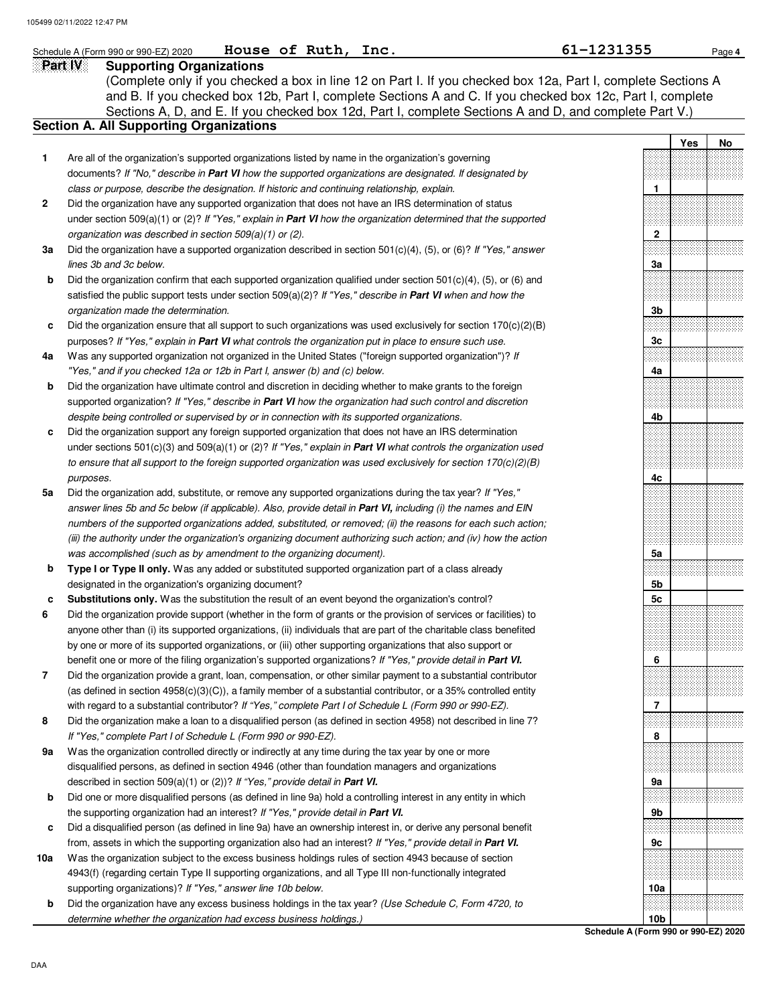|         | House of Ruth, Inc.<br>Schedule A (Form 990 or 990-EZ) 2020                                                          | 61-1231355  | Page 4    |
|---------|----------------------------------------------------------------------------------------------------------------------|-------------|-----------|
| Part IV | <b>Supporting Organizations</b>                                                                                      |             |           |
|         | (Complete only if you checked a box in line 12 on Part I. If you checked box 12a, Part I, complete Sections A        |             |           |
|         | and B. If you checked box 12b, Part I, complete Sections A and C. If you checked box 12c, Part I, complete           |             |           |
|         | Sections A, D, and E. If you checked box 12d, Part I, complete Sections A and D, and complete Part V.)               |             |           |
|         | <b>Section A. All Supporting Organizations</b>                                                                       |             | Yes<br>No |
| 1       | Are all of the organization's supported organizations listed by name in the organization's governing                 |             |           |
|         | documents? If "No," describe in Part VI how the supported organizations are designated. If designated by             |             |           |
|         | class or purpose, describe the designation. If historic and continuing relationship, explain.                        | 1           |           |
| 2       | Did the organization have any supported organization that does not have an IRS determination of status               |             |           |
|         | under section 509(a)(1) or (2)? If "Yes," explain in Part VI how the organization determined that the supported      |             |           |
|         | organization was described in section 509(a)(1) or (2).                                                              | $\mathbf 2$ |           |
| За      | Did the organization have a supported organization described in section 501(c)(4), (5), or (6)? If "Yes," answer     |             |           |
|         | lines 3b and 3c below.                                                                                               | За          |           |
| b       | Did the organization confirm that each supported organization qualified under section 501(c)(4), (5), or (6) and     |             |           |
|         | satisfied the public support tests under section $509(a)(2)$ ? If "Yes," describe in <b>Part VI</b> when and how the |             |           |
|         | organization made the determination.                                                                                 | 3b          |           |
| c       | Did the organization ensure that all support to such organizations was used exclusively for section $170(c)(2)(B)$   |             |           |
|         | purposes? If "Yes," explain in Part VI what controls the organization put in place to ensure such use.               | 3c          |           |
| 4a      | Was any supported organization not organized in the United States ("foreign supported organization")? If             |             |           |
|         | "Yes," and if you checked 12a or 12b in Part I, answer (b) and (c) below.                                            | 4a          |           |
| b       | Did the organization have ultimate control and discretion in deciding whether to make grants to the foreign          |             |           |
|         | supported organization? If "Yes," describe in Part VI how the organization had such control and discretion           |             |           |
|         | despite being controlled or supervised by or in connection with its supported organizations.                         | 4b          |           |
| c       | Did the organization support any foreign supported organization that does not have an IRS determination              |             |           |
|         | under sections 501(c)(3) and 509(a)(1) or (2)? If "Yes," explain in Part VI what controls the organization used      |             |           |
|         | to ensure that all support to the foreign supported organization was used exclusively for section $170(c)(2)(B)$     |             |           |
|         | purposes.                                                                                                            | 4c          |           |
| 5a      | Did the organization add, substitute, or remove any supported organizations during the tax year? If "Yes,"           |             |           |
|         | answer lines 5b and 5c below (if applicable). Also, provide detail in Part VI, including (i) the names and EIN       |             |           |
|         | numbers of the supported organizations added, substituted, or removed; (ii) the reasons for each such action;        |             |           |
|         | (iii) the authority under the organization's organizing document authorizing such action; and (iv) how the action    |             |           |
|         | was accomplished (such as by amendment to the organizing document).                                                  | 5a          |           |
| b       | Type I or Type II only. Was any added or substituted supported organization part of a class already                  |             |           |
|         | designated in the organization's organizing document?                                                                | 5b          |           |
| c       | Substitutions only. Was the substitution the result of an event beyond the organization's control?                   | 5c          |           |
| 6       | Did the organization provide support (whether in the form of grants or the provision of services or facilities) to   |             |           |
|         | anyone other than (i) its supported organizations, (ii) individuals that are part of the charitable class benefited  |             |           |
|         | by one or more of its supported organizations, or (iii) other supporting organizations that also support or          |             |           |
|         | benefit one or more of the filing organization's supported organizations? If "Yes," provide detail in Part VI.       | 6           |           |
| 7       | Did the organization provide a grant, loan, compensation, or other similar payment to a substantial contributor      |             |           |
|         | (as defined in section $4958(c)(3)(C)$ ), a family member of a substantial contributor, or a 35% controlled entity   |             |           |
|         | with regard to a substantial contributor? If "Yes," complete Part I of Schedule L (Form 990 or 990-EZ).              | 7           |           |
| 8       | Did the organization make a loan to a disqualified person (as defined in section 4958) not described in line 7?      |             |           |
|         | If "Yes," complete Part I of Schedule L (Form 990 or 990-EZ).                                                        | 8           |           |
| 9a      | Was the organization controlled directly or indirectly at any time during the tax year by one or more                |             |           |
|         | disqualified persons, as defined in section 4946 (other than foundation managers and organizations                   |             |           |
|         | described in section 509(a)(1) or (2))? If "Yes," provide detail in <b>Part VI.</b>                                  | 9a          |           |
| b       | Did one or more disqualified persons (as defined in line 9a) hold a controlling interest in any entity in which      |             |           |
|         | the supporting organization had an interest? If "Yes," provide detail in Part VI.                                    | 9b          |           |
| c       | Did a disqualified person (as defined in line 9a) have an ownership interest in, or derive any personal benefit      |             |           |
|         | from, assets in which the supporting organization also had an interest? If "Yes," provide detail in Part VI.         | 9c          |           |
| 10a     | Was the organization subject to the excess business holdings rules of section 4943 because of section                |             |           |
|         | 4943(f) (regarding certain Type II supporting organizations, and all Type III non-functionally integrated            |             |           |

**Schedule A (Form 990 or 990-EZ) 2020 10b**

**b**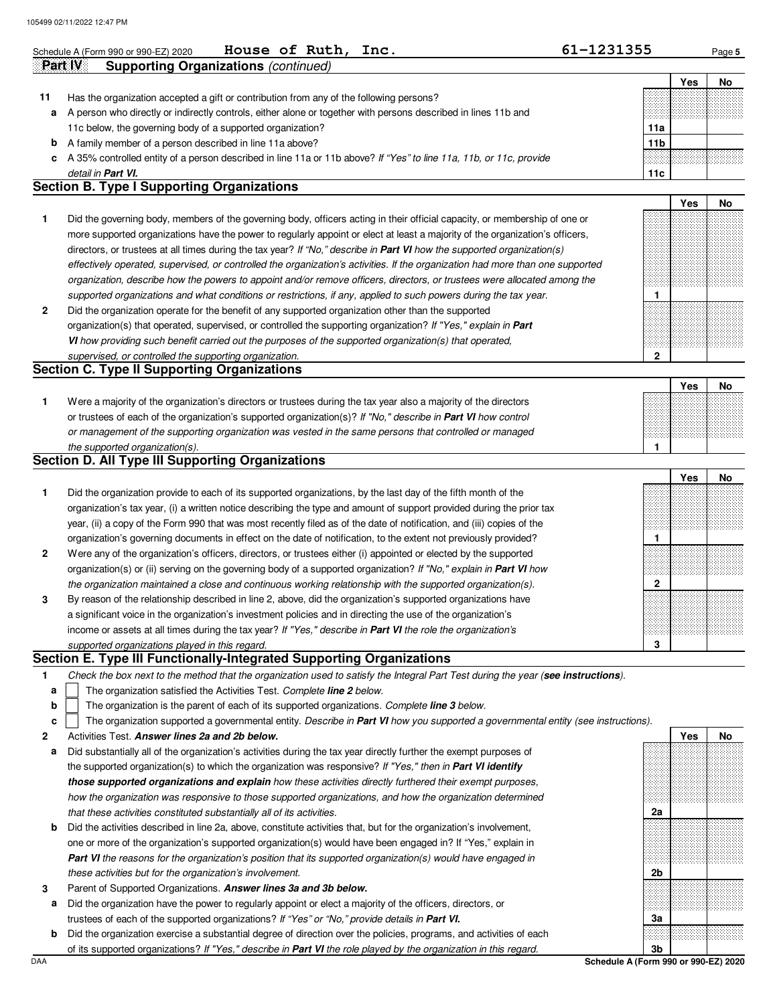|        | House of Ruth,<br>Inc.<br>Schedule A (Form 990 or 990-EZ) 2020                                                                                                                                            | 61-1231355      | Page 5    |
|--------|-----------------------------------------------------------------------------------------------------------------------------------------------------------------------------------------------------------|-----------------|-----------|
|        | Part IV<br><b>Supporting Organizations (continued)</b>                                                                                                                                                    |                 |           |
|        |                                                                                                                                                                                                           |                 | Yes<br>No |
| 11     | Has the organization accepted a gift or contribution from any of the following persons?<br>A person who directly or indirectly controls, either alone or together with persons described in lines 11b and |                 |           |
| а      | 11c below, the governing body of a supported organization?                                                                                                                                                | 11a             |           |
| b      | A family member of a person described in line 11a above?                                                                                                                                                  | 11 <sub>b</sub> |           |
| c      | A 35% controlled entity of a person described in line 11a or 11b above? If "Yes" to line 11a, 11b, or 11c, provide                                                                                        |                 |           |
|        | detail in Part VI.                                                                                                                                                                                        | 11c             |           |
|        | <b>Section B. Type I Supporting Organizations</b>                                                                                                                                                         |                 |           |
|        |                                                                                                                                                                                                           |                 | Yes<br>No |
| 1      | Did the governing body, members of the governing body, officers acting in their official capacity, or membership of one or                                                                                |                 |           |
|        | more supported organizations have the power to regularly appoint or elect at least a majority of the organization's officers,                                                                             |                 |           |
|        | directors, or trustees at all times during the tax year? If "No," describe in <b>Part VI</b> how the supported organization(s)                                                                            |                 |           |
|        | effectively operated, supervised, or controlled the organization's activities. If the organization had more than one supported                                                                            |                 |           |
|        | organization, describe how the powers to appoint and/or remove officers, directors, or trustees were allocated among the                                                                                  |                 |           |
|        | supported organizations and what conditions or restrictions, if any, applied to such powers during the tax year.                                                                                          | 1               |           |
| 2      | Did the organization operate for the benefit of any supported organization other than the supported                                                                                                       |                 |           |
|        | organization(s) that operated, supervised, or controlled the supporting organization? If "Yes," explain in Part                                                                                           |                 |           |
|        | VI how providing such benefit carried out the purposes of the supported organization(s) that operated,                                                                                                    |                 |           |
|        | supervised, or controlled the supporting organization.                                                                                                                                                    | 2               |           |
|        | <b>Section C. Type II Supporting Organizations</b>                                                                                                                                                        |                 |           |
|        |                                                                                                                                                                                                           |                 | Yes<br>No |
| 1      | Were a majority of the organization's directors or trustees during the tax year also a majority of the directors                                                                                          |                 |           |
|        | or trustees of each of the organization's supported organization(s)? If "No," describe in Part VI how control                                                                                             |                 |           |
|        | or management of the supporting organization was vested in the same persons that controlled or managed                                                                                                    |                 |           |
|        | the supported organization(s).                                                                                                                                                                            | 1               |           |
|        | <b>Section D. All Type III Supporting Organizations</b>                                                                                                                                                   |                 |           |
|        |                                                                                                                                                                                                           |                 | Yes<br>No |
| 1      | Did the organization provide to each of its supported organizations, by the last day of the fifth month of the                                                                                            |                 |           |
|        | organization's tax year, (i) a written notice describing the type and amount of support provided during the prior tax                                                                                     |                 |           |
|        | year, (ii) a copy of the Form 990 that was most recently filed as of the date of notification, and (iii) copies of the                                                                                    |                 |           |
|        | organization's governing documents in effect on the date of notification, to the extent not previously provided?                                                                                          | 1               |           |
| 2      | Were any of the organization's officers, directors, or trustees either (i) appointed or elected by the supported                                                                                          |                 |           |
|        | organization(s) or (ii) serving on the governing body of a supported organization? If "No," explain in Part VI how                                                                                        |                 |           |
|        | the organization maintained a close and continuous working relationship with the supported organization(s).                                                                                               | 2               |           |
|        | By reason of the relationship described in line 2, above, did the organization's supported organizations have                                                                                             |                 |           |
|        | a significant voice in the organization's investment policies and in directing the use of the organization's                                                                                              |                 |           |
|        | income or assets at all times during the tax year? If "Yes," describe in <b>Part VI</b> the role the organization's                                                                                       |                 |           |
|        | supported organizations played in this regard.                                                                                                                                                            | 3               |           |
|        | Section E. Type III Functionally-Integrated Supporting Organizations<br>Check the box next to the method that the organization used to satisfy the Integral Part Test during the year (see instructions). |                 |           |
| 1      | The organization satisfied the Activities Test. Complete line 2 below.                                                                                                                                    |                 |           |
| a<br>b | The organization is the parent of each of its supported organizations. Complete line 3 below.                                                                                                             |                 |           |
| c      | The organization supported a governmental entity. Describe in Part VI how you supported a governmental entity (see instructions).                                                                         |                 |           |
| 2      | Activities Test. Answer lines 2a and 2b below.                                                                                                                                                            |                 | Yes<br>No |
| а      | Did substantially all of the organization's activities during the tax year directly further the exempt purposes of                                                                                        |                 |           |
|        | the supported organization(s) to which the organization was responsive? If "Yes," then in Part VI identify                                                                                                |                 |           |
|        | those supported organizations and explain how these activities directly furthered their exempt purposes,                                                                                                  |                 |           |
|        | how the organization was responsive to those supported organizations, and how the organization determined                                                                                                 |                 |           |
|        | that these activities constituted substantially all of its activities.                                                                                                                                    | 2a              |           |
| b      | Did the activities described in line 2a, above, constitute activities that, but for the organization's involvement,                                                                                       |                 |           |
|        | one or more of the organization's supported organization(s) would have been engaged in? If "Yes," explain in                                                                                              |                 |           |
|        | <b>Part VI</b> the reasons for the organization's position that its supported organization(s) would have engaged in                                                                                       |                 |           |
|        | these activities but for the organization's involvement.                                                                                                                                                  | 2b              |           |
| 3      | Parent of Supported Organizations. Answer lines 3a and 3b below.                                                                                                                                          |                 |           |
|        | Did the organization have the power to regularly appoint or elect a majority of the officers, directors, or                                                                                               |                 |           |
| а      | trustees of each of the supported organizations? If "Yes" or "No," provide details in Part VI.                                                                                                            | За              |           |
| b      | Did the organization exercise a substantial degree of direction over the policies, programs, and activities of each                                                                                       |                 |           |
|        | of its supported organizations? If "Yes," describe in Part VI the role played by the organization in this regard.                                                                                         | 3b              |           |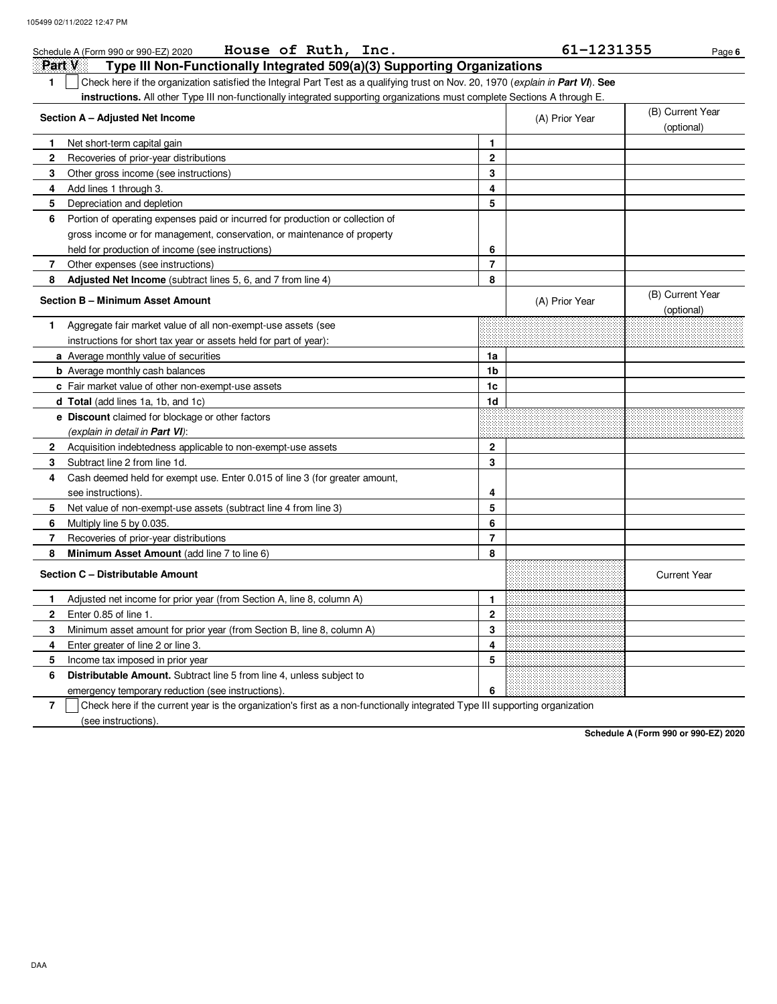|                | House of Ruth, Inc.<br>Schedule A (Form 990 or 990-EZ) 2020                                                                      |                | 61-1231355     |                                | Page 6 |
|----------------|----------------------------------------------------------------------------------------------------------------------------------|----------------|----------------|--------------------------------|--------|
| Pant V         | Type III Non-Functionally Integrated 509(a)(3) Supporting Organizations                                                          |                |                |                                |        |
| 1.             | Check here if the organization satisfied the Integral Part Test as a qualifying trust on Nov. 20, 1970 (explain in Part VI). See |                |                |                                |        |
|                | <b>instructions.</b> All other Type III non-functionally integrated supporting organizations must complete Sections A through E. |                |                |                                |        |
|                | Section A - Adjusted Net Income                                                                                                  |                | (A) Prior Year | (B) Current Year               |        |
|                |                                                                                                                                  |                |                | (optional)                     |        |
| 1.             | Net short-term capital gain                                                                                                      | $\mathbf{1}$   |                |                                |        |
| $\overline{2}$ | Recoveries of prior-year distributions                                                                                           | $\mathbf{2}$   |                |                                |        |
| 3              | Other gross income (see instructions)                                                                                            | 3              |                |                                |        |
| 4              | Add lines 1 through 3.                                                                                                           | 4              |                |                                |        |
| 5              | Depreciation and depletion                                                                                                       | 5              |                |                                |        |
| 6              | Portion of operating expenses paid or incurred for production or collection of                                                   |                |                |                                |        |
|                | gross income or for management, conservation, or maintenance of property                                                         |                |                |                                |        |
|                | held for production of income (see instructions)                                                                                 | 6              |                |                                |        |
| 7              | Other expenses (see instructions)                                                                                                | $\overline{7}$ |                |                                |        |
| 8              | <b>Adjusted Net Income</b> (subtract lines 5, 6, and 7 from line 4)                                                              | 8              |                |                                |        |
|                | Section B - Minimum Asset Amount                                                                                                 |                | (A) Prior Year | (B) Current Year<br>(optional) |        |
| 1.             | Aggregate fair market value of all non-exempt-use assets (see                                                                    |                |                |                                |        |
|                | instructions for short tax year or assets held for part of year):                                                                |                |                |                                |        |
|                | <b>a</b> Average monthly value of securities                                                                                     | 1a             |                |                                |        |
|                | <b>b</b> Average monthly cash balances                                                                                           | 1b             |                |                                |        |
|                | <b>c</b> Fair market value of other non-exempt-use assets                                                                        | 1 <sub>c</sub> |                |                                |        |
|                | <b>d Total</b> (add lines 1a, 1b, and 1c)                                                                                        | 1d             |                |                                |        |
|                | e Discount claimed for blockage or other factors                                                                                 |                |                |                                |        |
|                | (explain in detail in <b>Part VI</b> ):                                                                                          |                |                |                                |        |
| $\mathbf{2}$   | Acquisition indebtedness applicable to non-exempt-use assets                                                                     | $\overline{2}$ |                |                                |        |
| 3              | Subtract line 2 from line 1d.                                                                                                    | 3              |                |                                |        |
| 4              | Cash deemed held for exempt use. Enter 0.015 of line 3 (for greater amount,                                                      |                |                |                                |        |
|                | see instructions)                                                                                                                | 4              |                |                                |        |
| 5              | Net value of non-exempt-use assets (subtract line 4 from line 3)                                                                 | 5              |                |                                |        |
| 6              | Multiply line 5 by 0.035.                                                                                                        | 6              |                |                                |        |
| $\overline{7}$ | Recoveries of prior-year distributions                                                                                           | $\overline{7}$ |                |                                |        |
| 8              | Minimum Asset Amount (add line 7 to line 6)                                                                                      | 8              |                |                                |        |
|                | Section C - Distributable Amount                                                                                                 |                |                | <b>Current Year</b>            |        |
| 1              | Adjusted net income for prior year (from Section A, line 8, column A)                                                            | 1              |                |                                |        |
| $\mathbf{2}$   | Enter 0.85 of line 1.                                                                                                            | $\mathbf{2}$   |                |                                |        |
| 3              | Minimum asset amount for prior year (from Section B, line 8, column A)                                                           | 3              |                |                                |        |
| 4              | Enter greater of line 2 or line 3.                                                                                               | 4              |                |                                |        |
| 5              | Income tax imposed in prior year                                                                                                 | 5              |                |                                |        |
| 6              | <b>Distributable Amount.</b> Subtract line 5 from line 4, unless subject to                                                      |                |                |                                |        |
|                | emergency temporary reduction (see instructions).                                                                                | 6              |                |                                |        |

**7** Check here if the current year is the organization's first as a non-functionally integrated Type III supporting organization (see instructions).

**Schedule A (Form 990 or 990-EZ) 2020**

DAA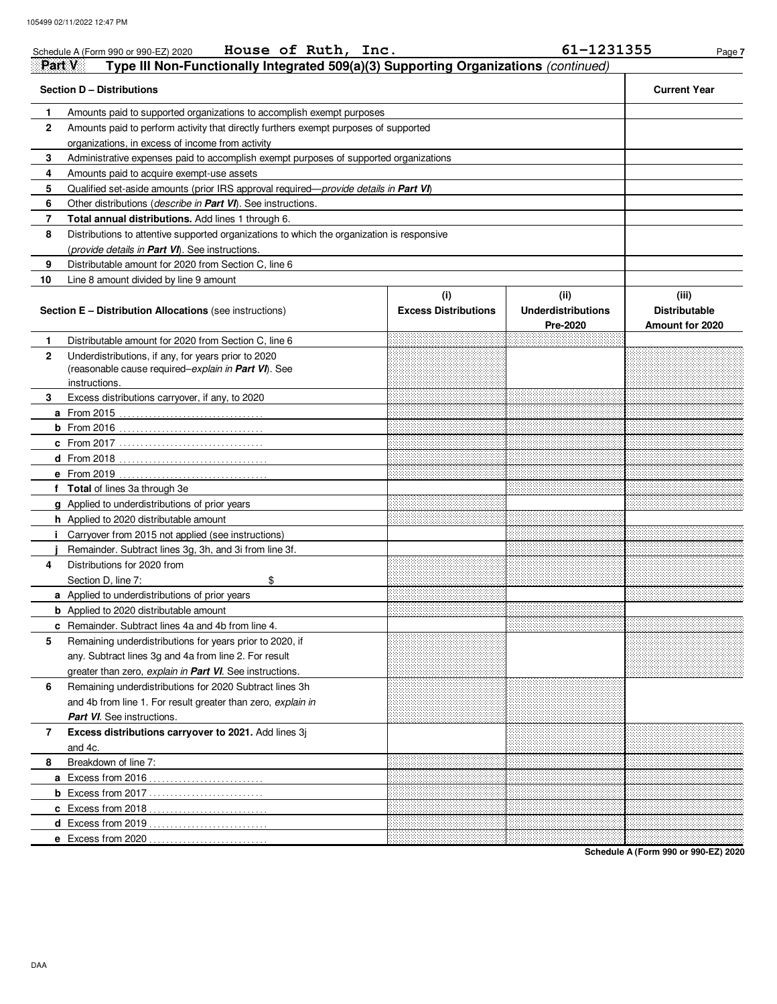|              | House of Ruth, Inc.<br>Schedule A (Form 990 or 990-EZ) 2020                                |                             | 61-1231355                            | Page 7                                  |
|--------------|--------------------------------------------------------------------------------------------|-----------------------------|---------------------------------------|-----------------------------------------|
| Part V       | Type III Non-Functionally Integrated 509(a)(3) Supporting Organizations (continued)        |                             |                                       |                                         |
|              | <b>Section D - Distributions</b>                                                           |                             |                                       | <b>Current Year</b>                     |
| 1            | Amounts paid to supported organizations to accomplish exempt purposes                      |                             |                                       |                                         |
| $\mathbf{2}$ | Amounts paid to perform activity that directly furthers exempt purposes of supported       |                             |                                       |                                         |
|              | organizations, in excess of income from activity                                           |                             |                                       |                                         |
| 3            | Administrative expenses paid to accomplish exempt purposes of supported organizations      |                             |                                       |                                         |
| 4            | Amounts paid to acquire exempt-use assets                                                  |                             |                                       |                                         |
| 5            | Qualified set-aside amounts (prior IRS approval required-provide details in Part VI)       |                             |                                       |                                         |
| 6            | Other distributions ( <i>describe in Part VI</i> ). See instructions.                      |                             |                                       |                                         |
| 7            | Total annual distributions. Add lines 1 through 6.                                         |                             |                                       |                                         |
| 8            | Distributions to attentive supported organizations to which the organization is responsive |                             |                                       |                                         |
|              | ( <i>provide details in Part VI</i> ). See instructions.                                   |                             |                                       |                                         |
| 9            | Distributable amount for 2020 from Section C, line 6                                       |                             |                                       |                                         |
| 10           | Line 8 amount divided by line 9 amount                                                     |                             |                                       |                                         |
|              |                                                                                            | (i)                         | (ii)                                  | (iii)                                   |
|              | <b>Section E - Distribution Allocations (see instructions)</b>                             | <b>Excess Distributions</b> | <b>Underdistributions</b><br>Pre-2020 | <b>Distributable</b><br>Amount for 2020 |
| 1            | Distributable amount for 2020 from Section C, line 6                                       |                             |                                       |                                         |
| 2            | Underdistributions, if any, for years prior to 2020                                        |                             |                                       |                                         |
|              | (reasonable cause required-explain in Part VI). See                                        |                             |                                       |                                         |
|              | instructions.                                                                              |                             |                                       |                                         |
| 3            | Excess distributions carryover, if any, to 2020                                            |                             |                                       |                                         |
|              |                                                                                            |                             |                                       |                                         |
|              |                                                                                            |                             |                                       |                                         |
|              |                                                                                            |                             |                                       |                                         |
|              |                                                                                            |                             |                                       |                                         |
|              |                                                                                            |                             |                                       |                                         |
|              | f Total of lines 3a through 3e                                                             |                             |                                       |                                         |
|              | g Applied to underdistributions of prior years                                             |                             |                                       |                                         |
|              | h Applied to 2020 distributable amount                                                     |                             |                                       |                                         |
|              | <i>i</i> Carryover from 2015 not applied (see instructions)                                |                             |                                       |                                         |
|              | Remainder. Subtract lines 3g, 3h, and 3i from line 3f.                                     |                             |                                       |                                         |
| 4            | Distributions for 2020 from                                                                |                             |                                       |                                         |
|              | Section D, line 7:<br>\$                                                                   |                             |                                       |                                         |
|              | a Applied to underdistributions of prior years                                             |                             |                                       |                                         |
|              | <b>b</b> Applied to 2020 distributable amount                                              |                             |                                       |                                         |
|              | <b>c</b> Remainder. Subtract lines 4a and 4b from line 4.                                  |                             |                                       |                                         |
| 5            | Remaining underdistributions for years prior to 2020, if                                   |                             |                                       |                                         |
|              | any. Subtract lines 3g and 4a from line 2. For result                                      |                             |                                       |                                         |
|              | greater than zero, explain in Part VI. See instructions.                                   |                             |                                       |                                         |
| 6            | Remaining underdistributions for 2020 Subtract lines 3h                                    |                             |                                       |                                         |
|              | and 4b from line 1. For result greater than zero, explain in                               |                             |                                       |                                         |
|              | <b>Part VI.</b> See instructions.                                                          |                             |                                       |                                         |
| 7            | Excess distributions carryover to 2021. Add lines 3j                                       |                             |                                       |                                         |
|              | and 4c.                                                                                    |                             |                                       |                                         |
| 8            | Breakdown of line 7:                                                                       |                             |                                       |                                         |
|              |                                                                                            |                             |                                       |                                         |
|              |                                                                                            |                             |                                       |                                         |
|              |                                                                                            |                             |                                       |                                         |
|              |                                                                                            |                             |                                       |                                         |
|              |                                                                                            |                             |                                       |                                         |
|              |                                                                                            |                             |                                       |                                         |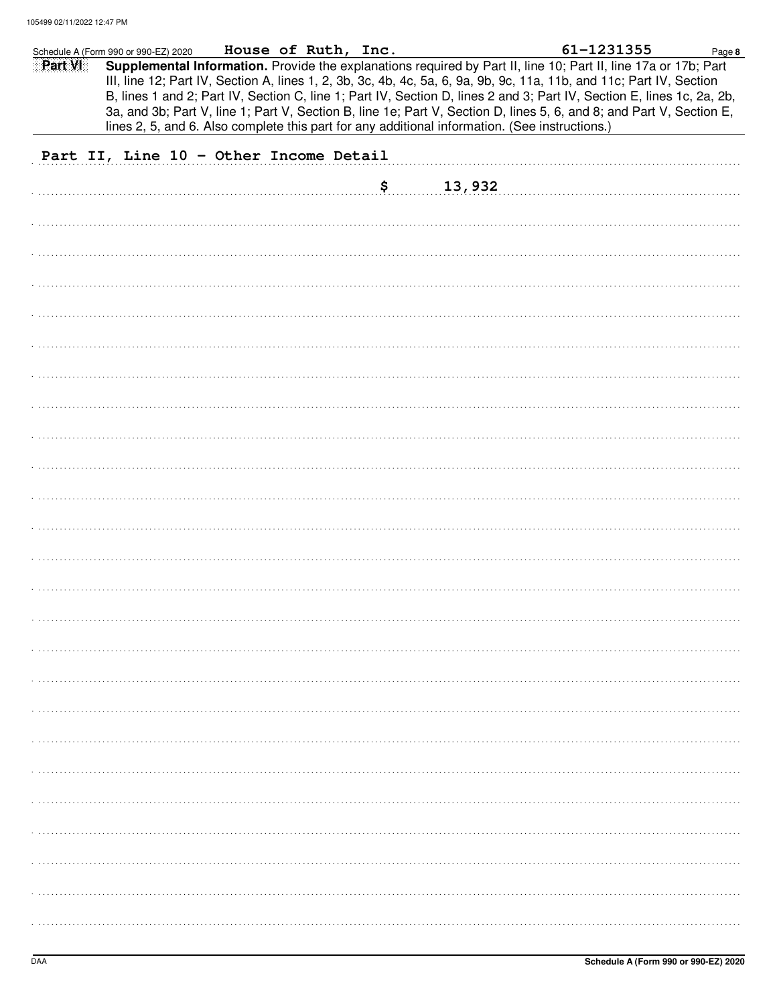|         | Schedule A (Form 990 or 990-EZ) 2020   | House of Ruth, Inc. |                                                                                                | 61-1231355                                                                                                                                                                                                                                                                                                                                                                                                                                                                                | Page 8 |
|---------|----------------------------------------|---------------------|------------------------------------------------------------------------------------------------|-------------------------------------------------------------------------------------------------------------------------------------------------------------------------------------------------------------------------------------------------------------------------------------------------------------------------------------------------------------------------------------------------------------------------------------------------------------------------------------------|--------|
| Part VI |                                        |                     |                                                                                                | Supplemental Information. Provide the explanations required by Part II, line 10; Part II, line 17a or 17b; Part<br>III, line 12; Part IV, Section A, lines 1, 2, 3b, 3c, 4b, 4c, 5a, 6, 9a, 9b, 9c, 11a, 11b, and 11c; Part IV, Section<br>B, lines 1 and 2; Part IV, Section C, line 1; Part IV, Section D, lines 2 and 3; Part IV, Section E, lines 1c, 2a, 2b,<br>3a, and 3b; Part V, line 1; Part V, Section B, line 1e; Part V, Section D, lines 5, 6, and 8; and Part V, Section E, |        |
|         |                                        |                     | lines 2, 5, and 6. Also complete this part for any additional information. (See instructions.) |                                                                                                                                                                                                                                                                                                                                                                                                                                                                                           |        |
|         | Part II, Line 10 - Other Income Detail |                     |                                                                                                |                                                                                                                                                                                                                                                                                                                                                                                                                                                                                           |        |
|         |                                        |                     | \$<br>13,932                                                                                   |                                                                                                                                                                                                                                                                                                                                                                                                                                                                                           |        |
|         |                                        |                     |                                                                                                |                                                                                                                                                                                                                                                                                                                                                                                                                                                                                           |        |
|         |                                        |                     |                                                                                                |                                                                                                                                                                                                                                                                                                                                                                                                                                                                                           |        |
|         |                                        |                     |                                                                                                |                                                                                                                                                                                                                                                                                                                                                                                                                                                                                           |        |
|         |                                        |                     |                                                                                                |                                                                                                                                                                                                                                                                                                                                                                                                                                                                                           |        |
|         |                                        |                     |                                                                                                |                                                                                                                                                                                                                                                                                                                                                                                                                                                                                           |        |
|         |                                        |                     |                                                                                                |                                                                                                                                                                                                                                                                                                                                                                                                                                                                                           |        |
|         |                                        |                     |                                                                                                |                                                                                                                                                                                                                                                                                                                                                                                                                                                                                           |        |
|         |                                        |                     |                                                                                                |                                                                                                                                                                                                                                                                                                                                                                                                                                                                                           |        |
|         |                                        |                     |                                                                                                |                                                                                                                                                                                                                                                                                                                                                                                                                                                                                           |        |
|         |                                        |                     |                                                                                                |                                                                                                                                                                                                                                                                                                                                                                                                                                                                                           |        |
|         |                                        |                     |                                                                                                |                                                                                                                                                                                                                                                                                                                                                                                                                                                                                           |        |
|         |                                        |                     |                                                                                                |                                                                                                                                                                                                                                                                                                                                                                                                                                                                                           |        |
|         |                                        |                     |                                                                                                |                                                                                                                                                                                                                                                                                                                                                                                                                                                                                           |        |
|         |                                        |                     |                                                                                                |                                                                                                                                                                                                                                                                                                                                                                                                                                                                                           |        |
|         |                                        |                     |                                                                                                |                                                                                                                                                                                                                                                                                                                                                                                                                                                                                           |        |
|         |                                        |                     |                                                                                                |                                                                                                                                                                                                                                                                                                                                                                                                                                                                                           |        |
|         |                                        |                     |                                                                                                |                                                                                                                                                                                                                                                                                                                                                                                                                                                                                           |        |
|         |                                        |                     |                                                                                                |                                                                                                                                                                                                                                                                                                                                                                                                                                                                                           |        |
|         |                                        |                     |                                                                                                |                                                                                                                                                                                                                                                                                                                                                                                                                                                                                           |        |
|         |                                        |                     |                                                                                                |                                                                                                                                                                                                                                                                                                                                                                                                                                                                                           |        |
|         |                                        |                     |                                                                                                |                                                                                                                                                                                                                                                                                                                                                                                                                                                                                           |        |
|         |                                        |                     |                                                                                                |                                                                                                                                                                                                                                                                                                                                                                                                                                                                                           |        |
|         |                                        |                     |                                                                                                |                                                                                                                                                                                                                                                                                                                                                                                                                                                                                           |        |
|         |                                        |                     |                                                                                                |                                                                                                                                                                                                                                                                                                                                                                                                                                                                                           |        |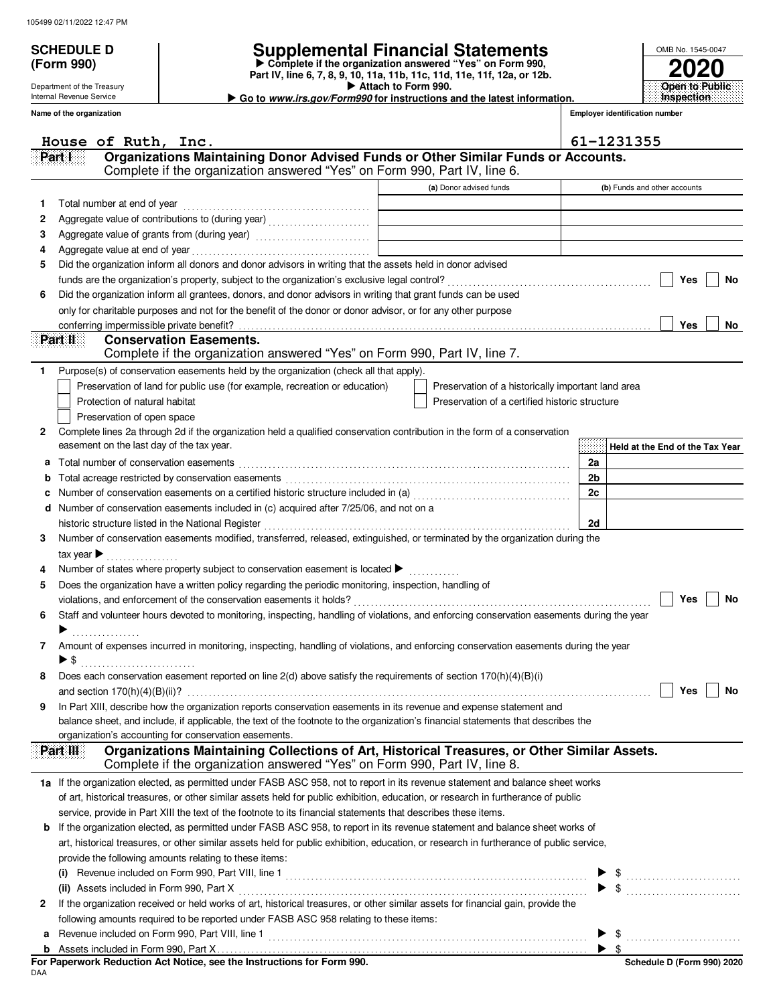**(Form 990)**

Department of the Treasury Internal Revenue Service

### **SCHEDULE D Supplemental Financial Statements**

 **Attach to Form 990. Part IV, line 6, 7, 8, 9, 10, 11a, 11b, 11c, 11d, 11e, 11f, 12a, or 12b. Complete if the organization answered "Yes" on Form 990, Go to www.irs.gov/Form990 for instructions and the latest information.**

**Employer identification Inspection**

**2020 Open to Public**

OMB No. 1545-0047

|    | Name of the organization                                                                                                                                                 |  | <b>Employer identification number</b>              |                |                                 |  |  |  |  |
|----|--------------------------------------------------------------------------------------------------------------------------------------------------------------------------|--|----------------------------------------------------|----------------|---------------------------------|--|--|--|--|
|    | House of Ruth, Inc.                                                                                                                                                      |  |                                                    |                | 61-1231355                      |  |  |  |  |
|    | Organizations Maintaining Donor Advised Funds or Other Similar Funds or Accounts.<br>Part I<br>Complete if the organization answered "Yes" on Form 990, Part IV, line 6. |  |                                                    |                |                                 |  |  |  |  |
|    |                                                                                                                                                                          |  | (a) Donor advised funds                            |                | (b) Funds and other accounts    |  |  |  |  |
| 1  |                                                                                                                                                                          |  |                                                    |                |                                 |  |  |  |  |
| 2  |                                                                                                                                                                          |  |                                                    |                |                                 |  |  |  |  |
| 3  |                                                                                                                                                                          |  |                                                    |                |                                 |  |  |  |  |
| 4  |                                                                                                                                                                          |  |                                                    |                |                                 |  |  |  |  |
| 5  | Did the organization inform all donors and donor advisors in writing that the assets held in donor advised                                                               |  |                                                    |                |                                 |  |  |  |  |
|    |                                                                                                                                                                          |  |                                                    |                | Yes<br>No                       |  |  |  |  |
| 6  | Did the organization inform all grantees, donors, and donor advisors in writing that grant funds can be used                                                             |  |                                                    |                |                                 |  |  |  |  |
|    | only for charitable purposes and not for the benefit of the donor or donor advisor, or for any other purpose                                                             |  |                                                    |                |                                 |  |  |  |  |
|    | conferring impermissible private benefit?                                                                                                                                |  |                                                    |                | Yes<br>No                       |  |  |  |  |
|    | Part II<br><b>Conservation Easements.</b>                                                                                                                                |  |                                                    |                |                                 |  |  |  |  |
|    | Complete if the organization answered "Yes" on Form 990, Part IV, line 7.                                                                                                |  |                                                    |                |                                 |  |  |  |  |
|    | Purpose(s) of conservation easements held by the organization (check all that apply).                                                                                    |  |                                                    |                |                                 |  |  |  |  |
|    | Preservation of land for public use (for example, recreation or education)                                                                                               |  | Preservation of a historically important land area |                |                                 |  |  |  |  |
|    | Protection of natural habitat                                                                                                                                            |  | Preservation of a certified historic structure     |                |                                 |  |  |  |  |
|    | Preservation of open space                                                                                                                                               |  |                                                    |                |                                 |  |  |  |  |
| 2  | Complete lines 2a through 2d if the organization held a qualified conservation contribution in the form of a conservation                                                |  |                                                    |                |                                 |  |  |  |  |
|    | easement on the last day of the tax year.                                                                                                                                |  |                                                    |                | Held at the End of the Tax Year |  |  |  |  |
| а  | Total number of conservation easements                                                                                                                                   |  |                                                    | 2a             |                                 |  |  |  |  |
| b  |                                                                                                                                                                          |  |                                                    | 2 <sub>b</sub> |                                 |  |  |  |  |
| с  |                                                                                                                                                                          |  |                                                    | 2c             |                                 |  |  |  |  |
| d  | Number of conservation easements included in (c) acquired after 7/25/06, and not on a                                                                                    |  |                                                    |                |                                 |  |  |  |  |
|    | historic structure listed in the National Register                                                                                                                       |  |                                                    | 2d             |                                 |  |  |  |  |
| 3  | Number of conservation easements modified, transferred, released, extinguished, or terminated by the organization during the                                             |  |                                                    |                |                                 |  |  |  |  |
|    | tax year $\blacktriangleright$                                                                                                                                           |  |                                                    |                |                                 |  |  |  |  |
|    | Number of states where property subject to conservation easement is located ▶                                                                                            |  |                                                    |                |                                 |  |  |  |  |
| 5  | Does the organization have a written policy regarding the periodic monitoring, inspection, handling of                                                                   |  |                                                    |                |                                 |  |  |  |  |
|    |                                                                                                                                                                          |  |                                                    |                | Yes<br>No                       |  |  |  |  |
| 6  | Staff and volunteer hours devoted to monitoring, inspecting, handling of violations, and enforcing conservation easements during the year                                |  |                                                    |                |                                 |  |  |  |  |
|    |                                                                                                                                                                          |  |                                                    |                |                                 |  |  |  |  |
| 7. | Amount of expenses incurred in monitoring, inspecting, handling of violations, and enforcing conservation easements during the year                                      |  |                                                    |                |                                 |  |  |  |  |
|    | $\blacktriangleright$ \$                                                                                                                                                 |  |                                                    |                |                                 |  |  |  |  |
|    | Does each conservation easement reported on line 2(d) above satisfy the requirements of section 170(h)(4)(B)(i)                                                          |  |                                                    |                |                                 |  |  |  |  |
|    | and section $170(h)(4)(B)(ii)?$                                                                                                                                          |  |                                                    |                | Yes<br>No                       |  |  |  |  |
| 9  | In Part XIII, describe how the organization reports conservation easements in its revenue and expense statement and                                                      |  |                                                    |                |                                 |  |  |  |  |
|    | balance sheet, and include, if applicable, the text of the footnote to the organization's financial statements that describes the                                        |  |                                                    |                |                                 |  |  |  |  |
|    | organization's accounting for conservation easements.                                                                                                                    |  |                                                    |                |                                 |  |  |  |  |
|    | Organizations Maintaining Collections of Art, Historical Treasures, or Other Similar Assets.<br>Part III                                                                 |  |                                                    |                |                                 |  |  |  |  |
|    | Complete if the organization answered "Yes" on Form 990, Part IV, line 8.                                                                                                |  |                                                    |                |                                 |  |  |  |  |
|    | 1a If the organization elected, as permitted under FASB ASC 958, not to report in its revenue statement and balance sheet works                                          |  |                                                    |                |                                 |  |  |  |  |
|    | of art, historical treasures, or other similar assets held for public exhibition, education, or research in furtherance of public                                        |  |                                                    |                |                                 |  |  |  |  |
|    | service, provide in Part XIII the text of the footnote to its financial statements that describes these items.                                                           |  |                                                    |                |                                 |  |  |  |  |
| b  | If the organization elected, as permitted under FASB ASC 958, to report in its revenue statement and balance sheet works of                                              |  |                                                    |                |                                 |  |  |  |  |
|    | art, historical treasures, or other similar assets held for public exhibition, education, or research in furtherance of public service,                                  |  |                                                    |                |                                 |  |  |  |  |
|    | provide the following amounts relating to these items:                                                                                                                   |  |                                                    |                |                                 |  |  |  |  |
|    |                                                                                                                                                                          |  |                                                    |                |                                 |  |  |  |  |
|    | (ii) Assets included in Form 990, Part X                                                                                                                                 |  |                                                    |                | \$                              |  |  |  |  |
| 2  | If the organization received or held works of art, historical treasures, or other similar assets for financial gain, provide the                                         |  |                                                    |                |                                 |  |  |  |  |
|    | following amounts required to be reported under FASB ASC 958 relating to these items:                                                                                    |  |                                                    |                |                                 |  |  |  |  |
| а  | Revenue included on Form 990, Part VIII, line 1                                                                                                                          |  |                                                    |                |                                 |  |  |  |  |
|    |                                                                                                                                                                          |  |                                                    |                |                                 |  |  |  |  |

DAA **For Paperwork Reduction Act Notice, see the Instructions for Form 990.**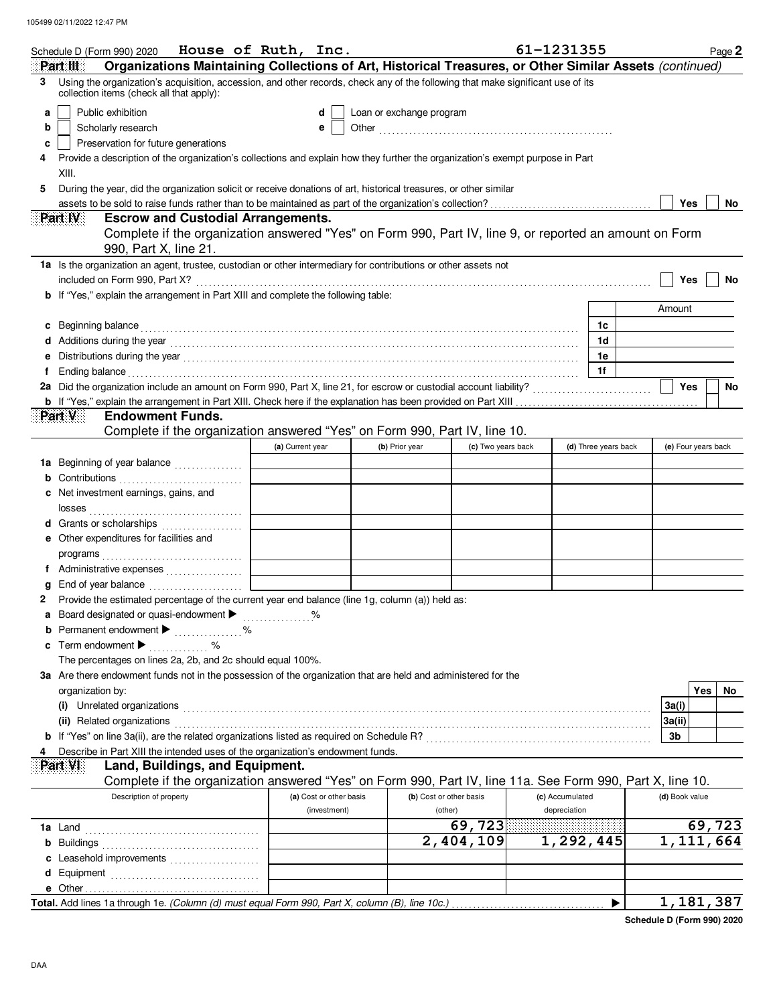|                | Schedule D (Form 990) 2020 House of Ruth, Inc.                                                                                                                                                                                                                                                                                                      |                         |                          |                    | 61-1231355      |                      | Page 2              |
|----------------|-----------------------------------------------------------------------------------------------------------------------------------------------------------------------------------------------------------------------------------------------------------------------------------------------------------------------------------------------------|-------------------------|--------------------------|--------------------|-----------------|----------------------|---------------------|
| Part III       | Organizations Maintaining Collections of Art, Historical Treasures, or Other Similar Assets (continued)                                                                                                                                                                                                                                             |                         |                          |                    |                 |                      |                     |
| 3              | Using the organization's acquisition, accession, and other records, check any of the following that make significant use of its<br>collection items (check all that apply):                                                                                                                                                                         |                         |                          |                    |                 |                      |                     |
| а              | Public exhibition                                                                                                                                                                                                                                                                                                                                   | d                       | Loan or exchange program |                    |                 |                      |                     |
| b              | Scholarly research                                                                                                                                                                                                                                                                                                                                  | е                       |                          |                    |                 |                      |                     |
| c              | Preservation for future generations                                                                                                                                                                                                                                                                                                                 |                         |                          |                    |                 |                      |                     |
| 4<br>XIII.     | Provide a description of the organization's collections and explain how they further the organization's exempt purpose in Part                                                                                                                                                                                                                      |                         |                          |                    |                 |                      |                     |
| 5              | During the year, did the organization solicit or receive donations of art, historical treasures, or other similar                                                                                                                                                                                                                                   |                         |                          |                    |                 |                      | Yes<br>No           |
| Part IV        | <b>Escrow and Custodial Arrangements.</b>                                                                                                                                                                                                                                                                                                           |                         |                          |                    |                 |                      |                     |
|                | Complete if the organization answered "Yes" on Form 990, Part IV, line 9, or reported an amount on Form<br>990, Part X, line 21.                                                                                                                                                                                                                    |                         |                          |                    |                 |                      |                     |
|                | 1a Is the organization an agent, trustee, custodian or other intermediary for contributions or other assets not                                                                                                                                                                                                                                     |                         |                          |                    |                 |                      |                     |
|                |                                                                                                                                                                                                                                                                                                                                                     |                         |                          |                    |                 |                      | Yes<br>No           |
|                | b If "Yes," explain the arrangement in Part XIII and complete the following table:                                                                                                                                                                                                                                                                  |                         |                          |                    |                 |                      | Amount              |
|                |                                                                                                                                                                                                                                                                                                                                                     |                         |                          |                    |                 |                      |                     |
| c              | Beginning balance <b>construction and the construction of the construction of the construction</b> of the construction of the construction of the construction of the construction of the construction of the construction of the c                                                                                                                 |                         |                          |                    |                 | 1c<br>1d             |                     |
|                |                                                                                                                                                                                                                                                                                                                                                     |                         |                          |                    |                 | 1е                   |                     |
| е              |                                                                                                                                                                                                                                                                                                                                                     |                         |                          |                    |                 | 1f                   |                     |
| f.             | Ending balance expression and the contract of the contract of the contract of the contract of the contract of the contract of the contract of the contract of the contract of the contract of the contract of the contract of<br>2a Did the organization include an amount on Form 990, Part X, line 21, for escrow or custodial account liability? |                         |                          |                    |                 |                      | Yes<br>No           |
|                |                                                                                                                                                                                                                                                                                                                                                     |                         |                          |                    |                 |                      |                     |
| Part V         | <b>Endowment Funds.</b>                                                                                                                                                                                                                                                                                                                             |                         |                          |                    |                 |                      |                     |
|                | Complete if the organization answered "Yes" on Form 990, Part IV, line 10.                                                                                                                                                                                                                                                                          |                         |                          |                    |                 |                      |                     |
|                |                                                                                                                                                                                                                                                                                                                                                     | (a) Current year        | (b) Prior year           | (c) Two years back |                 | (d) Three years back | (e) Four years back |
|                | 1a Beginning of year balance                                                                                                                                                                                                                                                                                                                        |                         |                          |                    |                 |                      |                     |
|                |                                                                                                                                                                                                                                                                                                                                                     |                         |                          |                    |                 |                      |                     |
|                | c Net investment earnings, gains, and                                                                                                                                                                                                                                                                                                               |                         |                          |                    |                 |                      |                     |
|                |                                                                                                                                                                                                                                                                                                                                                     |                         |                          |                    |                 |                      |                     |
|                | d Grants or scholarships                                                                                                                                                                                                                                                                                                                            |                         |                          |                    |                 |                      |                     |
|                | e Other expenditures for facilities and                                                                                                                                                                                                                                                                                                             |                         |                          |                    |                 |                      |                     |
|                |                                                                                                                                                                                                                                                                                                                                                     |                         |                          |                    |                 |                      |                     |
|                | f Administrative expenses                                                                                                                                                                                                                                                                                                                           |                         |                          |                    |                 |                      |                     |
|                |                                                                                                                                                                                                                                                                                                                                                     |                         |                          |                    |                 |                      |                     |
| 2              | Provide the estimated percentage of the current year end balance (line 1g, column (a)) held as:                                                                                                                                                                                                                                                     |                         |                          |                    |                 |                      |                     |
|                | a Board designated or quasi-endowment $\blacktriangleright$                                                                                                                                                                                                                                                                                         |                         |                          |                    |                 |                      |                     |
| b              | Permanent endowment >                                                                                                                                                                                                                                                                                                                               |                         |                          |                    |                 |                      |                     |
| c              | Term endowment $\blacktriangleright$<br>$\%$<br>.                                                                                                                                                                                                                                                                                                   |                         |                          |                    |                 |                      |                     |
|                | The percentages on lines 2a, 2b, and 2c should equal 100%.                                                                                                                                                                                                                                                                                          |                         |                          |                    |                 |                      |                     |
|                | 3a Are there endowment funds not in the possession of the organization that are held and administered for the                                                                                                                                                                                                                                       |                         |                          |                    |                 |                      |                     |
|                | organization by:                                                                                                                                                                                                                                                                                                                                    |                         |                          |                    |                 |                      | Yes<br>No           |
|                | (i) Unrelated organizations entertainment and a set of the contract of the contract of the contract of the contract of the contract of the contract of the contract of the contract of the contract of the contract of the con                                                                                                                      |                         |                          |                    |                 |                      | 3a(i)               |
|                | (ii) Related organizations                                                                                                                                                                                                                                                                                                                          |                         |                          |                    |                 |                      | 3a(ii)              |
|                |                                                                                                                                                                                                                                                                                                                                                     |                         |                          |                    |                 |                      | 3b                  |
|                | Describe in Part XIII the intended uses of the organization's endowment funds.                                                                                                                                                                                                                                                                      |                         |                          |                    |                 |                      |                     |
| Part VI        | Land, Buildings, and Equipment.                                                                                                                                                                                                                                                                                                                     |                         |                          |                    |                 |                      |                     |
|                | Complete if the organization answered "Yes" on Form 990, Part IV, line 11a. See Form 990, Part X, line 10.                                                                                                                                                                                                                                          |                         |                          |                    |                 |                      |                     |
|                | Description of property                                                                                                                                                                                                                                                                                                                             | (a) Cost or other basis | (b) Cost or other basis  |                    | (c) Accumulated |                      | (d) Book value      |
|                |                                                                                                                                                                                                                                                                                                                                                     | (investment)            |                          | (other)            | depreciation    |                      |                     |
| <b>1a</b> Land |                                                                                                                                                                                                                                                                                                                                                     |                         |                          | 69,723             |                 |                      | 69,723              |
|                | <b>b</b> Buildings <b>Manual</b> Buildings <b>Constitution Buildings</b>                                                                                                                                                                                                                                                                            |                         |                          | 2,404,109          | 1,292,445       |                      | 1, 111, 664         |
|                | c Leasehold improvements                                                                                                                                                                                                                                                                                                                            |                         |                          |                    |                 |                      |                     |
|                |                                                                                                                                                                                                                                                                                                                                                     |                         |                          |                    |                 |                      |                     |
|                | Total. Add lines 1a through 1e. (Column (d) must equal Form 990, Part X, column (B), line 10c.)                                                                                                                                                                                                                                                     |                         |                          |                    |                 |                      | 1, 181, 387         |
|                |                                                                                                                                                                                                                                                                                                                                                     |                         |                          |                    |                 |                      |                     |

**Schedule D (Form 990) 2020**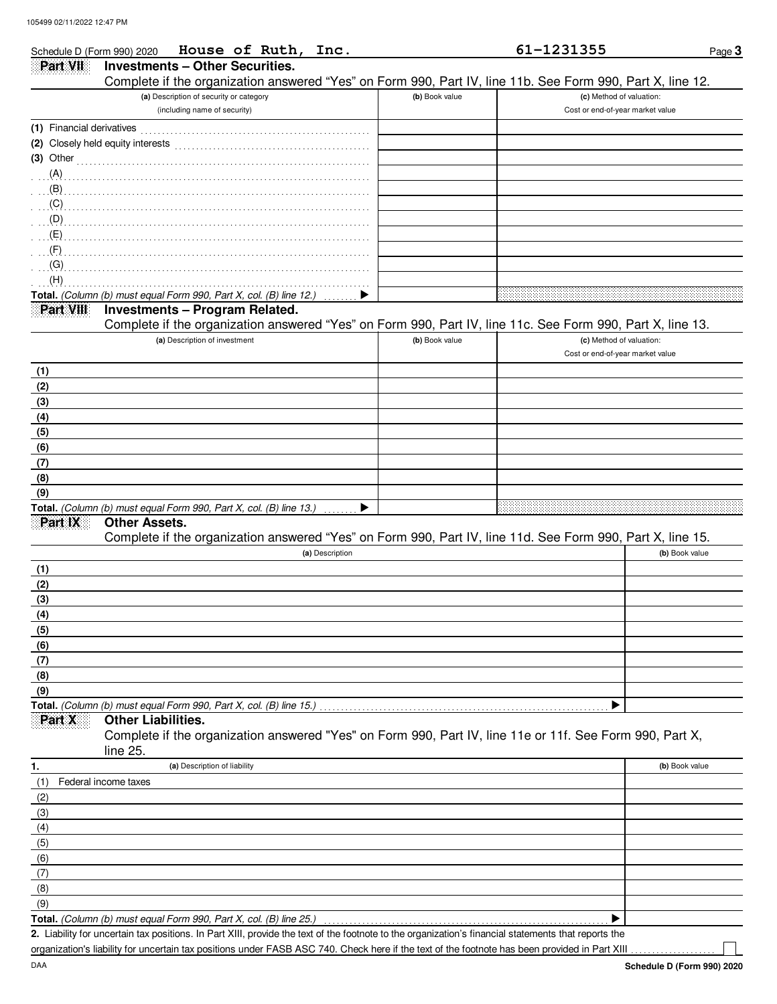| Schedule D (Form 990) 2020 | House of Ruth, Inc.                                                                                         |                 |   |                | 61-1231355                       | Page 3         |
|----------------------------|-------------------------------------------------------------------------------------------------------------|-----------------|---|----------------|----------------------------------|----------------|
| Part VII                   | <b>Investments - Other Securities.</b>                                                                      |                 |   |                |                                  |                |
|                            | Complete if the organization answered "Yes" on Form 990, Part IV, line 11b. See Form 990, Part X, line 12.  |                 |   |                |                                  |                |
|                            | (a) Description of security or category                                                                     |                 |   | (b) Book value | (c) Method of valuation:         |                |
|                            | (including name of security)                                                                                |                 |   |                | Cost or end-of-year market value |                |
| (1) Financial derivatives  |                                                                                                             |                 |   |                |                                  |                |
|                            |                                                                                                             |                 |   |                |                                  |                |
| $(3)$ Other                |                                                                                                             |                 |   |                |                                  |                |
| (A)                        |                                                                                                             |                 |   |                |                                  |                |
|                            |                                                                                                             |                 |   |                |                                  |                |
|                            |                                                                                                             |                 |   |                |                                  |                |
|                            |                                                                                                             |                 |   |                |                                  |                |
|                            |                                                                                                             |                 |   |                |                                  |                |
| (F)                        |                                                                                                             |                 |   |                |                                  |                |
| (G)                        |                                                                                                             |                 |   |                |                                  |                |
| (H)                        |                                                                                                             |                 |   |                |                                  |                |
| Part VIII                  | Total. (Column (b) must equal Form 990, Part X, col. (B) line 12.)<br><b>Investments - Program Related.</b> |                 |   |                |                                  |                |
|                            | Complete if the organization answered "Yes" on Form 990, Part IV, line 11c. See Form 990, Part X, line 13.  |                 |   |                |                                  |                |
|                            | (a) Description of investment                                                                               |                 |   | (b) Book value | (c) Method of valuation:         |                |
|                            |                                                                                                             |                 |   |                | Cost or end-of-year market value |                |
| (1)                        |                                                                                                             |                 |   |                |                                  |                |
| (2)                        |                                                                                                             |                 |   |                |                                  |                |
| (3)                        |                                                                                                             |                 |   |                |                                  |                |
| (4)                        |                                                                                                             |                 |   |                |                                  |                |
| (5)                        |                                                                                                             |                 |   |                |                                  |                |
| (6)                        |                                                                                                             |                 |   |                |                                  |                |
| (7)                        |                                                                                                             |                 |   |                |                                  |                |
| (8)                        |                                                                                                             |                 |   |                |                                  |                |
| (9)                        |                                                                                                             |                 |   |                |                                  |                |
|                            | Total. (Column (b) must equal Form 990, Part X, col. (B) line 13.)                                          |                 | ▶ |                |                                  |                |
| Part IX                    | <b>Other Assets.</b>                                                                                        |                 |   |                |                                  |                |
|                            | Complete if the organization answered "Yes" on Form 990, Part IV, line 11d. See Form 990, Part X, line 15.  |                 |   |                |                                  |                |
|                            |                                                                                                             | (a) Description |   |                |                                  | (b) Book value |
| (1)                        |                                                                                                             |                 |   |                |                                  |                |
| (2)                        |                                                                                                             |                 |   |                |                                  |                |
| (3)                        |                                                                                                             |                 |   |                |                                  |                |
| (4)                        |                                                                                                             |                 |   |                |                                  |                |
| (5)                        |                                                                                                             |                 |   |                |                                  |                |
| (6)<br>(7)                 |                                                                                                             |                 |   |                |                                  |                |
| (8)                        |                                                                                                             |                 |   |                |                                  |                |
| (9)                        |                                                                                                             |                 |   |                |                                  |                |
|                            | Total. (Column (b) must equal Form 990, Part X, col. (B) line 15.)                                          |                 |   |                |                                  |                |
| Part X                     | <b>Other Liabilities.</b>                                                                                   |                 |   |                |                                  |                |
|                            | Complete if the organization answered "Yes" on Form 990, Part IV, line 11e or 11f. See Form 990, Part X,    |                 |   |                |                                  |                |
|                            | line 25.                                                                                                    |                 |   |                |                                  |                |
| 1.                         | (a) Description of liability                                                                                |                 |   |                |                                  | (b) Book value |
| (1)                        | Federal income taxes                                                                                        |                 |   |                |                                  |                |
| (2)                        |                                                                                                             |                 |   |                |                                  |                |
| (3)                        |                                                                                                             |                 |   |                |                                  |                |
| (4)                        |                                                                                                             |                 |   |                |                                  |                |
| (5)                        |                                                                                                             |                 |   |                |                                  |                |
| (6)                        |                                                                                                             |                 |   |                |                                  |                |
| (7)                        |                                                                                                             |                 |   |                |                                  |                |
| (8)                        |                                                                                                             |                 |   |                |                                  |                |
| (9)                        |                                                                                                             |                 |   |                |                                  |                |
|                            | Total. (Column (b) must equal Form 990, Part X, col. (B) line 25.)                                          |                 |   |                |                                  |                |

Liability for uncertain tax positions. In Part XIII, provide the text of the footnote to the organization's financial statements that reports the **2. Total.** (Column (b) must equal Form 990, Part X, col. (B) line 25.)

organization's liability for uncertain tax positions under FASB ASC 740. Check here if the text of the footnote has been provided in Part XIII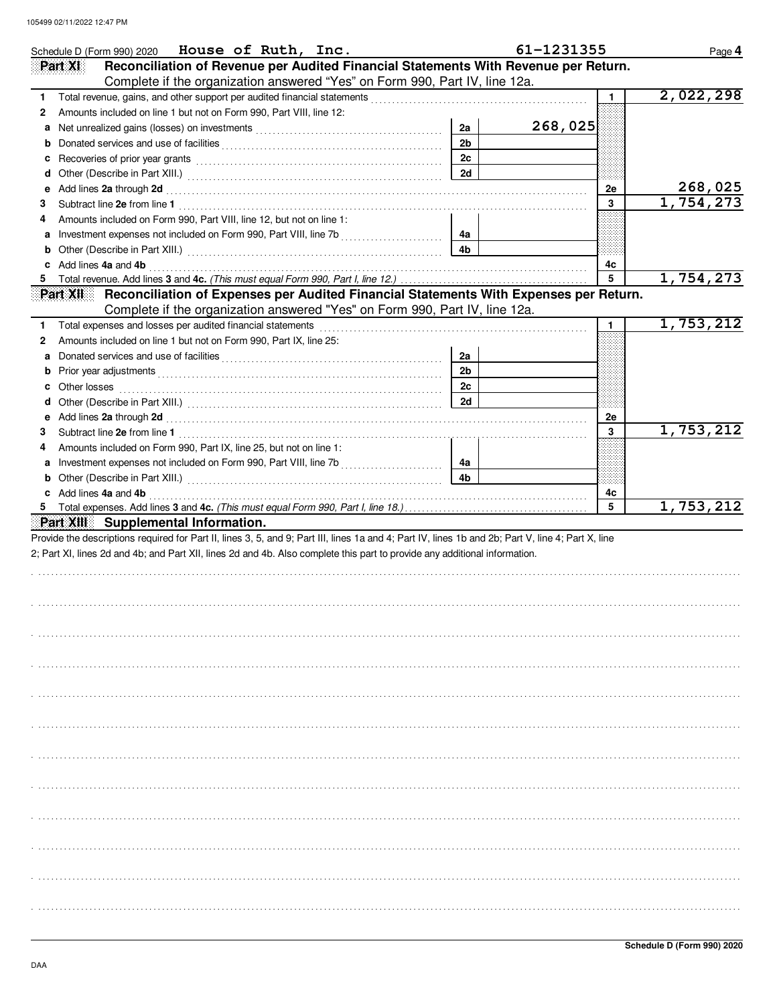|   | Schedule D (Form 990) 2020 House of Ruth, Inc.                                                                                                                                                                                 |                | 61-1231355 |    | Page 4    |
|---|--------------------------------------------------------------------------------------------------------------------------------------------------------------------------------------------------------------------------------|----------------|------------|----|-----------|
|   | Reconciliation of Revenue per Audited Financial Statements With Revenue per Return.<br>Part XI                                                                                                                                 |                |            |    |           |
|   | Complete if the organization answered "Yes" on Form 990, Part IV, line 12a.                                                                                                                                                    |                |            |    |           |
| 1 |                                                                                                                                                                                                                                |                |            | 1. | 2,022,298 |
| 2 | Amounts included on line 1 but not on Form 990, Part VIII, line 12:                                                                                                                                                            |                |            |    |           |
| а |                                                                                                                                                                                                                                | 2a             | 268,025    |    |           |
| b |                                                                                                                                                                                                                                | 2 <sub>b</sub> |            |    |           |
| c |                                                                                                                                                                                                                                | 2c             |            |    |           |
| d |                                                                                                                                                                                                                                | 2d             |            |    |           |
| е | Add lines 2a through 2d                                                                                                                                                                                                        |                |            | 2e | 268,025   |
| 3 |                                                                                                                                                                                                                                |                |            | 3  | 1,754,273 |
| 4 | Amounts included on Form 990, Part VIII, line 12, but not on line 1:                                                                                                                                                           |                |            |    |           |
| а |                                                                                                                                                                                                                                | 4a             |            |    |           |
| b |                                                                                                                                                                                                                                | 4b             |            |    |           |
|   | c Add lines 4a and 4b                                                                                                                                                                                                          |                |            | 4c |           |
| 5 |                                                                                                                                                                                                                                |                |            | 5  | 1,754,273 |
|   | Part XII: Reconciliation of Expenses per Audited Financial Statements With Expenses per Return.                                                                                                                                |                |            |    |           |
|   | Complete if the organization answered "Yes" on Form 990, Part IV, line 12a.                                                                                                                                                    |                |            |    |           |
| 1 | Total expenses and losses per audited financial statements                                                                                                                                                                     |                |            | 1  | 1,753,212 |
| 2 | Amounts included on line 1 but not on Form 990, Part IX, line 25:                                                                                                                                                              |                |            |    |           |
|   |                                                                                                                                                                                                                                | 2a             |            |    |           |
|   | Donated services and use of facilities [[11, 11] [11] contact the service of facilities [[11] contact the service of facilities [[11] contact the service of facilities [[11] contact the service of facilities [[11] contact  | 2 <sub>b</sub> |            |    |           |
| b | Prior year adjustments [11, 12] with the contract of the contract of the contract of the contract of the contract of the contract of the contract of the contract of the contract of the contract of the contract of the contr |                |            |    |           |
| c | Other losses                                                                                                                                                                                                                   | 2c             |            |    |           |
| d |                                                                                                                                                                                                                                | 2d             |            |    |           |
| е | Add lines 2a through 2d [11] March 20 [11] March 20 [11] March 20 [11] March 20 [11] March 20 [11] March 20 [11] March 20 [11] March 20 [11] March 20 [11] March 20 [11] March 20 [11] March 20 [11] March 20 [11] March 20 [1 |                |            | 2e |           |
| 3 |                                                                                                                                                                                                                                |                |            | 3  | 1,753,212 |
| 4 | Amounts included on Form 990, Part IX, line 25, but not on line 1:                                                                                                                                                             |                |            |    |           |
| а |                                                                                                                                                                                                                                | 4a             |            |    |           |
| b |                                                                                                                                                                                                                                | 4b             |            |    |           |
|   | c Add lines 4a and 4b                                                                                                                                                                                                          |                |            | 4c |           |
| 5 |                                                                                                                                                                                                                                |                |            | 5  | 1,753,212 |
|   | <b>Part XIII</b> Supplemental Information.                                                                                                                                                                                     |                |            |    |           |
|   | Provide the descriptions required for Part II, lines 3, 5, and 9; Part III, lines 1a and 4; Part IV, lines 1b and 2b; Part V, line 4; Part X, line                                                                             |                |            |    |           |
|   | 2; Part XI, lines 2d and 4b; and Part XII, lines 2d and 4b. Also complete this part to provide any additional information.                                                                                                     |                |            |    |           |
|   |                                                                                                                                                                                                                                |                |            |    |           |
|   |                                                                                                                                                                                                                                |                |            |    |           |
|   |                                                                                                                                                                                                                                |                |            |    |           |
|   |                                                                                                                                                                                                                                |                |            |    |           |
|   |                                                                                                                                                                                                                                |                |            |    |           |
|   |                                                                                                                                                                                                                                |                |            |    |           |
|   |                                                                                                                                                                                                                                |                |            |    |           |
|   |                                                                                                                                                                                                                                |                |            |    |           |
|   |                                                                                                                                                                                                                                |                |            |    |           |
|   |                                                                                                                                                                                                                                |                |            |    |           |
|   |                                                                                                                                                                                                                                |                |            |    |           |
|   |                                                                                                                                                                                                                                |                |            |    |           |
|   |                                                                                                                                                                                                                                |                |            |    |           |
|   |                                                                                                                                                                                                                                |                |            |    |           |
|   |                                                                                                                                                                                                                                |                |            |    |           |
|   |                                                                                                                                                                                                                                |                |            |    |           |
|   |                                                                                                                                                                                                                                |                |            |    |           |
|   |                                                                                                                                                                                                                                |                |            |    |           |
|   |                                                                                                                                                                                                                                |                |            |    |           |
|   |                                                                                                                                                                                                                                |                |            |    |           |
|   |                                                                                                                                                                                                                                |                |            |    |           |
|   |                                                                                                                                                                                                                                |                |            |    |           |
|   |                                                                                                                                                                                                                                |                |            |    |           |
|   |                                                                                                                                                                                                                                |                |            |    |           |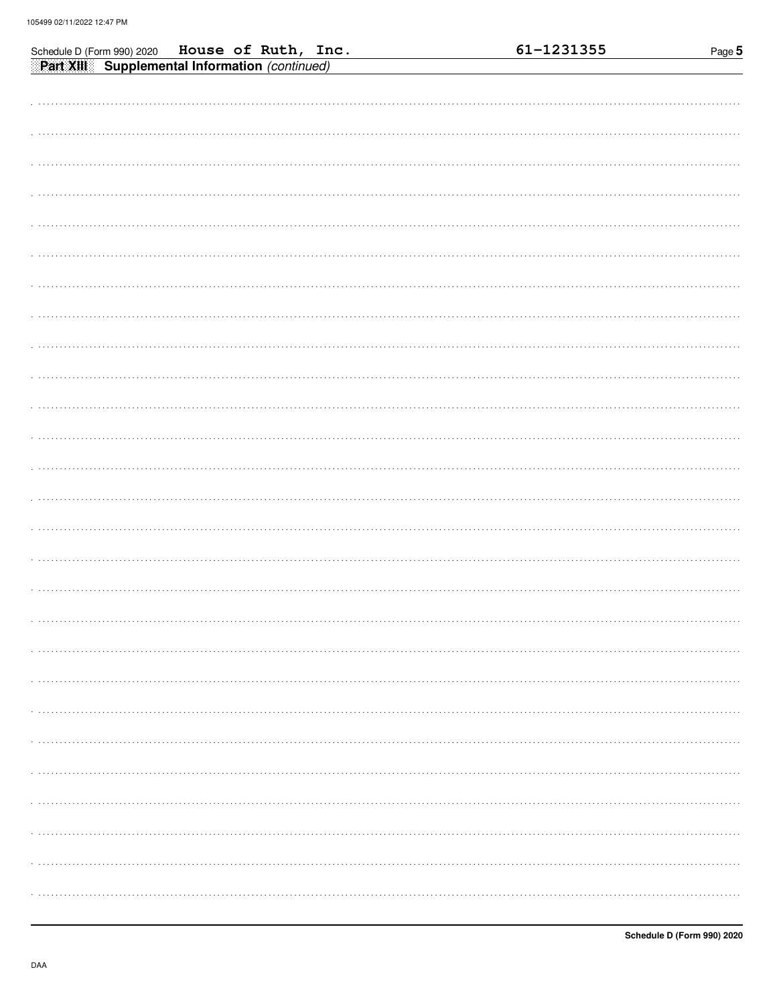| Schedule D (Form 990) 2020 House of Ruth, Inc. | 61-1231355 | Page 5 |
|------------------------------------------------|------------|--------|
| Part XIII Supplemental Information (continued) |            |        |
|                                                |            |        |
|                                                |            |        |
|                                                |            |        |
|                                                |            |        |
|                                                |            |        |
|                                                |            |        |
|                                                |            |        |
|                                                |            |        |
|                                                |            |        |
|                                                |            |        |
|                                                |            |        |
|                                                |            |        |
|                                                |            |        |
|                                                |            |        |
|                                                |            |        |
|                                                |            |        |
|                                                |            |        |
|                                                |            |        |
|                                                |            |        |
|                                                |            |        |
|                                                |            |        |
|                                                |            |        |
|                                                |            |        |
|                                                |            |        |
|                                                |            |        |
|                                                |            |        |
|                                                |            |        |
|                                                |            |        |
|                                                |            |        |
|                                                |            |        |
|                                                |            |        |
|                                                |            |        |
|                                                |            |        |
|                                                |            |        |
|                                                |            |        |
|                                                |            |        |
|                                                |            |        |
|                                                |            |        |
|                                                |            |        |
|                                                |            |        |
|                                                |            |        |
|                                                |            |        |
|                                                |            |        |
|                                                |            |        |
|                                                |            |        |
|                                                |            |        |
|                                                |            |        |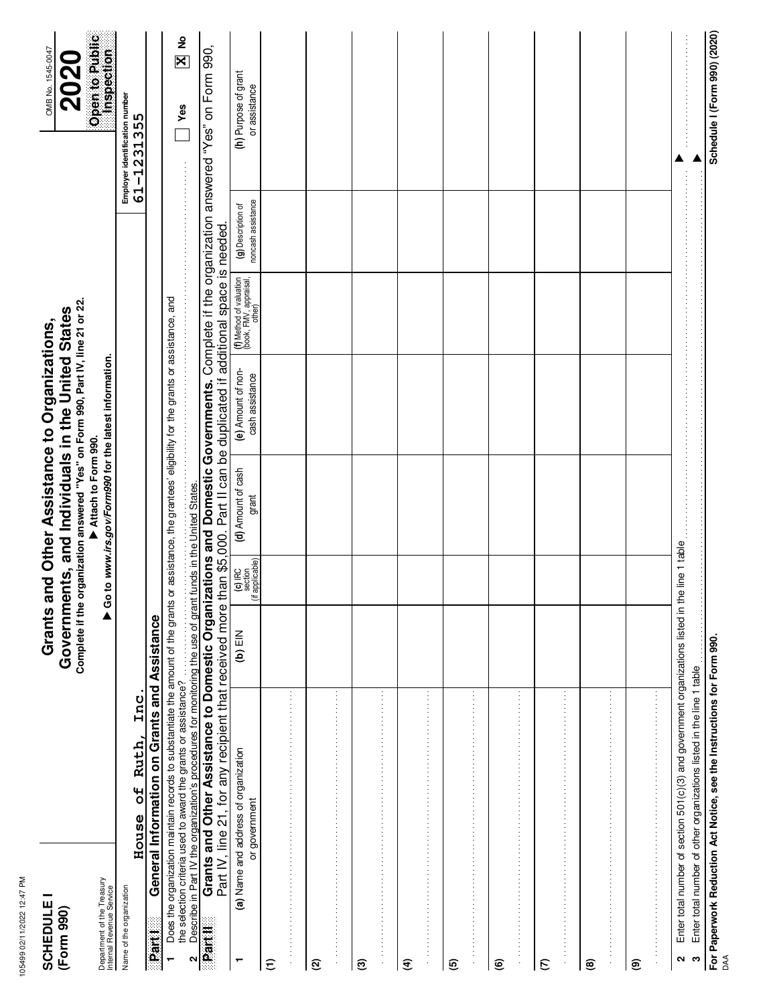| <b>SCHEDULE</b>                                        |                                                                                                                                                                                                                                                                           |                                                           |                                       |                             | Grants and Other Assistance to Organizations,                                                                                         |                                                             |                                          | OMB No. 1545-0047                            |                           |
|--------------------------------------------------------|---------------------------------------------------------------------------------------------------------------------------------------------------------------------------------------------------------------------------------------------------------------------------|-----------------------------------------------------------|---------------------------------------|-----------------------------|---------------------------------------------------------------------------------------------------------------------------------------|-------------------------------------------------------------|------------------------------------------|----------------------------------------------|---------------------------|
| (Form 990)                                             |                                                                                                                                                                                                                                                                           |                                                           |                                       |                             | Complete if the organization answered "Yes" on Form 990, Part IV, line 21 or 22.<br>Governments, and Individuals in the United States |                                                             |                                          | <b>2020</b>                                  |                           |
| Department of the Treasury<br>Internal Revenue Service |                                                                                                                                                                                                                                                                           | $\overline{ }$ Go t                                       |                                       | Attach to Form 990.         | o www.irs.gov/Form990 for the latest information.                                                                                     |                                                             |                                          | Open to Public<br>Inspection                 |                           |
| Name of the organization                               | Inc<br>Ruth,<br>House of                                                                                                                                                                                                                                                  |                                                           |                                       |                             |                                                                                                                                       |                                                             |                                          | Employer identification number<br>61-1231355 |                           |
| Pamilli                                                | General Information on Grants and Assistance                                                                                                                                                                                                                              |                                                           |                                       |                             |                                                                                                                                       |                                                             |                                          |                                              |                           |
| $\blacksquare$                                         | Does the organization maintain records to substantiate the amount of the grants or                                                                                                                                                                                        |                                                           |                                       |                             | assistance, the grantees' eligibility for the grants or assistance, and                                                               |                                                             |                                          | Yes                                          | $\frac{1}{\mathbf{X}}$ No |
| $\mathbf{\Omega}$                                      | Describe in Part IV the organization's procedures for monitoring the use of grant funds in the United States<br>the selection criteria used to award the grants or assistance?                                                                                            | $\begin{array}{c} \vdots \\ \vdots \\ \vdots \end{array}$ |                                       |                             |                                                                                                                                       |                                                             | .                                        |                                              |                           |
| <b>Hate</b>                                            | Grants and Other Assistance to Domestic Organizations and Domestic Governments. Complete if the organization answered "Yes" on Form 990,<br>Part IV, line 21, for any recipient that received more than \$5,000. Part II can be duplicated if additional space is needed. |                                                           |                                       |                             |                                                                                                                                       |                                                             |                                          |                                              |                           |
| ٣                                                      | (a) Name and address of organization<br>or government                                                                                                                                                                                                                     | $MD$ EIN                                                  | (if applicable)<br>(c) IRC<br>section | (d) Amount of cash<br>grant | (e) Amount of non-<br>cash assistance                                                                                                 | (f) Method of valuation<br>(book, FMV, appraisal,<br>other) | noncash assistance<br>(g) Description of | (h) Purpose of grant<br>or assistance        |                           |
| $\widehat{E}$                                          |                                                                                                                                                                                                                                                                           |                                                           |                                       |                             |                                                                                                                                       |                                                             |                                          |                                              |                           |
|                                                        |                                                                                                                                                                                                                                                                           |                                                           |                                       |                             |                                                                                                                                       |                                                             |                                          |                                              |                           |
| $\mathbf{\widehat{e}}$                                 |                                                                                                                                                                                                                                                                           |                                                           |                                       |                             |                                                                                                                                       |                                                             |                                          |                                              |                           |
|                                                        | 医马里耳氏菌 医马里耳氏菌 医马里耳氏菌 医马里耳氏菌 医马里耳氏菌 医马里耳氏菌 医马里耳氏菌 医马里耳氏菌 医马里耳氏菌 医马里耳氏菌 医马里耳氏菌 医骨骨炎                                                                                                                                                                                         |                                                           |                                       |                             |                                                                                                                                       |                                                             |                                          |                                              |                           |
| ම                                                      |                                                                                                                                                                                                                                                                           |                                                           |                                       |                             |                                                                                                                                       |                                                             |                                          |                                              |                           |
|                                                        | $\vdots$                                                                                                                                                                                                                                                                  |                                                           |                                       |                             |                                                                                                                                       |                                                             |                                          |                                              |                           |
| $\widehat{f}$                                          |                                                                                                                                                                                                                                                                           |                                                           |                                       |                             |                                                                                                                                       |                                                             |                                          |                                              |                           |
|                                                        | $\ddot{ }$ : $\ddot{ }$ : $\ddot{ }$ : $\ddot{ }$ : $\ddot{ }$ :                                                                                                                                                                                                          |                                                           |                                       |                             |                                                                                                                                       |                                                             |                                          |                                              |                           |
| ම                                                      |                                                                                                                                                                                                                                                                           |                                                           |                                       |                             |                                                                                                                                       |                                                             |                                          |                                              |                           |
|                                                        |                                                                                                                                                                                                                                                                           |                                                           |                                       |                             |                                                                                                                                       |                                                             |                                          |                                              |                           |
| ම                                                      |                                                                                                                                                                                                                                                                           |                                                           |                                       |                             |                                                                                                                                       |                                                             |                                          |                                              |                           |
|                                                        |                                                                                                                                                                                                                                                                           |                                                           |                                       |                             |                                                                                                                                       |                                                             |                                          |                                              |                           |
| $\epsilon$                                             |                                                                                                                                                                                                                                                                           |                                                           |                                       |                             |                                                                                                                                       |                                                             |                                          |                                              |                           |
|                                                        | 医皮肤病毒 医皮肤病毒 医皮肤病毒 医皮肤病毒 医皮肤病毒 医皮肤病毒 医皮肤病毒 医皮肤病毒 医皮肤病毒 医皮肤病毒 医皮肤病毒 医皮肤病毒 医皮肤病毒                                                                                                                                                                                             |                                                           |                                       |                             |                                                                                                                                       |                                                             |                                          |                                              |                           |
| ම                                                      |                                                                                                                                                                                                                                                                           |                                                           |                                       |                             |                                                                                                                                       |                                                             |                                          |                                              |                           |
|                                                        |                                                                                                                                                                                                                                                                           |                                                           |                                       |                             |                                                                                                                                       |                                                             |                                          |                                              |                           |
| ම                                                      |                                                                                                                                                                                                                                                                           |                                                           |                                       |                             |                                                                                                                                       |                                                             |                                          |                                              |                           |
|                                                        |                                                                                                                                                                                                                                                                           |                                                           |                                       |                             |                                                                                                                                       |                                                             |                                          |                                              |                           |
| ິ                                                      | Enter total number of section 501(c)(3) and government organizations listed in the                                                                                                                                                                                        |                                                           | line 1 table                          |                             |                                                                                                                                       |                                                             |                                          |                                              |                           |
| S                                                      | Enter total number of other organizations listed in the line 1 table                                                                                                                                                                                                      |                                                           |                                       |                             |                                                                                                                                       |                                                             |                                          | Schedule I (Form 990) (2020)                 |                           |
| DAA                                                    | For Paperwork Reduction Act Notice, see the Instructions for Form 990.                                                                                                                                                                                                    |                                                           |                                       |                             |                                                                                                                                       |                                                             |                                          |                                              |                           |

105499 02/11/2022 12:47 PM 105499 02/11/2022 12:47 PM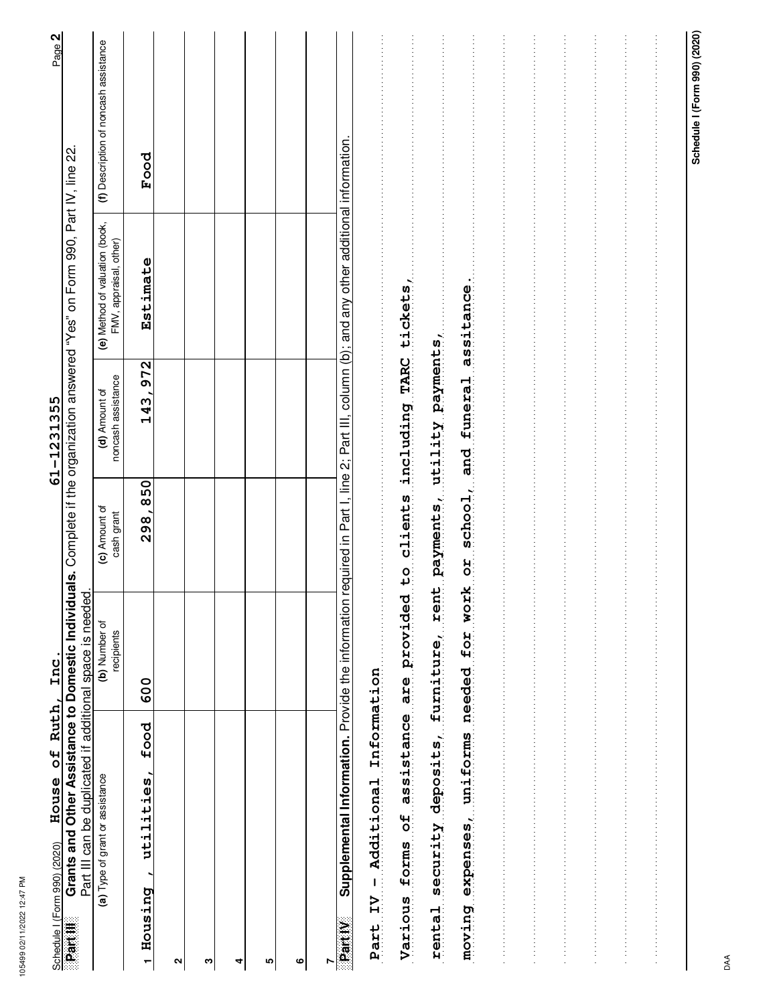| Grants and Other Assistance to Domestic Individuals. Complete if the organization answered "Yes" on Form 990, Part IV, line 22<br>House of Ruth,<br>Schedule I (Form 990) (2020)<br><b>Hilber</b> | Inc           |               | 61-1231355                         |                                                                                        | $\mathbf{\Omega}$<br>Page             |
|---------------------------------------------------------------------------------------------------------------------------------------------------------------------------------------------------|---------------|---------------|------------------------------------|----------------------------------------------------------------------------------------|---------------------------------------|
| Part III can be duplicated if additional space is needec<br>(a) Type of grant or assistance                                                                                                       | (b) Number of | (c) Amount of | (d) Amount of                      | (e) Method of valuation (book,                                                         | (f) Description of noncash assistance |
|                                                                                                                                                                                                   | recipients    | cash grant    | noncash assistance                 | FMV, appraisal, other)                                                                 |                                       |
| food<br>utilities<br>1 Housing                                                                                                                                                                    | 600           | 850<br>298    | 972<br>143,                        | Estimate                                                                               | Food                                  |
| N                                                                                                                                                                                                 |               |               |                                    |                                                                                        |                                       |
| ω                                                                                                                                                                                                 |               |               |                                    |                                                                                        |                                       |
| 4                                                                                                                                                                                                 |               |               |                                    |                                                                                        |                                       |
| ıΩ                                                                                                                                                                                                |               |               |                                    |                                                                                        |                                       |
| ဖ                                                                                                                                                                                                 |               |               |                                    |                                                                                        |                                       |
|                                                                                                                                                                                                   |               |               |                                    |                                                                                        |                                       |
| Supplemental Information. Provide the information<br>Part IV                                                                                                                                      |               |               |                                    | required in Part I, line 2; Part III, column (b); and any other additional information |                                       |
| Part IV - Additional Information                                                                                                                                                                  |               |               |                                    |                                                                                        |                                       |
| Various forms of assistance are provided                                                                                                                                                          |               |               | to clients including TARC tickets, |                                                                                        |                                       |
| rental security deposits, furniture, rent payments, utility payments,                                                                                                                             |               |               |                                    |                                                                                        |                                       |
| moving expenses, uniforms needed for work or school, and funeral assitance.                                                                                                                       |               |               |                                    |                                                                                        |                                       |
|                                                                                                                                                                                                   |               |               |                                    |                                                                                        |                                       |
|                                                                                                                                                                                                   |               |               |                                    |                                                                                        |                                       |
|                                                                                                                                                                                                   |               |               |                                    |                                                                                        |                                       |
|                                                                                                                                                                                                   |               |               |                                    |                                                                                        |                                       |
|                                                                                                                                                                                                   |               |               |                                    |                                                                                        |                                       |
|                                                                                                                                                                                                   |               |               |                                    |                                                                                        |                                       |
|                                                                                                                                                                                                   |               |               |                                    |                                                                                        |                                       |
|                                                                                                                                                                                                   |               |               |                                    |                                                                                        |                                       |
|                                                                                                                                                                                                   |               |               |                                    |                                                                                        | Schedule I (Form 990) (2020)          |
|                                                                                                                                                                                                   |               |               |                                    |                                                                                        |                                       |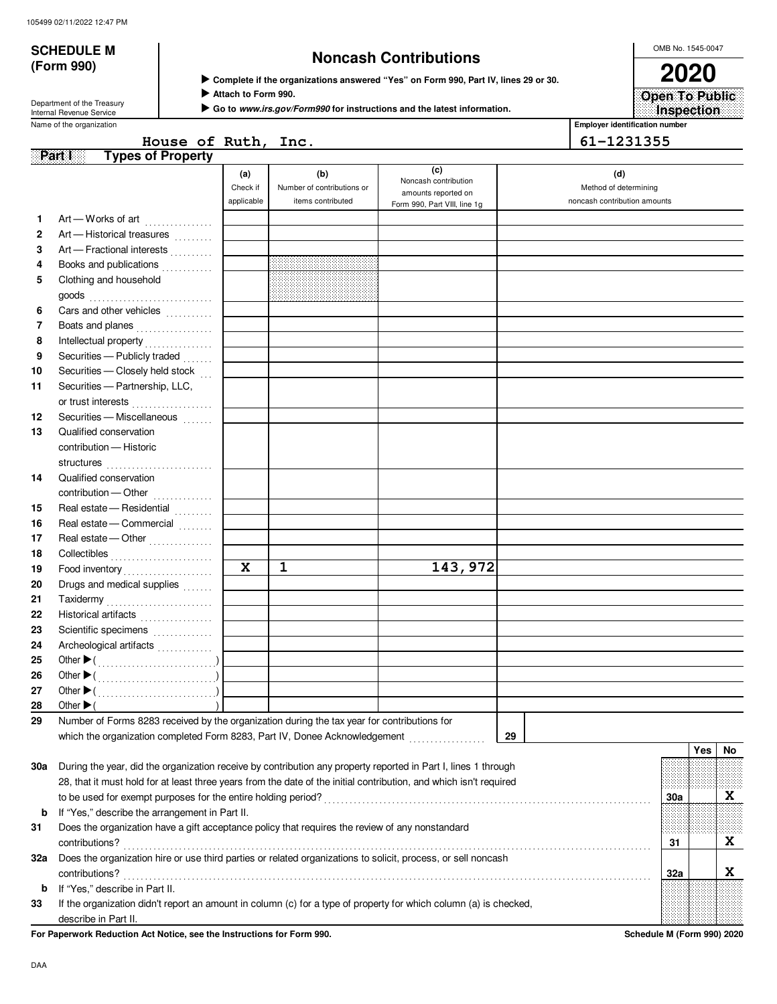# **(Form 990)**

## **SCHEDULE M Noncash Contributions**

 **Complete if the organizations answered "Yes" on Form 990, Part IV, lines 29 or 30.**

OMB No. 1545-0047 **2020**

Department of the Treasury<br>Internal Revenue Service

 **Go to www.irs.gov/Form990 for instructions and the latest information. Attach to Form 990.**

Name of the organization **Employer identification number Employer identification number Inspection Open To Public**

**House of Ruth, Inc. 61-1231355**

|              | <b>Types of Property</b><br>Part I                                                                                 |                         |                            |                              |                              |     |     |    |
|--------------|--------------------------------------------------------------------------------------------------------------------|-------------------------|----------------------------|------------------------------|------------------------------|-----|-----|----|
|              |                                                                                                                    | (a)                     | (b)                        | (c)<br>Noncash contribution  | (d)                          |     |     |    |
|              |                                                                                                                    | Check if                | Number of contributions or | amounts reported on          | Method of determining        |     |     |    |
|              |                                                                                                                    | applicable              | items contributed          | Form 990, Part VIII, line 1g | noncash contribution amounts |     |     |    |
| 1            | Art - Works of art                                                                                                 |                         |                            |                              |                              |     |     |    |
| $\mathbf{2}$ | Art - Historical treasures                                                                                         |                         |                            |                              |                              |     |     |    |
| 3            | Art - Fractional interests                                                                                         |                         |                            |                              |                              |     |     |    |
| 4            | Books and publications                                                                                             |                         |                            |                              |                              |     |     |    |
| 5            | Clothing and household                                                                                             |                         |                            |                              |                              |     |     |    |
|              | $\mathsf{goods}\xrightarrow{\hspace{0.5cm}}$                                                                       |                         |                            |                              |                              |     |     |    |
| 6            | Cars and other vehicles                                                                                            |                         |                            |                              |                              |     |     |    |
| 7            | Boats and planes                                                                                                   |                         |                            |                              |                              |     |     |    |
| 8            |                                                                                                                    |                         |                            |                              |                              |     |     |    |
| 9            | Securities - Publicly traded                                                                                       |                         |                            |                              |                              |     |     |    |
| 10           | Securities - Closely held stock                                                                                    |                         |                            |                              |                              |     |     |    |
| 11           | Securities - Partnership, LLC,                                                                                     |                         |                            |                              |                              |     |     |    |
|              | or trust interests                                                                                                 |                         |                            |                              |                              |     |     |    |
| 12           | Securities - Miscellaneous                                                                                         |                         |                            |                              |                              |     |     |    |
| 13           | Qualified conservation                                                                                             |                         |                            |                              |                              |     |     |    |
|              | contribution - Historic                                                                                            |                         |                            |                              |                              |     |     |    |
|              |                                                                                                                    |                         |                            |                              |                              |     |     |    |
| 14           | Qualified conservation                                                                                             |                         |                            |                              |                              |     |     |    |
|              | contribution - Other                                                                                               |                         |                            |                              |                              |     |     |    |
| 15           | Real estate - Residential                                                                                          |                         |                            |                              |                              |     |     |    |
| 16           | Real estate - Commercial                                                                                           |                         |                            |                              |                              |     |     |    |
| 17           | Real estate - Other                                                                                                |                         |                            |                              |                              |     |     |    |
| 18           |                                                                                                                    |                         |                            |                              |                              |     |     |    |
| 19           | Food inventory                                                                                                     | $\overline{\mathbf{x}}$ | $\mathbf 1$                | 143,972                      |                              |     |     |    |
| 20           | Drugs and medical supplies                                                                                         |                         |                            |                              |                              |     |     |    |
| 21           | Taxidermy                                                                                                          |                         |                            |                              |                              |     |     |    |
| 22           | Historical artifacts                                                                                               |                         |                            |                              |                              |     |     |    |
| 23           | Scientific specimens                                                                                               |                         |                            |                              |                              |     |     |    |
| 24           | Archeological artifacts                                                                                            |                         |                            |                              |                              |     |     |    |
| 25           |                                                                                                                    |                         |                            |                              |                              |     |     |    |
| 26           |                                                                                                                    |                         |                            |                              |                              |     |     |    |
| 27           |                                                                                                                    |                         |                            |                              |                              |     |     |    |
| 28           | Other $\blacktriangleright$ (                                                                                      |                         |                            |                              |                              |     |     |    |
| 29           | Number of Forms 8283 received by the organization during the tax year for contributions for                        |                         |                            |                              |                              |     |     |    |
|              | which the organization completed Form 8283, Part IV, Donee Acknowledgement                                         |                         |                            |                              | 29                           |     |     |    |
|              |                                                                                                                    |                         |                            |                              |                              |     | Yes | No |
| 30a          | During the year, did the organization receive by contribution any property reported in Part I, lines 1 through     |                         |                            |                              |                              |     |     |    |
|              | 28, that it must hold for at least three years from the date of the initial contribution, and which isn't required |                         |                            |                              |                              |     |     |    |
|              |                                                                                                                    |                         |                            |                              |                              | 30a |     | X  |
| b            | If "Yes," describe the arrangement in Part II.                                                                     |                         |                            |                              |                              |     |     |    |
| 31           | Does the organization have a gift acceptance policy that requires the review of any nonstandard                    |                         |                            |                              |                              |     |     |    |
|              | contributions?                                                                                                     |                         |                            |                              |                              | 31  |     | X  |
| 32a          | Does the organization hire or use third parties or related organizations to solicit, process, or sell noncash      |                         |                            |                              |                              |     |     |    |
|              | contributions?                                                                                                     |                         |                            |                              |                              | 32a |     | X  |
| b            | If "Yes," describe in Part II.                                                                                     |                         |                            |                              |                              |     |     |    |
| 33           | If the organization didn't report an amount in column (c) for a type of property for which column (a) is checked,  |                         |                            |                              |                              |     |     |    |
|              | describe in Part II.                                                                                               |                         |                            |                              |                              |     |     |    |

**For Paperwork Reduction Act Notice, see the Instructions for Form 990. Schedule M (Form 990) 2020**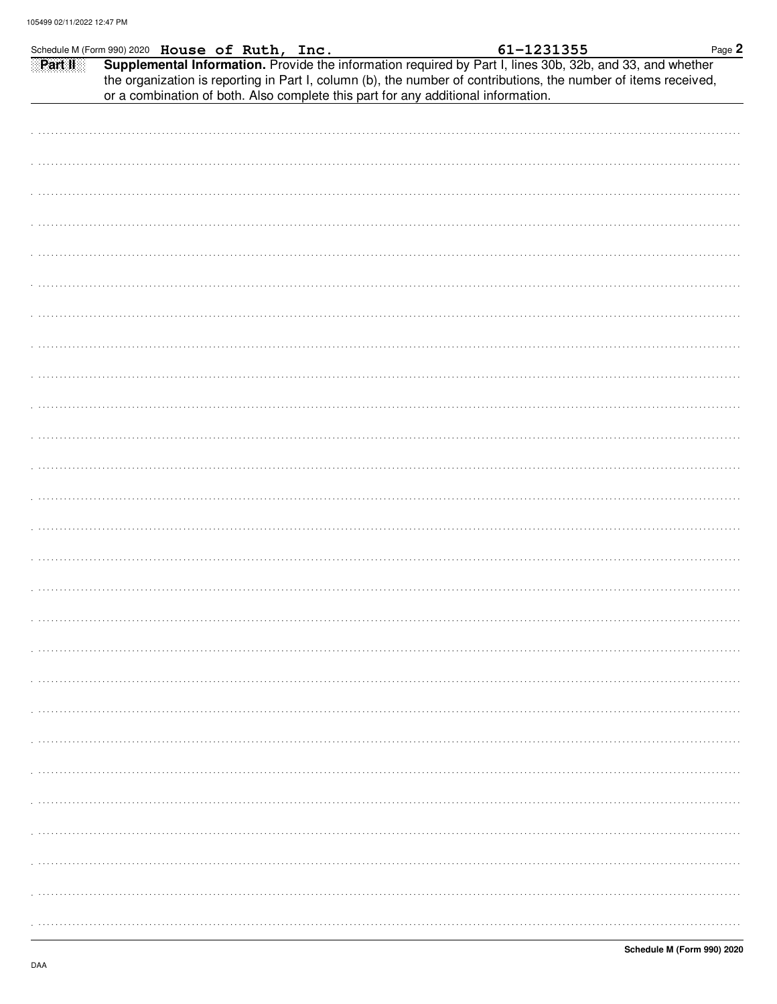|                                                                                   |  |                                                                                                                                                                                                                                                                                                 | Page 2 |
|-----------------------------------------------------------------------------------|--|-------------------------------------------------------------------------------------------------------------------------------------------------------------------------------------------------------------------------------------------------------------------------------------------------|--------|
| or a combination of both. Also complete this part for any additional information. |  | Schedule M (Form 990) 2020 House of Ruth, Inc. 61-1231355 Part II: 60 Dependent Information. Provide the information required by Part I, lines 30b, 32b, and 33, and whether<br>the organization is reporting in Part I, column (b), the number of contributions, the number of items received, |        |
|                                                                                   |  |                                                                                                                                                                                                                                                                                                 |        |
|                                                                                   |  |                                                                                                                                                                                                                                                                                                 |        |
|                                                                                   |  |                                                                                                                                                                                                                                                                                                 |        |
|                                                                                   |  |                                                                                                                                                                                                                                                                                                 |        |
|                                                                                   |  |                                                                                                                                                                                                                                                                                                 |        |
|                                                                                   |  |                                                                                                                                                                                                                                                                                                 |        |
|                                                                                   |  |                                                                                                                                                                                                                                                                                                 |        |
|                                                                                   |  |                                                                                                                                                                                                                                                                                                 |        |
|                                                                                   |  |                                                                                                                                                                                                                                                                                                 |        |
|                                                                                   |  |                                                                                                                                                                                                                                                                                                 |        |
|                                                                                   |  |                                                                                                                                                                                                                                                                                                 |        |
|                                                                                   |  |                                                                                                                                                                                                                                                                                                 |        |
|                                                                                   |  |                                                                                                                                                                                                                                                                                                 |        |
|                                                                                   |  |                                                                                                                                                                                                                                                                                                 |        |
|                                                                                   |  |                                                                                                                                                                                                                                                                                                 |        |
|                                                                                   |  |                                                                                                                                                                                                                                                                                                 |        |
|                                                                                   |  |                                                                                                                                                                                                                                                                                                 |        |
|                                                                                   |  |                                                                                                                                                                                                                                                                                                 |        |
|                                                                                   |  |                                                                                                                                                                                                                                                                                                 |        |
|                                                                                   |  |                                                                                                                                                                                                                                                                                                 |        |
|                                                                                   |  |                                                                                                                                                                                                                                                                                                 |        |
|                                                                                   |  |                                                                                                                                                                                                                                                                                                 |        |
|                                                                                   |  |                                                                                                                                                                                                                                                                                                 |        |
|                                                                                   |  |                                                                                                                                                                                                                                                                                                 |        |
|                                                                                   |  |                                                                                                                                                                                                                                                                                                 |        |
|                                                                                   |  |                                                                                                                                                                                                                                                                                                 |        |
|                                                                                   |  |                                                                                                                                                                                                                                                                                                 |        |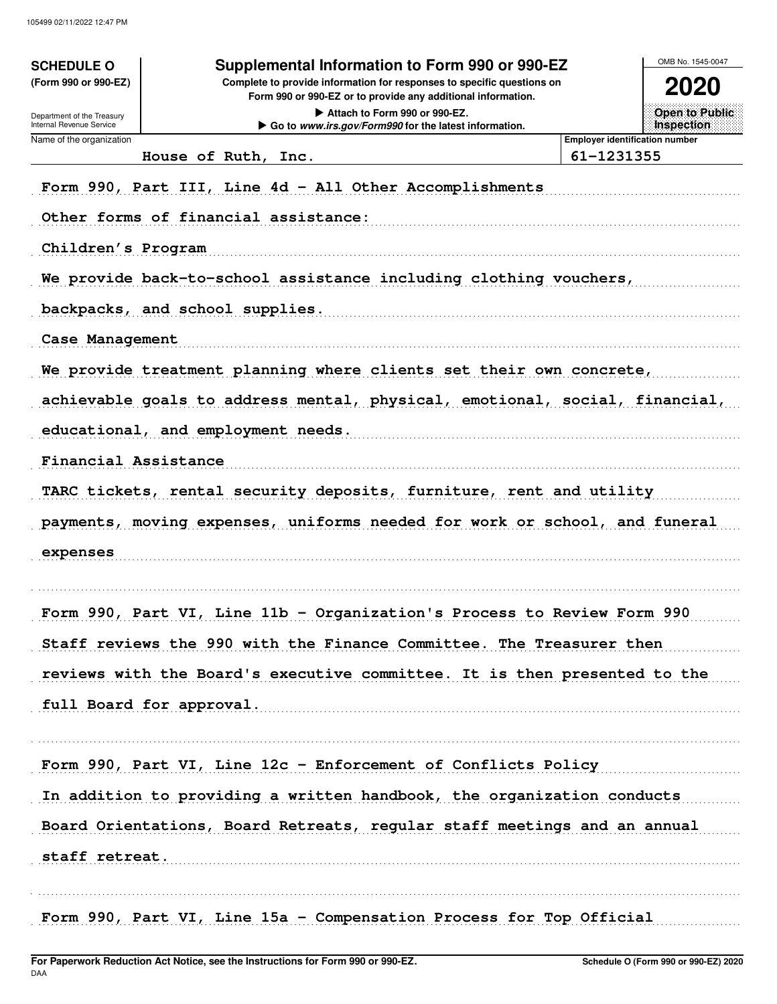| <b>SCHEDULE O</b><br>(Form 990 or 990-EZ)              |                                      |                                                       | Supplemental Information to Form 990 or 990-EZ<br>Complete to provide information for responses to specific questions on<br>Form 990 or 990-EZ or to provide any additional information. |                                       | OMB No. 1545-0047<br>2020 |
|--------------------------------------------------------|--------------------------------------|-------------------------------------------------------|------------------------------------------------------------------------------------------------------------------------------------------------------------------------------------------|---------------------------------------|---------------------------|
|                                                        |                                      | Attach to Form 990 or 990-EZ.                         |                                                                                                                                                                                          |                                       | Open to Public            |
| Department of the Treasury<br>Internal Revenue Service |                                      | Go to www.irs.gov/Form990 for the latest information. |                                                                                                                                                                                          |                                       | <b>Inspection</b>         |
| Name of the organization                               |                                      |                                                       |                                                                                                                                                                                          | <b>Employer identification number</b> |                           |
|                                                        | House of Ruth, Inc.                  |                                                       |                                                                                                                                                                                          | 61-1231355                            |                           |
|                                                        |                                      |                                                       | Form 990, Part III, Line 4d - All Other Accomplishments                                                                                                                                  |                                       |                           |
|                                                        | Other forms of financial assistance: |                                                       |                                                                                                                                                                                          |                                       |                           |
| Children's Program                                     |                                      |                                                       |                                                                                                                                                                                          |                                       |                           |
|                                                        |                                      |                                                       | We provide back-to-school assistance including clothing vouchers,                                                                                                                        |                                       |                           |
|                                                        | backpacks, and school supplies.      |                                                       |                                                                                                                                                                                          |                                       |                           |
| Case Management                                        |                                      |                                                       |                                                                                                                                                                                          |                                       |                           |
|                                                        |                                      |                                                       | We provide treatment planning where clients set their own concrete,                                                                                                                      |                                       |                           |
|                                                        |                                      |                                                       | achievable goals to address mental, physical, emotional, social, financial,                                                                                                              |                                       |                           |
|                                                        | educational, and employment needs.   |                                                       |                                                                                                                                                                                          |                                       |                           |
| Financial Assistance                                   |                                      |                                                       |                                                                                                                                                                                          |                                       |                           |
|                                                        |                                      |                                                       | TARC tickets, rental security deposits, furniture, rent and utility                                                                                                                      |                                       |                           |
|                                                        |                                      |                                                       | payments, moving expenses, uniforms needed for work or school, and funeral                                                                                                               |                                       |                           |
| expenses                                               |                                      |                                                       |                                                                                                                                                                                          |                                       |                           |
|                                                        |                                      |                                                       | Form 990, Part VI, Line 11b - Organization's Process to Review Form 990                                                                                                                  |                                       |                           |
|                                                        |                                      |                                                       | Staff reviews the 990 with the Finance Committee. The Treasurer then                                                                                                                     |                                       |                           |
|                                                        |                                      |                                                       | reviews with the Board's executive committee. It is then presented to the                                                                                                                |                                       |                           |
| full Board for approval.                               |                                      |                                                       |                                                                                                                                                                                          |                                       |                           |
|                                                        |                                      |                                                       | Form 990, Part VI, Line 12c - Enforcement of Conflicts Policy                                                                                                                            |                                       | .                         |
|                                                        |                                      |                                                       | In addition to providing a written handbook, the organization conducts                                                                                                                   |                                       |                           |
|                                                        |                                      |                                                       | Board Orientations, Board Retreats, regular staff meetings and an annual                                                                                                                 |                                       |                           |
| staff retreat.                                         |                                      |                                                       |                                                                                                                                                                                          |                                       |                           |
|                                                        |                                      |                                                       | Form 990, Part VI, Line 15a - Compensation Process for Top Official                                                                                                                      |                                       |                           |